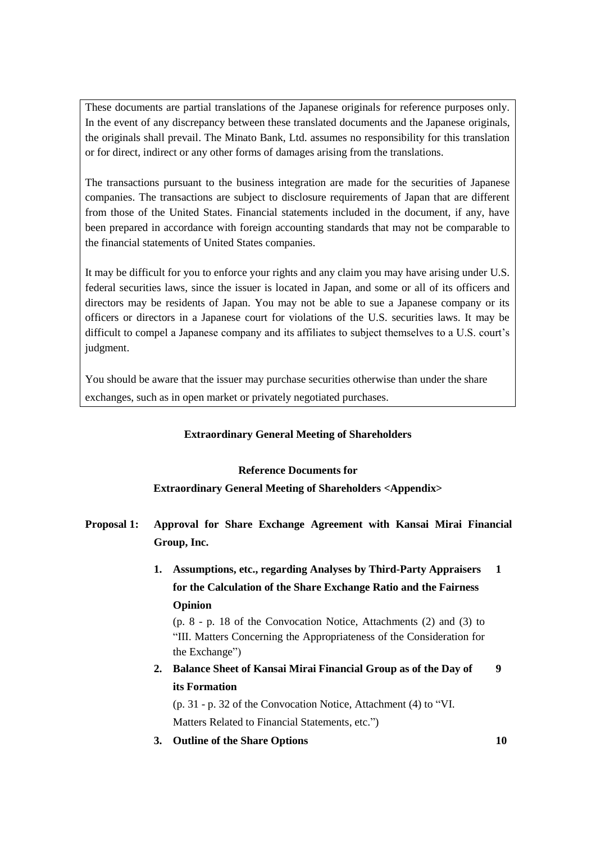These documents are partial translations of the Japanese originals for reference purposes only. In the event of any discrepancy between these translated documents and the Japanese originals, the originals shall prevail. The Minato Bank, Ltd. assumes no responsibility for this translation or for direct, indirect or any other forms of damages arising from the translations.

The transactions pursuant to the business integration are made for the securities of Japanese companies. The transactions are subject to disclosure requirements of Japan that are different from those of the United States. Financial statements included in the document, if any, have been prepared in accordance with foreign accounting standards that may not be comparable to the financial statements of United States companies.

It may be difficult for you to enforce your rights and any claim you may have arising under U.S. federal securities laws, since the issuer is located in Japan, and some or all of its officers and directors may be residents of Japan. You may not be able to sue a Japanese company or its officers or directors in a Japanese court for violations of the U.S. securities laws. It may be difficult to compel a Japanese company and its affiliates to subject themselves to a U.S. court's judgment.

You should be aware that the issuer may purchase securities otherwise than under the share exchanges, such as in open market or privately negotiated purchases.

## **Extraordinary General Meeting of Shareholders**

## **Reference Documents for**

## **Extraordinary General Meeting of Shareholders <Appendix>**

- **Proposal 1: Approval for Share Exchange Agreement with Kansai Mirai Financial Group, Inc.**
	- **1. Assumptions, etc., regarding Analyses by Third-Party Appraisers for the Calculation of the Share Exchange Ratio and the Fairness Opinion 1**

(p. 8 - p. 18 of the Convocation Notice, Attachments (2) and (3) to "III. Matters Concerning the Appropriateness of the Consideration for the Exchange")

**2. Balance Sheet of Kansai Mirai Financial Group as of the Day of its Formation 9**

(p. 31 - p. 32 of the Convocation Notice, Attachment (4) to "VI. Matters Related to Financial Statements, etc.")

**3. Outline of the Share Options 10**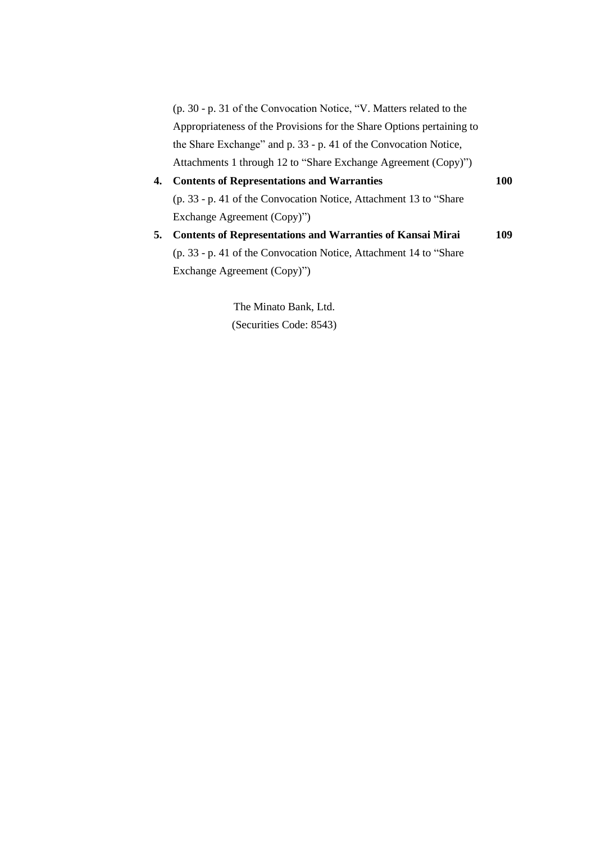(p. 30 - p. 31 of the Convocation Notice, "V. Matters related to the Appropriateness of the Provisions for the Share Options pertaining to the Share Exchange" and p. 33 - p. 41 of the Convocation Notice, Attachments 1 through 12 to "Share Exchange Agreement (Copy)")

- **4. Contents of Representations and Warranties 100** (p. 33 - p. 41 of the Convocation Notice, Attachment 13 to "Share Exchange Agreement (Copy)")
- **5. Contents of Representations and Warranties of Kansai Mirai 109** (p. 33 - p. 41 of the Convocation Notice, Attachment 14 to "Share Exchange Agreement (Copy)")

The Minato Bank, Ltd. (Securities Code: 8543)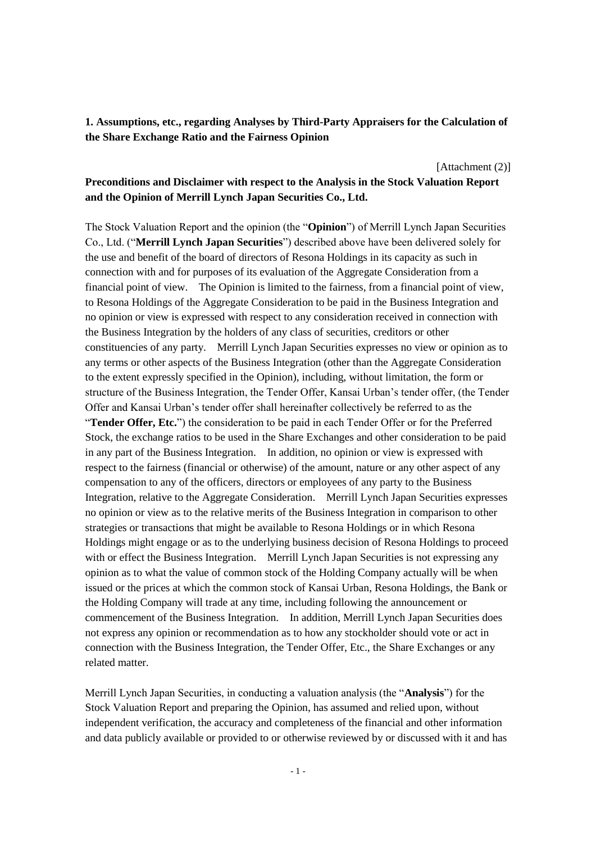**1. Assumptions, etc., regarding Analyses by Third-Party Appraisers for the Calculation of the Share Exchange Ratio and the Fairness Opinion**

[Attachment (2)]

## **Preconditions and Disclaimer with respect to the Analysis in the Stock Valuation Report and the Opinion of Merrill Lynch Japan Securities Co., Ltd.**

The Stock Valuation Report and the opinion (the "**Opinion**") of Merrill Lynch Japan Securities Co., Ltd. ("**Merrill Lynch Japan Securities**") described above have been delivered solely for the use and benefit of the board of directors of Resona Holdings in its capacity as such in connection with and for purposes of its evaluation of the Aggregate Consideration from a financial point of view. The Opinion is limited to the fairness, from a financial point of view, to Resona Holdings of the Aggregate Consideration to be paid in the Business Integration and no opinion or view is expressed with respect to any consideration received in connection with the Business Integration by the holders of any class of securities, creditors or other constituencies of any party. Merrill Lynch Japan Securities expresses no view or opinion as to any terms or other aspects of the Business Integration (other than the Aggregate Consideration to the extent expressly specified in the Opinion), including, without limitation, the form or structure of the Business Integration, the Tender Offer, Kansai Urban's tender offer, (the Tender Offer and Kansai Urban's tender offer shall hereinafter collectively be referred to as the

"**Tender Offer, Etc.**") the consideration to be paid in each Tender Offer or for the Preferred Stock, the exchange ratios to be used in the Share Exchanges and other consideration to be paid in any part of the Business Integration. In addition, no opinion or view is expressed with respect to the fairness (financial or otherwise) of the amount, nature or any other aspect of any compensation to any of the officers, directors or employees of any party to the Business Integration, relative to the Aggregate Consideration. Merrill Lynch Japan Securities expresses no opinion or view as to the relative merits of the Business Integration in comparison to other strategies or transactions that might be available to Resona Holdings or in which Resona Holdings might engage or as to the underlying business decision of Resona Holdings to proceed with or effect the Business Integration. Merrill Lynch Japan Securities is not expressing any opinion as to what the value of common stock of the Holding Company actually will be when issued or the prices at which the common stock of Kansai Urban, Resona Holdings, the Bank or the Holding Company will trade at any time, including following the announcement or commencement of the Business Integration. In addition, Merrill Lynch Japan Securities does not express any opinion or recommendation as to how any stockholder should vote or act in connection with the Business Integration, the Tender Offer, Etc., the Share Exchanges or any related matter.

Merrill Lynch Japan Securities, in conducting a valuation analysis (the "**Analysis**") for the Stock Valuation Report and preparing the Opinion, has assumed and relied upon, without independent verification, the accuracy and completeness of the financial and other information and data publicly available or provided to or otherwise reviewed by or discussed with it and has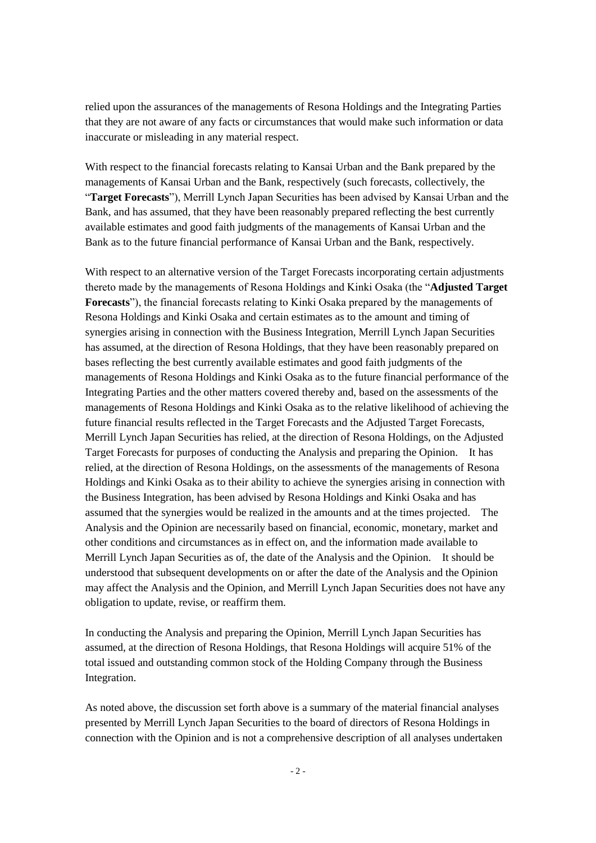relied upon the assurances of the managements of Resona Holdings and the Integrating Parties that they are not aware of any facts or circumstances that would make such information or data inaccurate or misleading in any material respect.

With respect to the financial forecasts relating to Kansai Urban and the Bank prepared by the managements of Kansai Urban and the Bank, respectively (such forecasts, collectively, the "**Target Forecasts**"), Merrill Lynch Japan Securities has been advised by Kansai Urban and the Bank, and has assumed, that they have been reasonably prepared reflecting the best currently available estimates and good faith judgments of the managements of Kansai Urban and the Bank as to the future financial performance of Kansai Urban and the Bank, respectively.

With respect to an alternative version of the Target Forecasts incorporating certain adjustments thereto made by the managements of Resona Holdings and Kinki Osaka (the "**Adjusted Target Forecasts**"), the financial forecasts relating to Kinki Osaka prepared by the managements of Resona Holdings and Kinki Osaka and certain estimates as to the amount and timing of synergies arising in connection with the Business Integration, Merrill Lynch Japan Securities has assumed, at the direction of Resona Holdings, that they have been reasonably prepared on bases reflecting the best currently available estimates and good faith judgments of the managements of Resona Holdings and Kinki Osaka as to the future financial performance of the Integrating Parties and the other matters covered thereby and, based on the assessments of the managements of Resona Holdings and Kinki Osaka as to the relative likelihood of achieving the future financial results reflected in the Target Forecasts and the Adjusted Target Forecasts, Merrill Lynch Japan Securities has relied, at the direction of Resona Holdings, on the Adjusted Target Forecasts for purposes of conducting the Analysis and preparing the Opinion. It has relied, at the direction of Resona Holdings, on the assessments of the managements of Resona Holdings and Kinki Osaka as to their ability to achieve the synergies arising in connection with the Business Integration, has been advised by Resona Holdings and Kinki Osaka and has assumed that the synergies would be realized in the amounts and at the times projected. The Analysis and the Opinion are necessarily based on financial, economic, monetary, market and other conditions and circumstances as in effect on, and the information made available to Merrill Lynch Japan Securities as of, the date of the Analysis and the Opinion. It should be understood that subsequent developments on or after the date of the Analysis and the Opinion may affect the Analysis and the Opinion, and Merrill Lynch Japan Securities does not have any obligation to update, revise, or reaffirm them.

In conducting the Analysis and preparing the Opinion, Merrill Lynch Japan Securities has assumed, at the direction of Resona Holdings, that Resona Holdings will acquire 51% of the total issued and outstanding common stock of the Holding Company through the Business Integration.

As noted above, the discussion set forth above is a summary of the material financial analyses presented by Merrill Lynch Japan Securities to the board of directors of Resona Holdings in connection with the Opinion and is not a comprehensive description of all analyses undertaken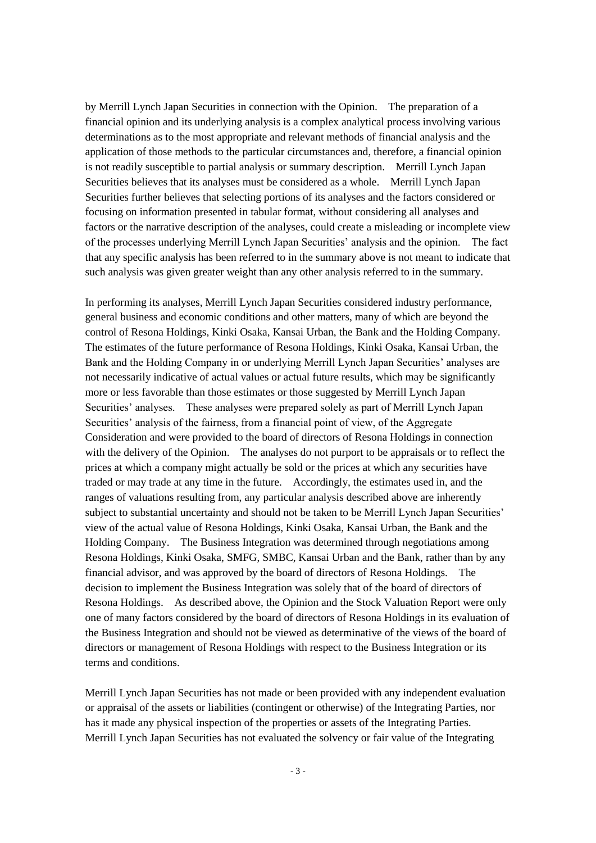by Merrill Lynch Japan Securities in connection with the Opinion. The preparation of a financial opinion and its underlying analysis is a complex analytical process involving various determinations as to the most appropriate and relevant methods of financial analysis and the application of those methods to the particular circumstances and, therefore, a financial opinion is not readily susceptible to partial analysis or summary description. Merrill Lynch Japan Securities believes that its analyses must be considered as a whole. Merrill Lynch Japan Securities further believes that selecting portions of its analyses and the factors considered or focusing on information presented in tabular format, without considering all analyses and factors or the narrative description of the analyses, could create a misleading or incomplete view of the processes underlying Merrill Lynch Japan Securities' analysis and the opinion. The fact that any specific analysis has been referred to in the summary above is not meant to indicate that such analysis was given greater weight than any other analysis referred to in the summary.

In performing its analyses, Merrill Lynch Japan Securities considered industry performance, general business and economic conditions and other matters, many of which are beyond the control of Resona Holdings, Kinki Osaka, Kansai Urban, the Bank and the Holding Company. The estimates of the future performance of Resona Holdings, Kinki Osaka, Kansai Urban, the Bank and the Holding Company in or underlying Merrill Lynch Japan Securities' analyses are not necessarily indicative of actual values or actual future results, which may be significantly more or less favorable than those estimates or those suggested by Merrill Lynch Japan Securities' analyses. These analyses were prepared solely as part of Merrill Lynch Japan Securities' analysis of the fairness, from a financial point of view, of the Aggregate Consideration and were provided to the board of directors of Resona Holdings in connection with the delivery of the Opinion. The analyses do not purport to be appraisals or to reflect the prices at which a company might actually be sold or the prices at which any securities have traded or may trade at any time in the future. Accordingly, the estimates used in, and the ranges of valuations resulting from, any particular analysis described above are inherently subject to substantial uncertainty and should not be taken to be Merrill Lynch Japan Securities' view of the actual value of Resona Holdings, Kinki Osaka, Kansai Urban, the Bank and the Holding Company. The Business Integration was determined through negotiations among Resona Holdings, Kinki Osaka, SMFG, SMBC, Kansai Urban and the Bank, rather than by any financial advisor, and was approved by the board of directors of Resona Holdings. decision to implement the Business Integration was solely that of the board of directors of Resona Holdings. As described above, the Opinion and the Stock Valuation Report were only one of many factors considered by the board of directors of Resona Holdings in its evaluation of the Business Integration and should not be viewed as determinative of the views of the board of directors or management of Resona Holdings with respect to the Business Integration or its terms and conditions.

Merrill Lynch Japan Securities has not made or been provided with any independent evaluation or appraisal of the assets or liabilities (contingent or otherwise) of the Integrating Parties, nor has it made any physical inspection of the properties or assets of the Integrating Parties. Merrill Lynch Japan Securities has not evaluated the solvency or fair value of the Integrating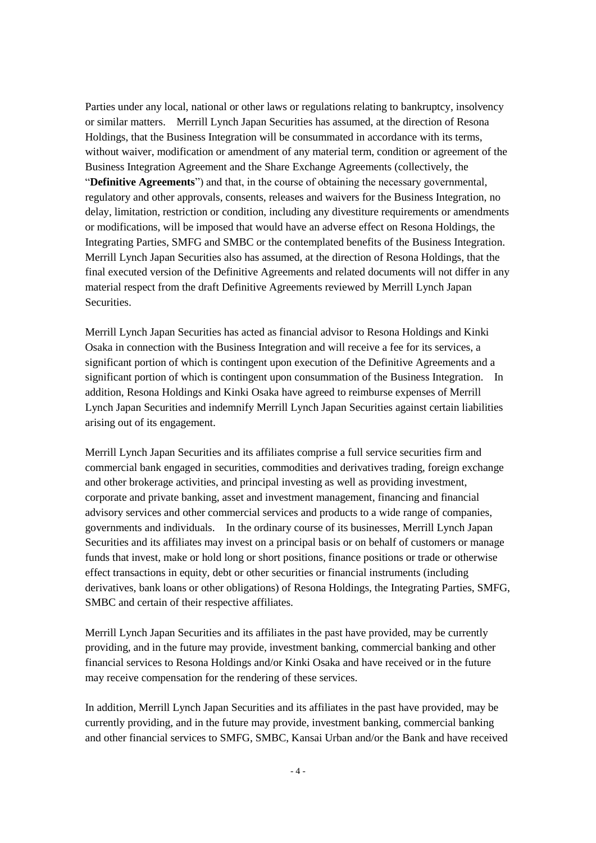Parties under any local, national or other laws or regulations relating to bankruptcy, insolvency or similar matters. Merrill Lynch Japan Securities has assumed, at the direction of Resona Holdings, that the Business Integration will be consummated in accordance with its terms, without waiver, modification or amendment of any material term, condition or agreement of the Business Integration Agreement and the Share Exchange Agreements (collectively, the "**Definitive Agreements**") and that, in the course of obtaining the necessary governmental, regulatory and other approvals, consents, releases and waivers for the Business Integration, no delay, limitation, restriction or condition, including any divestiture requirements or amendments or modifications, will be imposed that would have an adverse effect on Resona Holdings, the Integrating Parties, SMFG and SMBC or the contemplated benefits of the Business Integration. Merrill Lynch Japan Securities also has assumed, at the direction of Resona Holdings, that the final executed version of the Definitive Agreements and related documents will not differ in any material respect from the draft Definitive Agreements reviewed by Merrill Lynch Japan Securities.

Merrill Lynch Japan Securities has acted as financial advisor to Resona Holdings and Kinki Osaka in connection with the Business Integration and will receive a fee for its services, a significant portion of which is contingent upon execution of the Definitive Agreements and a significant portion of which is contingent upon consummation of the Business Integration. In addition, Resona Holdings and Kinki Osaka have agreed to reimburse expenses of Merrill Lynch Japan Securities and indemnify Merrill Lynch Japan Securities against certain liabilities arising out of its engagement.

Merrill Lynch Japan Securities and its affiliates comprise a full service securities firm and commercial bank engaged in securities, commodities and derivatives trading, foreign exchange and other brokerage activities, and principal investing as well as providing investment, corporate and private banking, asset and investment management, financing and financial advisory services and other commercial services and products to a wide range of companies, governments and individuals. In the ordinary course of its businesses, Merrill Lynch Japan Securities and its affiliates may invest on a principal basis or on behalf of customers or manage funds that invest, make or hold long or short positions, finance positions or trade or otherwise effect transactions in equity, debt or other securities or financial instruments (including derivatives, bank loans or other obligations) of Resona Holdings, the Integrating Parties, SMFG, SMBC and certain of their respective affiliates.

Merrill Lynch Japan Securities and its affiliates in the past have provided, may be currently providing, and in the future may provide, investment banking, commercial banking and other financial services to Resona Holdings and/or Kinki Osaka and have received or in the future may receive compensation for the rendering of these services.

In addition, Merrill Lynch Japan Securities and its affiliates in the past have provided, may be currently providing, and in the future may provide, investment banking, commercial banking and other financial services to SMFG, SMBC, Kansai Urban and/or the Bank and have received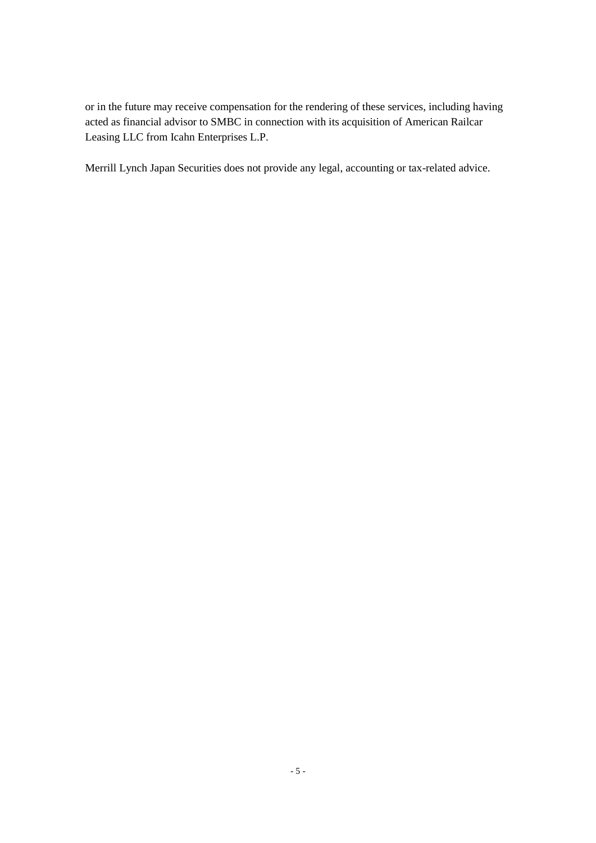or in the future may receive compensation for the rendering of these services, including having acted as financial advisor to SMBC in connection with its acquisition of American Railcar Leasing LLC from Icahn Enterprises L.P.

Merrill Lynch Japan Securities does not provide any legal, accounting or tax-related advice.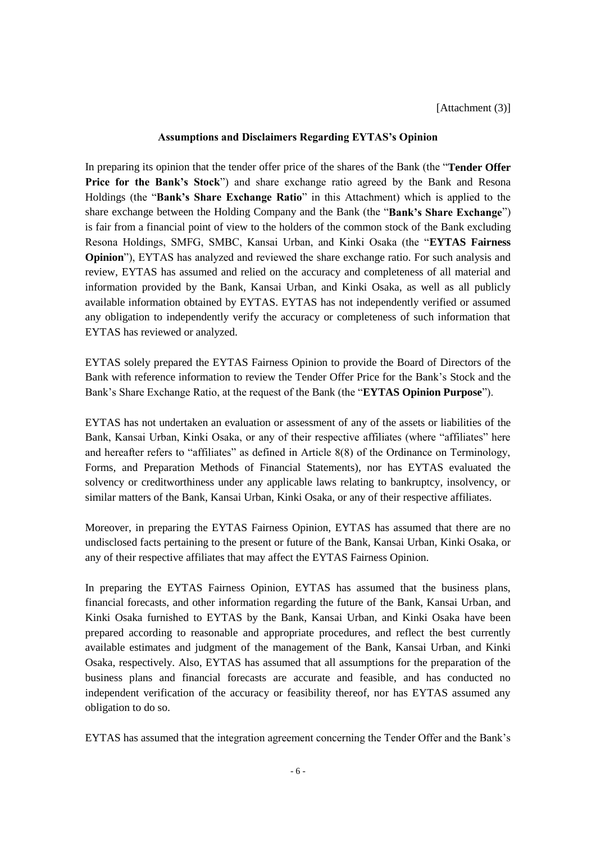## **Assumptions and Disclaimers Regarding EYTAS's Opinion**

In preparing its opinion that the tender offer price of the shares of the Bank (the "**Tender Offer Price for the Bank's Stock**") and share exchange ratio agreed by the Bank and Resona Holdings (the "**Bank's Share Exchange Ratio**" in this Attachment) which is applied to the share exchange between the Holding Company and the Bank (the "**Bank's Share Exchange**") is fair from a financial point of view to the holders of the common stock of the Bank excluding Resona Holdings, SMFG, SMBC, Kansai Urban, and Kinki Osaka (the "**EYTAS Fairness Opinion**"), EYTAS has analyzed and reviewed the share exchange ratio. For such analysis and review, EYTAS has assumed and relied on the accuracy and completeness of all material and information provided by the Bank, Kansai Urban, and Kinki Osaka, as well as all publicly available information obtained by EYTAS. EYTAS has not independently verified or assumed any obligation to independently verify the accuracy or completeness of such information that EYTAS has reviewed or analyzed.

EYTAS solely prepared the EYTAS Fairness Opinion to provide the Board of Directors of the Bank with reference information to review the Tender Offer Price for the Bank's Stock and the Bank's Share Exchange Ratio, at the request of the Bank (the "**EYTAS Opinion Purpose**").

EYTAS has not undertaken an evaluation or assessment of any of the assets or liabilities of the Bank, Kansai Urban, Kinki Osaka, or any of their respective affiliates (where "affiliates" here and hereafter refers to "affiliates" as defined in Article 8(8) of the Ordinance on Terminology, Forms, and Preparation Methods of Financial Statements), nor has EYTAS evaluated the solvency or creditworthiness under any applicable laws relating to bankruptcy, insolvency, or similar matters of the Bank, Kansai Urban, Kinki Osaka, or any of their respective affiliates.

Moreover, in preparing the EYTAS Fairness Opinion, EYTAS has assumed that there are no undisclosed facts pertaining to the present or future of the Bank, Kansai Urban, Kinki Osaka, or any of their respective affiliates that may affect the EYTAS Fairness Opinion.

In preparing the EYTAS Fairness Opinion, EYTAS has assumed that the business plans, financial forecasts, and other information regarding the future of the Bank, Kansai Urban, and Kinki Osaka furnished to EYTAS by the Bank, Kansai Urban, and Kinki Osaka have been prepared according to reasonable and appropriate procedures, and reflect the best currently available estimates and judgment of the management of the Bank, Kansai Urban, and Kinki Osaka, respectively. Also, EYTAS has assumed that all assumptions for the preparation of the business plans and financial forecasts are accurate and feasible, and has conducted no independent verification of the accuracy or feasibility thereof, nor has EYTAS assumed any obligation to do so.

EYTAS has assumed that the integration agreement concerning the Tender Offer and the Bank's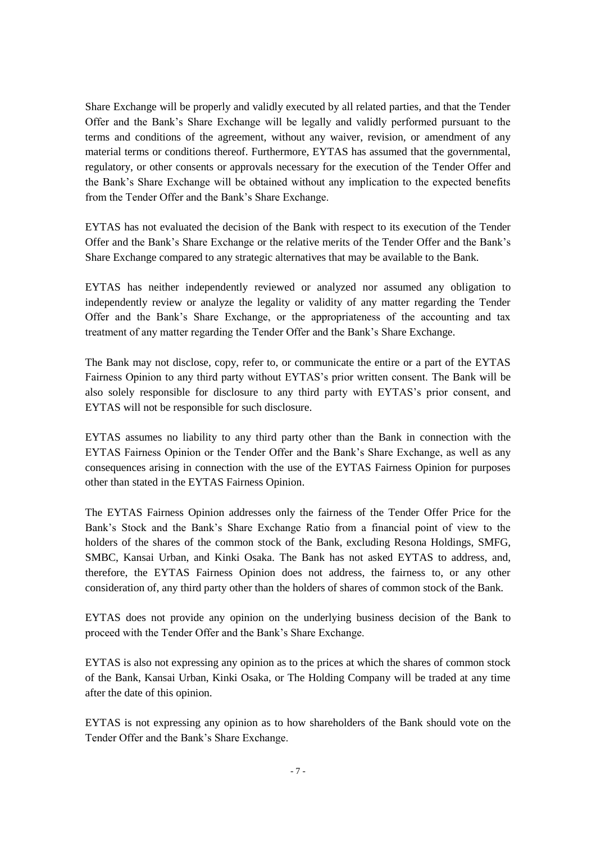Share Exchange will be properly and validly executed by all related parties, and that the Tender Offer and the Bank's Share Exchange will be legally and validly performed pursuant to the terms and conditions of the agreement, without any waiver, revision, or amendment of any material terms or conditions thereof. Furthermore, EYTAS has assumed that the governmental, regulatory, or other consents or approvals necessary for the execution of the Tender Offer and the Bank's Share Exchange will be obtained without any implication to the expected benefits from the Tender Offer and the Bank's Share Exchange.

EYTAS has not evaluated the decision of the Bank with respect to its execution of the Tender Offer and the Bank's Share Exchange or the relative merits of the Tender Offer and the Bank's Share Exchange compared to any strategic alternatives that may be available to the Bank.

EYTAS has neither independently reviewed or analyzed nor assumed any obligation to independently review or analyze the legality or validity of any matter regarding the Tender Offer and the Bank's Share Exchange, or the appropriateness of the accounting and tax treatment of any matter regarding the Tender Offer and the Bank's Share Exchange.

The Bank may not disclose, copy, refer to, or communicate the entire or a part of the EYTAS Fairness Opinion to any third party without EYTAS's prior written consent. The Bank will be also solely responsible for disclosure to any third party with EYTAS's prior consent, and EYTAS will not be responsible for such disclosure.

EYTAS assumes no liability to any third party other than the Bank in connection with the EYTAS Fairness Opinion or the Tender Offer and the Bank's Share Exchange, as well as any consequences arising in connection with the use of the EYTAS Fairness Opinion for purposes other than stated in the EYTAS Fairness Opinion.

The EYTAS Fairness Opinion addresses only the fairness of the Tender Offer Price for the Bank's Stock and the Bank's Share Exchange Ratio from a financial point of view to the holders of the shares of the common stock of the Bank, excluding Resona Holdings, SMFG, SMBC, Kansai Urban, and Kinki Osaka. The Bank has not asked EYTAS to address, and, therefore, the EYTAS Fairness Opinion does not address, the fairness to, or any other consideration of, any third party other than the holders of shares of common stock of the Bank.

EYTAS does not provide any opinion on the underlying business decision of the Bank to proceed with the Tender Offer and the Bank's Share Exchange.

EYTAS is also not expressing any opinion as to the prices at which the shares of common stock of the Bank, Kansai Urban, Kinki Osaka, or The Holding Company will be traded at any time after the date of this opinion.

EYTAS is not expressing any opinion as to how shareholders of the Bank should vote on the Tender Offer and the Bank's Share Exchange.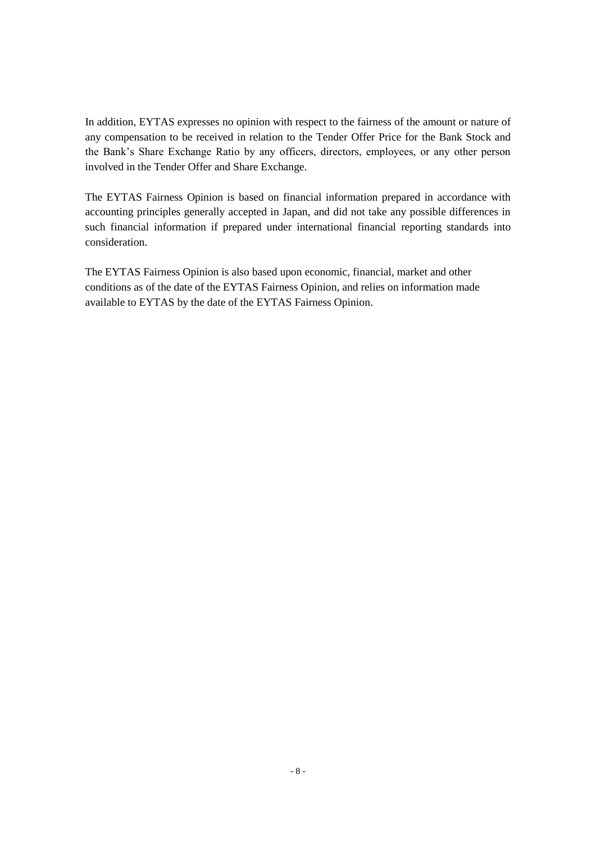In addition, EYTAS expresses no opinion with respect to the fairness of the amount or nature of any compensation to be received in relation to the Tender Offer Price for the Bank Stock and the Bank's Share Exchange Ratio by any officers, directors, employees, or any other person involved in the Tender Offer and Share Exchange.

The EYTAS Fairness Opinion is based on financial information prepared in accordance with accounting principles generally accepted in Japan, and did not take any possible differences in such financial information if prepared under international financial reporting standards into consideration.

The EYTAS Fairness Opinion is also based upon economic, financial, market and other conditions as of the date of the EYTAS Fairness Opinion, and relies on information made available to EYTAS by the date of the EYTAS Fairness Opinion.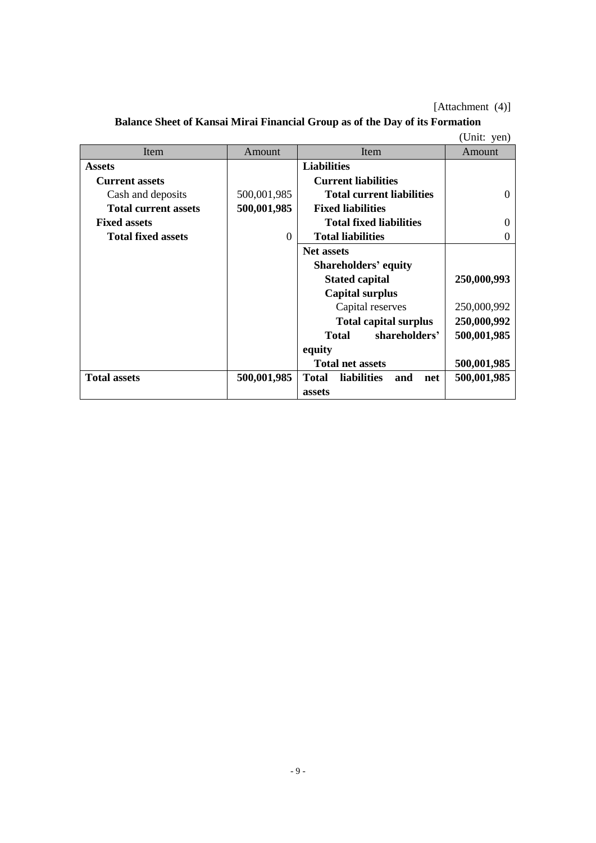# [Attachment (4)]

|                             |                |                                           | (Unit: yen) |
|-----------------------------|----------------|-------------------------------------------|-------------|
| Item                        | Amount         | Item                                      | Amount      |
| <b>Assets</b>               |                | <b>Liabilities</b>                        |             |
| <b>Current assets</b>       |                | <b>Current liabilities</b>                |             |
| Cash and deposits           | 500,001,985    | <b>Total current liabilities</b>          | $\Omega$    |
| <b>Total current assets</b> | 500,001,985    | <b>Fixed liabilities</b>                  |             |
| <b>Fixed assets</b>         |                | <b>Total fixed liabilities</b>            | $\Omega$    |
| <b>Total fixed assets</b>   | $\overline{0}$ | <b>Total liabilities</b>                  | $\Omega$    |
|                             |                | <b>Net assets</b>                         |             |
|                             |                | <b>Shareholders' equity</b>               |             |
|                             |                | <b>Stated capital</b>                     | 250,000,993 |
|                             |                | <b>Capital surplus</b>                    |             |
|                             |                | Capital reserves                          | 250,000,992 |
|                             |                | <b>Total capital surplus</b>              | 250,000,992 |
|                             |                | shareholders'<br><b>Total</b>             | 500,001,985 |
|                             |                | equity                                    |             |
|                             |                | <b>Total net assets</b>                   | 500,001,985 |
| <b>Total assets</b>         | 500,001,985    | <b>Total</b><br>liabilities<br>and<br>net | 500,001,985 |
|                             |                | assets                                    |             |

**Balance Sheet of Kansai Mirai Financial Group as of the Day of its Formation**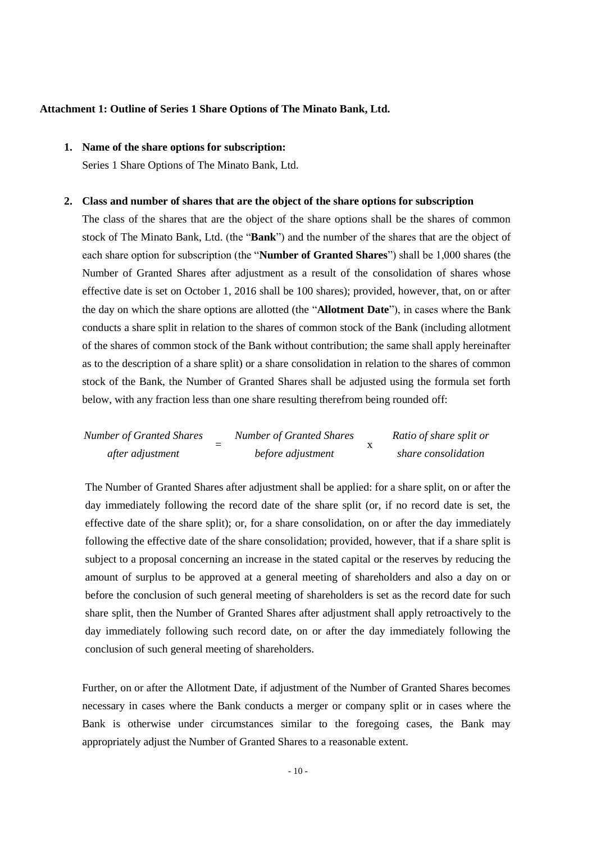#### **Attachment 1: Outline of Series 1 Share Options of The Minato Bank, Ltd.**

## **1. Name of the share options for subscription:**

Series 1 Share Options of The Minato Bank, Ltd.

#### **2. Class and number of shares that are the object of the share options for subscription**

The class of the shares that are the object of the share options shall be the shares of common stock of The Minato Bank, Ltd. (the "**Bank**") and the number of the shares that are the object of each share option for subscription (the "**Number of Granted Shares**") shall be 1,000 shares (the Number of Granted Shares after adjustment as a result of the consolidation of shares whose effective date is set on October 1, 2016 shall be 100 shares); provided, however, that, on or after the day on which the share options are allotted (the "**Allotment Date**"), in cases where the Bank conducts a share split in relation to the shares of common stock of the Bank (including allotment of the shares of common stock of the Bank without contribution; the same shall apply hereinafter as to the description of a share split) or a share consolidation in relation to the shares of common stock of the Bank, the Number of Granted Shares shall be adjusted using the formula set forth below, with any fraction less than one share resulting therefrom being rounded off:

Number of Granted Shares  
\nafter adjustment\n
$$
after adjustment\n\begin{aligned}\n&5 \text{Number of Granted Shares} \\
&6 \text{Figure 2} \text{Number of Granted Shares} \\
&7 \text{Number of Granted Shares} \\
&8 \text{where } \text{considering} \text{Example 3} \\
&9 \text{6} \text{Time of Shares} \\
&1 \text{6} \text{Time of Shares} \\
&1 \text{6} \text{Time of Shares} \\
&1 \text{6} \text{Time of Shares} \\
&1 \text{6} \text{Time of Shares} \\
&1 \text{6} \text{Time of Shares} \\
&1 \text{6} \text{Time of Shares} \\
&1 \text{6} \text{Time of Shares} \\
&1 \text{6} \text{Time of Shares} \\
&1 \text{6} \text{Time of Shares} \\
&1 \text{6} \text{Time of Shares} \\
&1 \text{6} \text{Time of Shares} \\
&1 \text{6} \text{Time of Shares} \\
&1 \text{6} \text{Time of Shares} \\
&1 \text{6} \text{Time of Shares} \\
&1 \text{6} \text{Time of Shares} \\
&1 \text{6} \text{Time of Shares} \\
&1 \text{6} \text{Time of Shares} \\
&1 \text{6} \text{Time of Shares} \\
&1 \text{6} \text{Time of Shares} \\
&1 \text{6} \text{Time of Shares} \\
&1 \text{6} \text{Time of Shares} \\
&1 \text{6} \text{Time of Shares} \\
&1 \text{6} \text{Time of Shares} \\
&1 \text{6} \text{Time of Shares} \\
&1 \text{6} \text{Time of Shares} \\
&1 \text{6} \text{Time of Shares} \\
&1 \text{6} \text{Time of Shares} \\
&1 \text{6} \text{Time of Shares} \\
&1 \text{6} \text{Time of Shares} \\
&1 \text{6} \text{Time of Shares} \\
&1 \text{6} \text{Time of Shares} \\
&1 \text{6} \text{Time of Shares} \\
&1 \text{6} \text{Time of Shares} \\
&1 \text{6} \text{Time of Shares} \\
&1 \text{6} \text{Time of Shares} \\
&1 \text{6} \text{Time of Shares} \\
&1 \text{6} \text{Time of Shares} \\
&1 \text{6} \text{Time of Shares} \\
&1
$$

The Number of Granted Shares after adjustment shall be applied: for a share split, on or after the day immediately following the record date of the share split (or, if no record date is set, the effective date of the share split); or, for a share consolidation, on or after the day immediately following the effective date of the share consolidation; provided, however, that if a share split is subject to a proposal concerning an increase in the stated capital or the reserves by reducing the amount of surplus to be approved at a general meeting of shareholders and also a day on or before the conclusion of such general meeting of shareholders is set as the record date for such share split, then the Number of Granted Shares after adjustment shall apply retroactively to the day immediately following such record date, on or after the day immediately following the conclusion of such general meeting of shareholders.

Further, on or after the Allotment Date, if adjustment of the Number of Granted Shares becomes necessary in cases where the Bank conducts a merger or company split or in cases where the Bank is otherwise under circumstances similar to the foregoing cases, the Bank may appropriately adjust the Number of Granted Shares to a reasonable extent.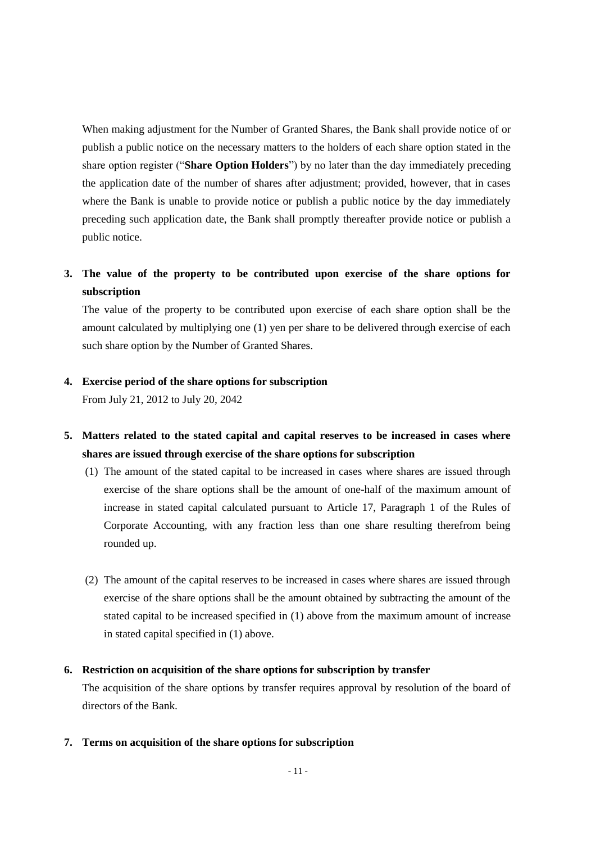When making adjustment for the Number of Granted Shares, the Bank shall provide notice of or publish a public notice on the necessary matters to the holders of each share option stated in the share option register ("**Share Option Holders**") by no later than the day immediately preceding the application date of the number of shares after adjustment; provided, however, that in cases where the Bank is unable to provide notice or publish a public notice by the day immediately preceding such application date, the Bank shall promptly thereafter provide notice or publish a public notice.

# **3. The value of the property to be contributed upon exercise of the share options for subscription**

The value of the property to be contributed upon exercise of each share option shall be the amount calculated by multiplying one (1) yen per share to be delivered through exercise of each such share option by the Number of Granted Shares.

### **4. Exercise period of the share options for subscription**

From July 21, 2012 to July 20, 2042

- **5. Matters related to the stated capital and capital reserves to be increased in cases where shares are issued through exercise of the share options for subscription**
	- (1) The amount of the stated capital to be increased in cases where shares are issued through exercise of the share options shall be the amount of one-half of the maximum amount of increase in stated capital calculated pursuant to Article 17, Paragraph 1 of the Rules of Corporate Accounting, with any fraction less than one share resulting therefrom being rounded up.
	- (2) The amount of the capital reserves to be increased in cases where shares are issued through exercise of the share options shall be the amount obtained by subtracting the amount of the stated capital to be increased specified in (1) above from the maximum amount of increase in stated capital specified in (1) above.

### **6. Restriction on acquisition of the share options for subscription by transfer**

The acquisition of the share options by transfer requires approval by resolution of the board of directors of the Bank.

**7. Terms on acquisition of the share options for subscription**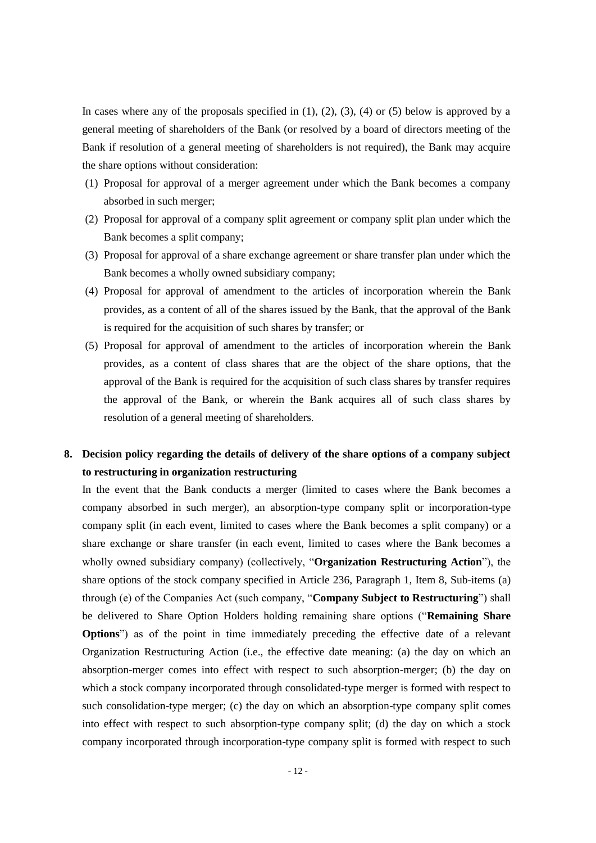In cases where any of the proposals specified in  $(1)$ ,  $(2)$ ,  $(3)$ ,  $(4)$  or  $(5)$  below is approved by a general meeting of shareholders of the Bank (or resolved by a board of directors meeting of the Bank if resolution of a general meeting of shareholders is not required), the Bank may acquire the share options without consideration:

- (1) Proposal for approval of a merger agreement under which the Bank becomes a company absorbed in such merger;
- (2) Proposal for approval of a company split agreement or company split plan under which the Bank becomes a split company;
- (3) Proposal for approval of a share exchange agreement or share transfer plan under which the Bank becomes a wholly owned subsidiary company;
- (4) Proposal for approval of amendment to the articles of incorporation wherein the Bank provides, as a content of all of the shares issued by the Bank, that the approval of the Bank is required for the acquisition of such shares by transfer; or
- (5) Proposal for approval of amendment to the articles of incorporation wherein the Bank provides, as a content of class shares that are the object of the share options, that the approval of the Bank is required for the acquisition of such class shares by transfer requires the approval of the Bank, or wherein the Bank acquires all of such class shares by resolution of a general meeting of shareholders.

# **8. Decision policy regarding the details of delivery of the share options of a company subject to restructuring in organization restructuring**

In the event that the Bank conducts a merger (limited to cases where the Bank becomes a company absorbed in such merger), an absorption-type company split or incorporation-type company split (in each event, limited to cases where the Bank becomes a split company) or a share exchange or share transfer (in each event, limited to cases where the Bank becomes a wholly owned subsidiary company) (collectively, "**Organization Restructuring Action**"), the share options of the stock company specified in Article 236, Paragraph 1, Item 8, Sub-items (a) through (e) of the Companies Act (such company, "**Company Subject to Restructuring**") shall be delivered to Share Option Holders holding remaining share options ("**Remaining Share Options**") as of the point in time immediately preceding the effective date of a relevant Organization Restructuring Action (i.e., the effective date meaning: (a) the day on which an absorption-merger comes into effect with respect to such absorption-merger; (b) the day on which a stock company incorporated through consolidated-type merger is formed with respect to such consolidation-type merger; (c) the day on which an absorption-type company split comes into effect with respect to such absorption-type company split; (d) the day on which a stock company incorporated through incorporation-type company split is formed with respect to such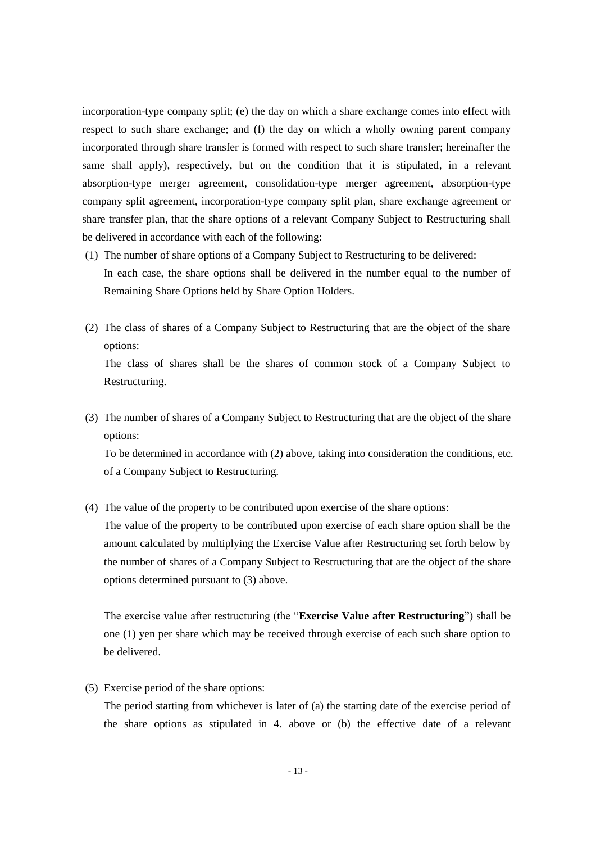incorporation-type company split; (e) the day on which a share exchange comes into effect with respect to such share exchange; and (f) the day on which a wholly owning parent company incorporated through share transfer is formed with respect to such share transfer; hereinafter the same shall apply), respectively, but on the condition that it is stipulated, in a relevant absorption-type merger agreement, consolidation-type merger agreement, absorption-type company split agreement, incorporation-type company split plan, share exchange agreement or share transfer plan, that the share options of a relevant Company Subject to Restructuring shall be delivered in accordance with each of the following:

- (1) The number of share options of a Company Subject to Restructuring to be delivered: In each case, the share options shall be delivered in the number equal to the number of Remaining Share Options held by Share Option Holders.
- (2) The class of shares of a Company Subject to Restructuring that are the object of the share options: The class of shares shall be the shares of common stock of a Company Subject to

Restructuring.

(3) The number of shares of a Company Subject to Restructuring that are the object of the share options:

To be determined in accordance with (2) above, taking into consideration the conditions, etc. of a Company Subject to Restructuring.

(4) The value of the property to be contributed upon exercise of the share options:

The value of the property to be contributed upon exercise of each share option shall be the amount calculated by multiplying the Exercise Value after Restructuring set forth below by the number of shares of a Company Subject to Restructuring that are the object of the share options determined pursuant to (3) above.

The exercise value after restructuring (the "**Exercise Value after Restructuring**") shall be one (1) yen per share which may be received through exercise of each such share option to be delivered.

(5) Exercise period of the share options:

The period starting from whichever is later of (a) the starting date of the exercise period of the share options as stipulated in 4. above or (b) the effective date of a relevant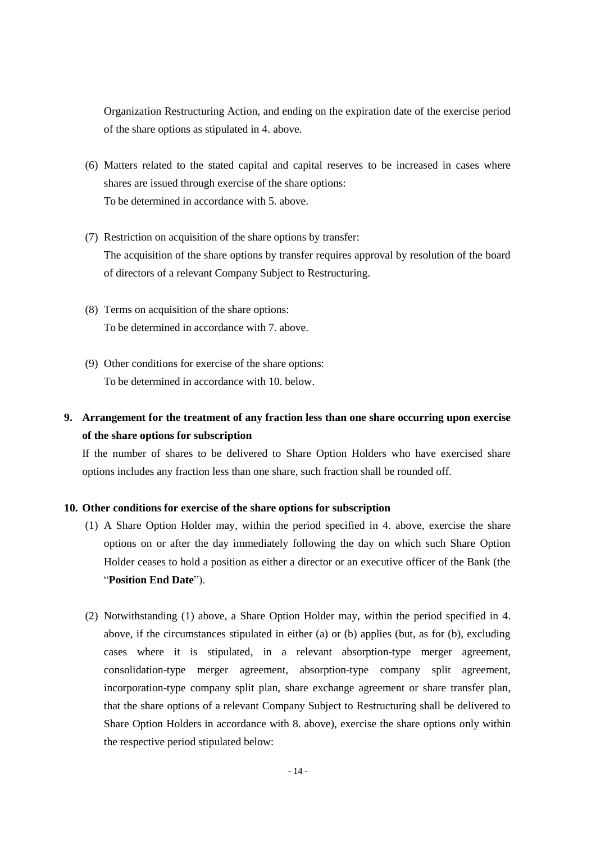Organization Restructuring Action, and ending on the expiration date of the exercise period of the share options as stipulated in 4. above.

- (6) Matters related to the stated capital and capital reserves to be increased in cases where shares are issued through exercise of the share options: To be determined in accordance with 5. above.
- (7) Restriction on acquisition of the share options by transfer: The acquisition of the share options by transfer requires approval by resolution of the board of directors of a relevant Company Subject to Restructuring.
- (8) Terms on acquisition of the share options: To be determined in accordance with 7. above.
- (9) Other conditions for exercise of the share options: To be determined in accordance with 10. below.

# **9. Arrangement for the treatment of any fraction less than one share occurring upon exercise of the share options for subscription**

If the number of shares to be delivered to Share Option Holders who have exercised share options includes any fraction less than one share, such fraction shall be rounded off.

## **10. Other conditions for exercise of the share options for subscription**

- (1) A Share Option Holder may, within the period specified in 4. above, exercise the share options on or after the day immediately following the day on which such Share Option Holder ceases to hold a position as either a director or an executive officer of the Bank (the "**Position End Date**").
- (2) Notwithstanding (1) above, a Share Option Holder may, within the period specified in 4. above, if the circumstances stipulated in either (a) or (b) applies (but, as for (b), excluding cases where it is stipulated, in a relevant absorption-type merger agreement, consolidation-type merger agreement, absorption-type company split agreement, incorporation-type company split plan, share exchange agreement or share transfer plan, that the share options of a relevant Company Subject to Restructuring shall be delivered to Share Option Holders in accordance with 8. above), exercise the share options only within the respective period stipulated below: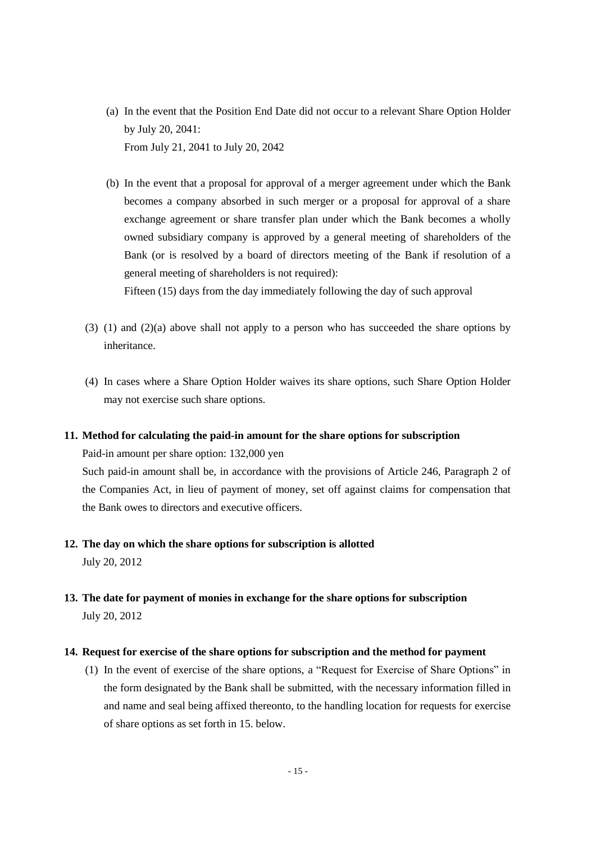- (a) In the event that the Position End Date did not occur to a relevant Share Option Holder by July 20, 2041: From July 21, 2041 to July 20, 2042
- (b) In the event that a proposal for approval of a merger agreement under which the Bank becomes a company absorbed in such merger or a proposal for approval of a share exchange agreement or share transfer plan under which the Bank becomes a wholly owned subsidiary company is approved by a general meeting of shareholders of the Bank (or is resolved by a board of directors meeting of the Bank if resolution of a general meeting of shareholders is not required):

Fifteen (15) days from the day immediately following the day of such approval

- (3) (1) and (2)(a) above shall not apply to a person who has succeeded the share options by inheritance.
- (4) In cases where a Share Option Holder waives its share options, such Share Option Holder may not exercise such share options.

#### **11. Method for calculating the paid-in amount for the share options for subscription**

Paid-in amount per share option: 132,000 yen

Such paid-in amount shall be, in accordance with the provisions of Article 246, Paragraph 2 of the Companies Act, in lieu of payment of money, set off against claims for compensation that the Bank owes to directors and executive officers.

# **12. The day on which the share options for subscription is allotted** July 20, 2012

**13. The date for payment of monies in exchange for the share options for subscription** July 20, 2012

## **14. Request for exercise of the share options for subscription and the method for payment**

(1) In the event of exercise of the share options, a "Request for Exercise of Share Options" in the form designated by the Bank shall be submitted, with the necessary information filled in and name and seal being affixed thereonto, to the handling location for requests for exercise of share options as set forth in 15. below.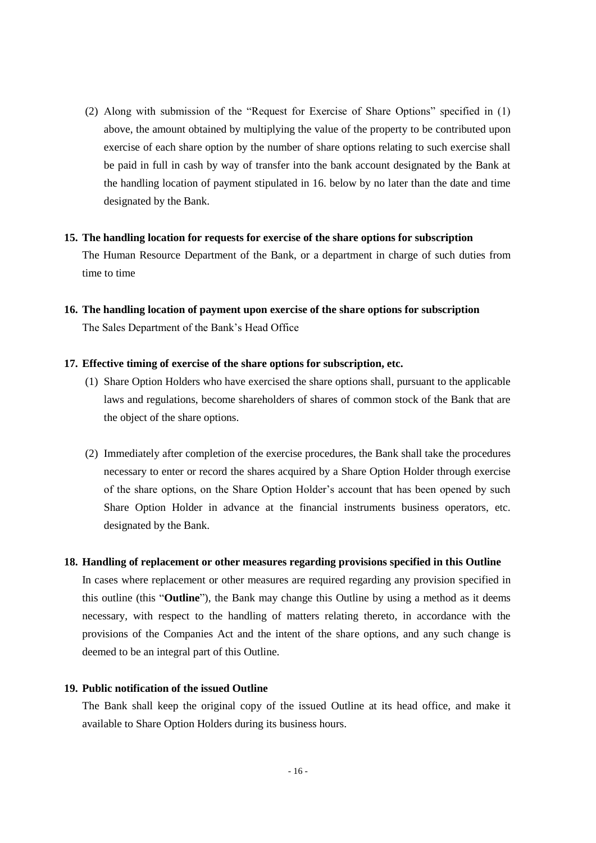(2) Along with submission of the "Request for Exercise of Share Options" specified in (1) above, the amount obtained by multiplying the value of the property to be contributed upon exercise of each share option by the number of share options relating to such exercise shall be paid in full in cash by way of transfer into the bank account designated by the Bank at the handling location of payment stipulated in 16. below by no later than the date and time designated by the Bank.

#### **15. The handling location for requests for exercise of the share options for subscription**

The Human Resource Department of the Bank, or a department in charge of such duties from time to time

**16. The handling location of payment upon exercise of the share options for subscription** The Sales Department of the Bank's Head Office

#### **17. Effective timing of exercise of the share options for subscription, etc.**

- (1) Share Option Holders who have exercised the share options shall, pursuant to the applicable laws and regulations, become shareholders of shares of common stock of the Bank that are the object of the share options.
- (2) Immediately after completion of the exercise procedures, the Bank shall take the procedures necessary to enter or record the shares acquired by a Share Option Holder through exercise of the share options, on the Share Option Holder's account that has been opened by such Share Option Holder in advance at the financial instruments business operators, etc. designated by the Bank.

#### **18. Handling of replacement or other measures regarding provisions specified in this Outline**

In cases where replacement or other measures are required regarding any provision specified in this outline (this "**Outline**"), the Bank may change this Outline by using a method as it deems necessary, with respect to the handling of matters relating thereto, in accordance with the provisions of the Companies Act and the intent of the share options, and any such change is deemed to be an integral part of this Outline.

## **19. Public notification of the issued Outline**

The Bank shall keep the original copy of the issued Outline at its head office, and make it available to Share Option Holders during its business hours.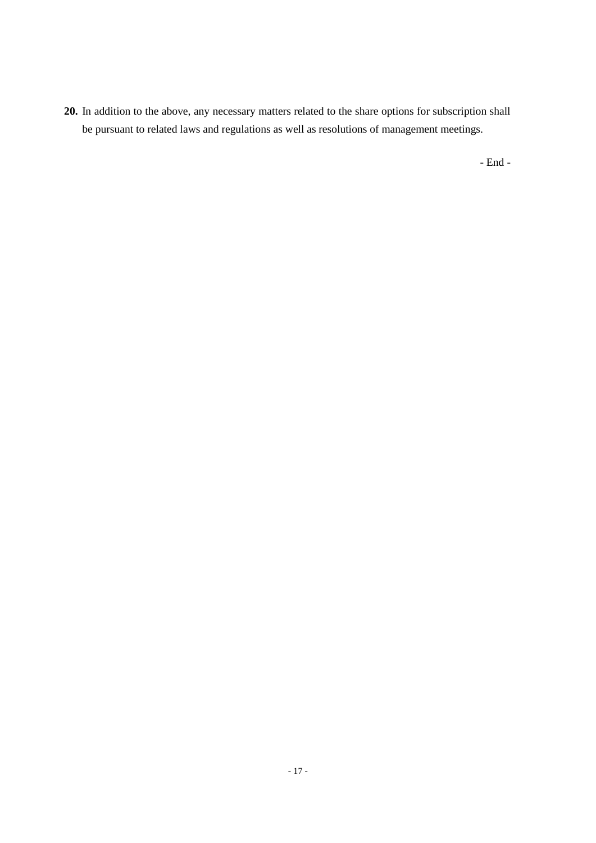**20.** In addition to the above, any necessary matters related to the share options for subscription shall be pursuant to related laws and regulations as well as resolutions of management meetings.

- End -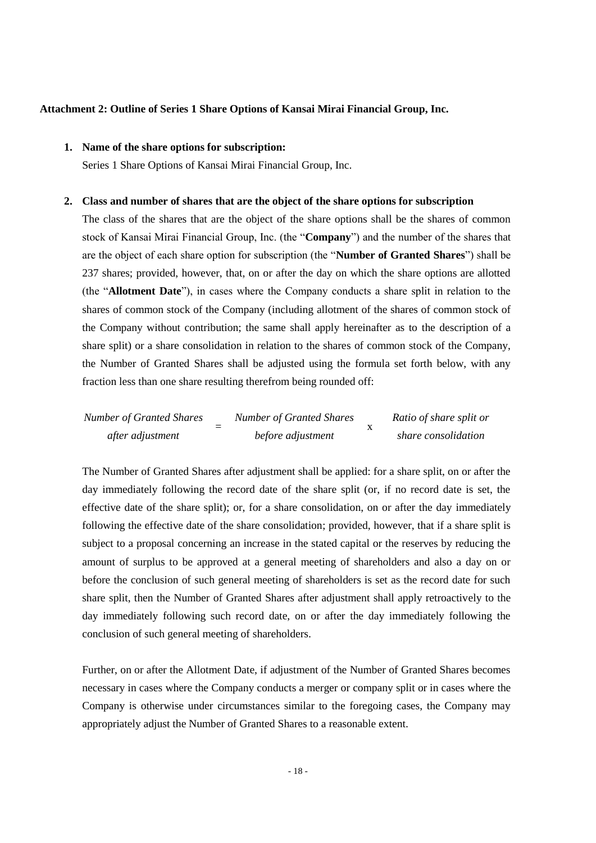#### **Attachment 2: Outline of Series 1 Share Options of Kansai Mirai Financial Group, Inc.**

## **1. Name of the share options for subscription:**

Series 1 Share Options of Kansai Mirai Financial Group, Inc.

#### **2. Class and number of shares that are the object of the share options for subscription**

The class of the shares that are the object of the share options shall be the shares of common stock of Kansai Mirai Financial Group, Inc. (the "**Company**") and the number of the shares that are the object of each share option for subscription (the "**Number of Granted Shares**") shall be 237 shares; provided, however, that, on or after the day on which the share options are allotted (the "**Allotment Date**"), in cases where the Company conducts a share split in relation to the shares of common stock of the Company (including allotment of the shares of common stock of the Company without contribution; the same shall apply hereinafter as to the description of a share split) or a share consolidation in relation to the shares of common stock of the Company, the Number of Granted Shares shall be adjusted using the formula set forth below, with any fraction less than one share resulting therefrom being rounded off:

| <b>Number of Granted Shares</b> | <b>Number of Granted Shares</b> | Ratio of share split or |
|---------------------------------|---------------------------------|-------------------------|
| after adjustment                | before adjustment               | share consolidation     |

The Number of Granted Shares after adjustment shall be applied: for a share split, on or after the day immediately following the record date of the share split (or, if no record date is set, the effective date of the share split); or, for a share consolidation, on or after the day immediately following the effective date of the share consolidation; provided, however, that if a share split is subject to a proposal concerning an increase in the stated capital or the reserves by reducing the amount of surplus to be approved at a general meeting of shareholders and also a day on or before the conclusion of such general meeting of shareholders is set as the record date for such share split, then the Number of Granted Shares after adjustment shall apply retroactively to the day immediately following such record date, on or after the day immediately following the conclusion of such general meeting of shareholders.

Further, on or after the Allotment Date, if adjustment of the Number of Granted Shares becomes necessary in cases where the Company conducts a merger or company split or in cases where the Company is otherwise under circumstances similar to the foregoing cases, the Company may appropriately adjust the Number of Granted Shares to a reasonable extent.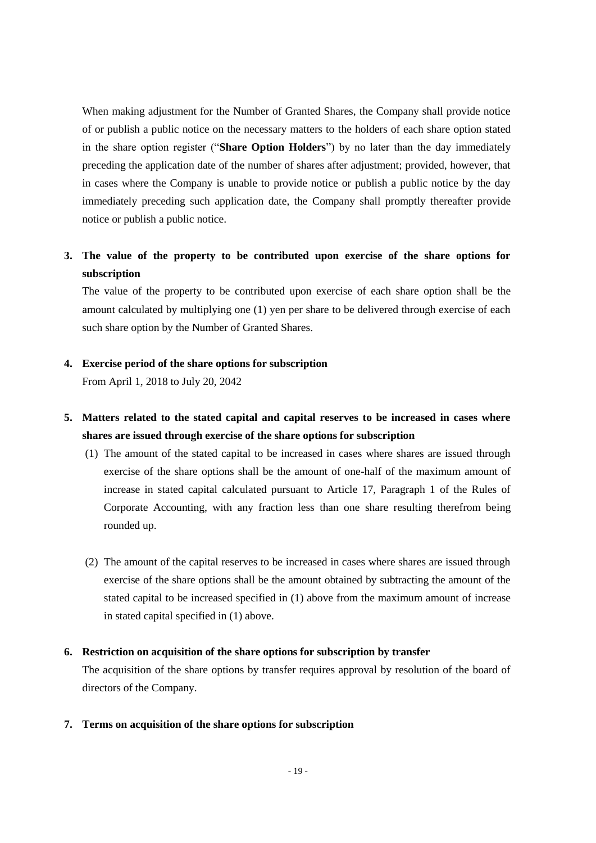When making adjustment for the Number of Granted Shares, the Company shall provide notice of or publish a public notice on the necessary matters to the holders of each share option stated in the share option register ("**Share Option Holders**") by no later than the day immediately preceding the application date of the number of shares after adjustment; provided, however, that in cases where the Company is unable to provide notice or publish a public notice by the day immediately preceding such application date, the Company shall promptly thereafter provide notice or publish a public notice.

# **3. The value of the property to be contributed upon exercise of the share options for subscription**

The value of the property to be contributed upon exercise of each share option shall be the amount calculated by multiplying one (1) yen per share to be delivered through exercise of each such share option by the Number of Granted Shares.

### **4. Exercise period of the share options for subscription**

From April 1, 2018 to July 20, 2042

# **5. Matters related to the stated capital and capital reserves to be increased in cases where shares are issued through exercise of the share options for subscription**

- (1) The amount of the stated capital to be increased in cases where shares are issued through exercise of the share options shall be the amount of one-half of the maximum amount of increase in stated capital calculated pursuant to Article 17, Paragraph 1 of the Rules of Corporate Accounting, with any fraction less than one share resulting therefrom being rounded up.
- (2) The amount of the capital reserves to be increased in cases where shares are issued through exercise of the share options shall be the amount obtained by subtracting the amount of the stated capital to be increased specified in (1) above from the maximum amount of increase in stated capital specified in (1) above.

## **6. Restriction on acquisition of the share options for subscription by transfer**

The acquisition of the share options by transfer requires approval by resolution of the board of directors of the Company.

#### **7. Terms on acquisition of the share options for subscription**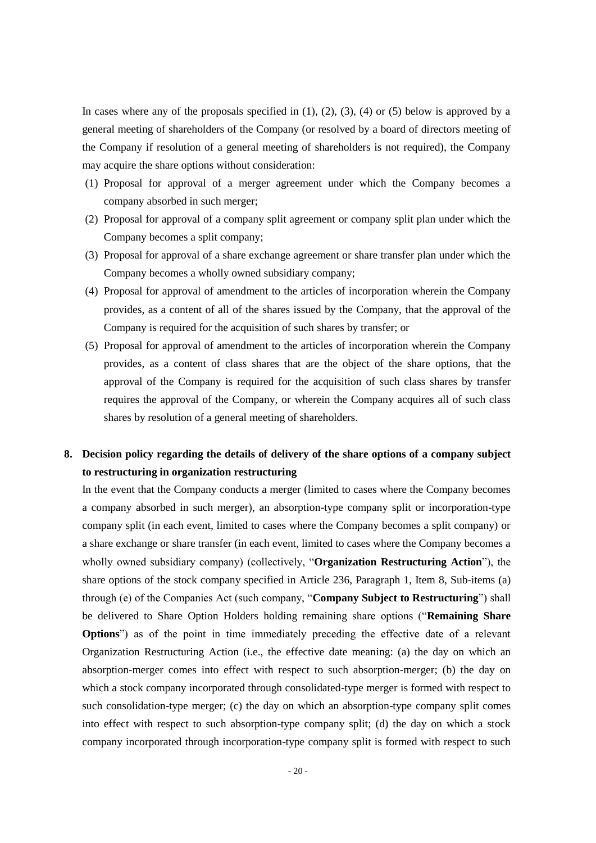In cases where any of the proposals specified in  $(1)$ ,  $(2)$ ,  $(3)$ ,  $(4)$  or  $(5)$  below is approved by a general meeting of shareholders of the Company (or resolved by a board of directors meeting of the Company if resolution of a general meeting of shareholders is not required), the Company may acquire the share options without consideration:

- (1) Proposal for approval of a merger agreement under which the Company becomes a company absorbed in such merger;
- (2) Proposal for approval of a company split agreement or company split plan under which the Company becomes a split company;
- (3) Proposal for approval of a share exchange agreement or share transfer plan under which the Company becomes a wholly owned subsidiary company;
- (4) Proposal for approval of amendment to the articles of incorporation wherein the Company provides, as a content of all of the shares issued by the Company, that the approval of the Company is required for the acquisition of such shares by transfer; or
- (5) Proposal for approval of amendment to the articles of incorporation wherein the Company provides, as a content of class shares that are the object of the share options, that the approval of the Company is required for the acquisition of such class shares by transfer requires the approval of the Company, or wherein the Company acquires all of such class shares by resolution of a general meeting of shareholders.

# **8. Decision policy regarding the details of delivery of the share options of a company subject to restructuring in organization restructuring**

In the event that the Company conducts a merger (limited to cases where the Company becomes a company absorbed in such merger), an absorption-type company split or incorporation-type company split (in each event, limited to cases where the Company becomes a split company) or a share exchange or share transfer (in each event, limited to cases where the Company becomes a wholly owned subsidiary company) (collectively, "**Organization Restructuring Action**"), the share options of the stock company specified in Article 236, Paragraph 1, Item 8, Sub-items (a) through (e) of the Companies Act (such company, "**Company Subject to Restructuring**") shall be delivered to Share Option Holders holding remaining share options ("**Remaining Share Options**") as of the point in time immediately preceding the effective date of a relevant Organization Restructuring Action (i.e., the effective date meaning: (a) the day on which an absorption-merger comes into effect with respect to such absorption-merger; (b) the day on which a stock company incorporated through consolidated-type merger is formed with respect to such consolidation-type merger; (c) the day on which an absorption-type company split comes into effect with respect to such absorption-type company split; (d) the day on which a stock company incorporated through incorporation-type company split is formed with respect to such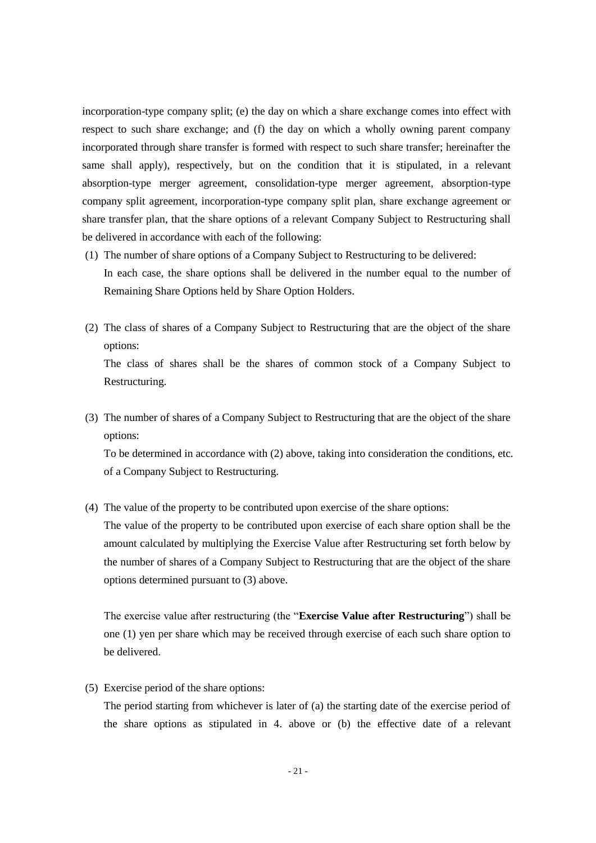incorporation-type company split; (e) the day on which a share exchange comes into effect with respect to such share exchange; and (f) the day on which a wholly owning parent company incorporated through share transfer is formed with respect to such share transfer; hereinafter the same shall apply), respectively, but on the condition that it is stipulated, in a relevant absorption-type merger agreement, consolidation-type merger agreement, absorption-type company split agreement, incorporation-type company split plan, share exchange agreement or share transfer plan, that the share options of a relevant Company Subject to Restructuring shall be delivered in accordance with each of the following:

- (1) The number of share options of a Company Subject to Restructuring to be delivered: In each case, the share options shall be delivered in the number equal to the number of Remaining Share Options held by Share Option Holders.
- (2) The class of shares of a Company Subject to Restructuring that are the object of the share options: The class of shares shall be the shares of common stock of a Company Subject to

Restructuring.

(3) The number of shares of a Company Subject to Restructuring that are the object of the share options:

To be determined in accordance with (2) above, taking into consideration the conditions, etc. of a Company Subject to Restructuring.

(4) The value of the property to be contributed upon exercise of the share options:

The value of the property to be contributed upon exercise of each share option shall be the amount calculated by multiplying the Exercise Value after Restructuring set forth below by the number of shares of a Company Subject to Restructuring that are the object of the share options determined pursuant to (3) above.

The exercise value after restructuring (the "**Exercise Value after Restructuring**") shall be one (1) yen per share which may be received through exercise of each such share option to be delivered.

(5) Exercise period of the share options:

The period starting from whichever is later of (a) the starting date of the exercise period of the share options as stipulated in 4. above or (b) the effective date of a relevant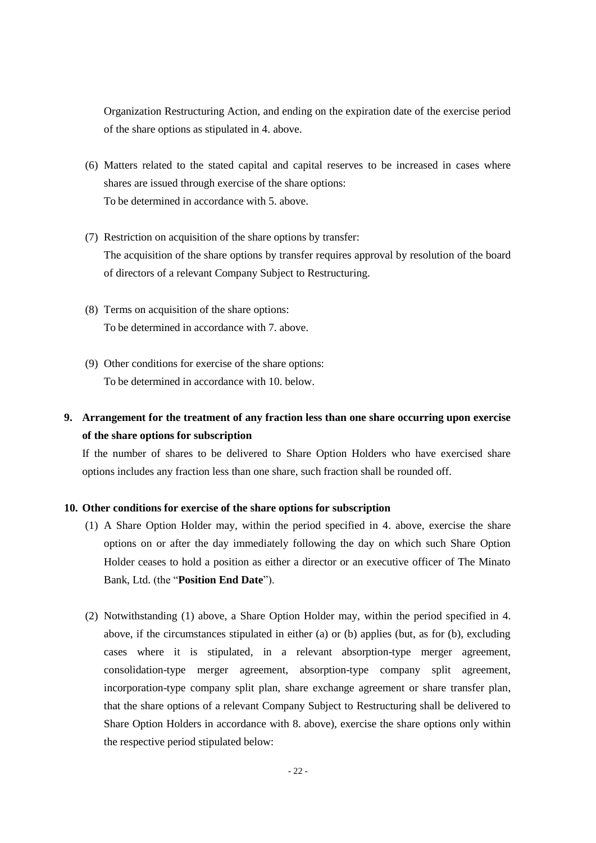Organization Restructuring Action, and ending on the expiration date of the exercise period of the share options as stipulated in 4. above.

- (6) Matters related to the stated capital and capital reserves to be increased in cases where shares are issued through exercise of the share options: To be determined in accordance with 5. above.
- (7) Restriction on acquisition of the share options by transfer: The acquisition of the share options by transfer requires approval by resolution of the board of directors of a relevant Company Subject to Restructuring.
- (8) Terms on acquisition of the share options: To be determined in accordance with 7. above.
- (9) Other conditions for exercise of the share options: To be determined in accordance with 10. below.

# **9. Arrangement for the treatment of any fraction less than one share occurring upon exercise of the share options for subscription**

If the number of shares to be delivered to Share Option Holders who have exercised share options includes any fraction less than one share, such fraction shall be rounded off.

## **10. Other conditions for exercise of the share options for subscription**

- (1) A Share Option Holder may, within the period specified in 4. above, exercise the share options on or after the day immediately following the day on which such Share Option Holder ceases to hold a position as either a director or an executive officer of The Minato Bank, Ltd. (the "**Position End Date**").
- (2) Notwithstanding (1) above, a Share Option Holder may, within the period specified in 4. above, if the circumstances stipulated in either (a) or (b) applies (but, as for (b), excluding cases where it is stipulated, in a relevant absorption-type merger agreement, consolidation-type merger agreement, absorption-type company split agreement, incorporation-type company split plan, share exchange agreement or share transfer plan, that the share options of a relevant Company Subject to Restructuring shall be delivered to Share Option Holders in accordance with 8. above), exercise the share options only within the respective period stipulated below: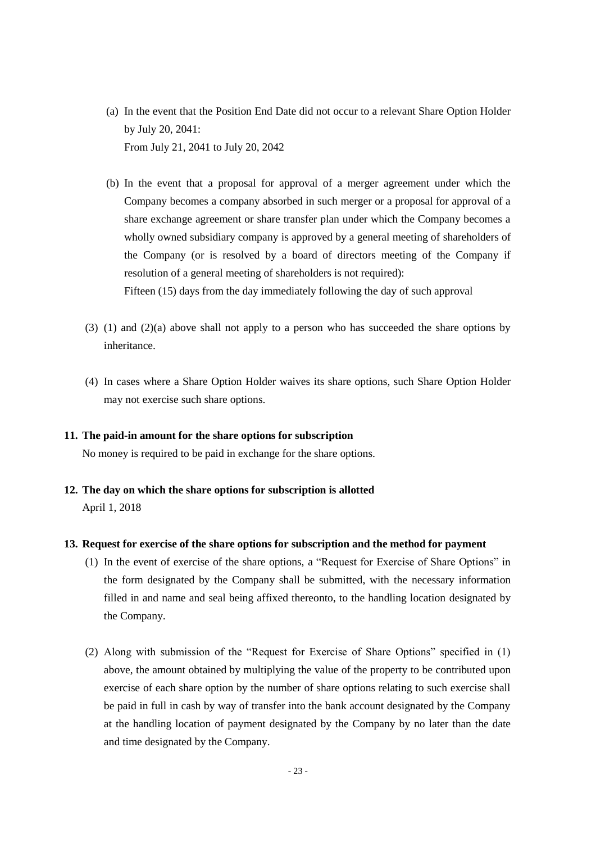- (a) In the event that the Position End Date did not occur to a relevant Share Option Holder by July 20, 2041: From July 21, 2041 to July 20, 2042
- (b) In the event that a proposal for approval of a merger agreement under which the Company becomes a company absorbed in such merger or a proposal for approval of a share exchange agreement or share transfer plan under which the Company becomes a wholly owned subsidiary company is approved by a general meeting of shareholders of the Company (or is resolved by a board of directors meeting of the Company if resolution of a general meeting of shareholders is not required): Fifteen (15) days from the day immediately following the day of such approval
- (3) (1) and (2)(a) above shall not apply to a person who has succeeded the share options by inheritance.
- (4) In cases where a Share Option Holder waives its share options, such Share Option Holder may not exercise such share options.

#### **11. The paid-in amount for the share options for subscription**

No money is required to be paid in exchange for the share options.

**12. The day on which the share options for subscription is allotted** April 1, 2018

### **13. Request for exercise of the share options for subscription and the method for payment**

- (1) In the event of exercise of the share options, a "Request for Exercise of Share Options" in the form designated by the Company shall be submitted, with the necessary information filled in and name and seal being affixed thereonto, to the handling location designated by the Company.
- (2) Along with submission of the "Request for Exercise of Share Options" specified in (1) above, the amount obtained by multiplying the value of the property to be contributed upon exercise of each share option by the number of share options relating to such exercise shall be paid in full in cash by way of transfer into the bank account designated by the Company at the handling location of payment designated by the Company by no later than the date and time designated by the Company.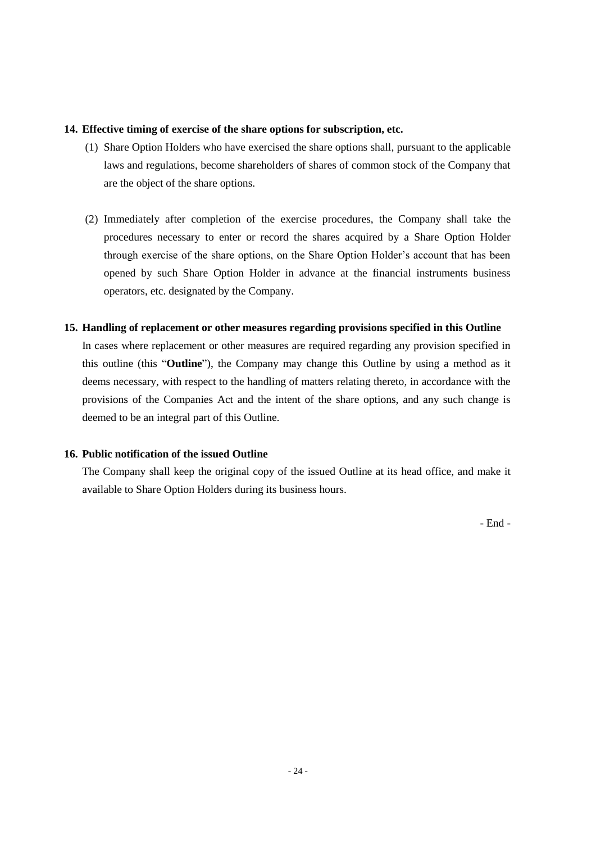### **14. Effective timing of exercise of the share options for subscription, etc.**

- (1) Share Option Holders who have exercised the share options shall, pursuant to the applicable laws and regulations, become shareholders of shares of common stock of the Company that are the object of the share options.
- (2) Immediately after completion of the exercise procedures, the Company shall take the procedures necessary to enter or record the shares acquired by a Share Option Holder through exercise of the share options, on the Share Option Holder's account that has been opened by such Share Option Holder in advance at the financial instruments business operators, etc. designated by the Company.

## **15. Handling of replacement or other measures regarding provisions specified in this Outline**

In cases where replacement or other measures are required regarding any provision specified in this outline (this "**Outline**"), the Company may change this Outline by using a method as it deems necessary, with respect to the handling of matters relating thereto, in accordance with the provisions of the Companies Act and the intent of the share options, and any such change is deemed to be an integral part of this Outline.

## **16. Public notification of the issued Outline**

The Company shall keep the original copy of the issued Outline at its head office, and make it available to Share Option Holders during its business hours.

- End -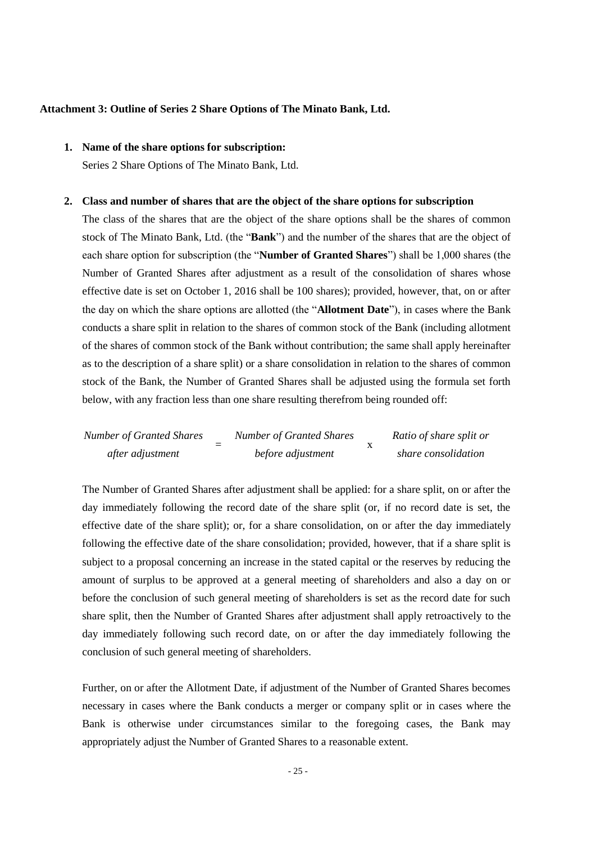#### **Attachment 3: Outline of Series 2 Share Options of The Minato Bank, Ltd.**

# **1. Name of the share options for subscription:**

Series 2 Share Options of The Minato Bank, Ltd.

#### **2. Class and number of shares that are the object of the share options for subscription**

The class of the shares that are the object of the share options shall be the shares of common stock of The Minato Bank, Ltd. (the "**Bank**") and the number of the shares that are the object of each share option for subscription (the "**Number of Granted Shares**") shall be 1,000 shares (the Number of Granted Shares after adjustment as a result of the consolidation of shares whose effective date is set on October 1, 2016 shall be 100 shares); provided, however, that, on or after the day on which the share options are allotted (the "**Allotment Date**"), in cases where the Bank conducts a share split in relation to the shares of common stock of the Bank (including allotment of the shares of common stock of the Bank without contribution; the same shall apply hereinafter as to the description of a share split) or a share consolidation in relation to the shares of common stock of the Bank, the Number of Granted Shares shall be adjusted using the formula set forth below, with any fraction less than one share resulting therefrom being rounded off:

*Number of Granted Shares after adjustment* = *Number of Granted Shares before adjustment* x *Ratio of share split or share consolidation*

The Number of Granted Shares after adjustment shall be applied: for a share split, on or after the day immediately following the record date of the share split (or, if no record date is set, the effective date of the share split); or, for a share consolidation, on or after the day immediately following the effective date of the share consolidation; provided, however, that if a share split is subject to a proposal concerning an increase in the stated capital or the reserves by reducing the amount of surplus to be approved at a general meeting of shareholders and also a day on or before the conclusion of such general meeting of shareholders is set as the record date for such share split, then the Number of Granted Shares after adjustment shall apply retroactively to the day immediately following such record date, on or after the day immediately following the conclusion of such general meeting of shareholders.

Further, on or after the Allotment Date, if adjustment of the Number of Granted Shares becomes necessary in cases where the Bank conducts a merger or company split or in cases where the Bank is otherwise under circumstances similar to the foregoing cases, the Bank may appropriately adjust the Number of Granted Shares to a reasonable extent.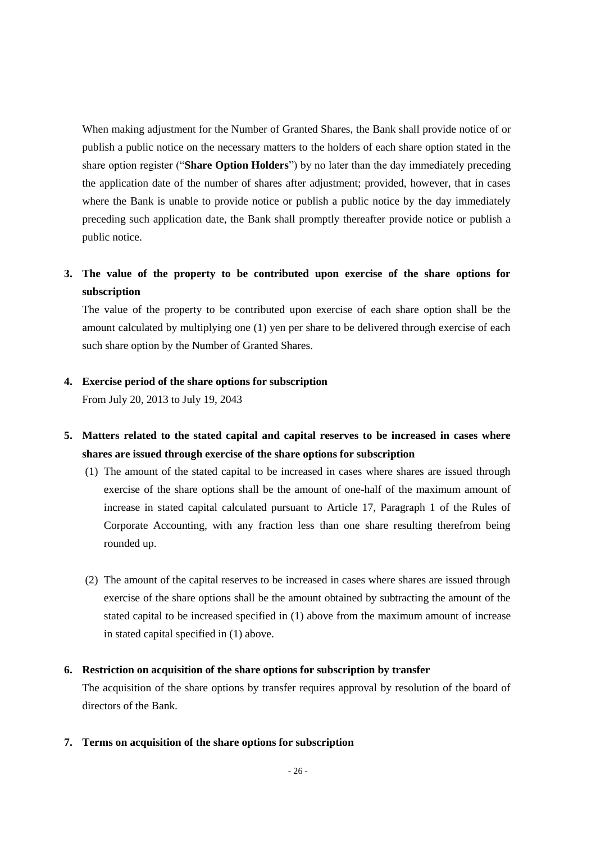When making adjustment for the Number of Granted Shares, the Bank shall provide notice of or publish a public notice on the necessary matters to the holders of each share option stated in the share option register ("**Share Option Holders**") by no later than the day immediately preceding the application date of the number of shares after adjustment; provided, however, that in cases where the Bank is unable to provide notice or publish a public notice by the day immediately preceding such application date, the Bank shall promptly thereafter provide notice or publish a public notice.

# **3. The value of the property to be contributed upon exercise of the share options for subscription**

The value of the property to be contributed upon exercise of each share option shall be the amount calculated by multiplying one (1) yen per share to be delivered through exercise of each such share option by the Number of Granted Shares.

### **4. Exercise period of the share options for subscription**

From July 20, 2013 to July 19, 2043

- **5. Matters related to the stated capital and capital reserves to be increased in cases where shares are issued through exercise of the share options for subscription**
	- (1) The amount of the stated capital to be increased in cases where shares are issued through exercise of the share options shall be the amount of one-half of the maximum amount of increase in stated capital calculated pursuant to Article 17, Paragraph 1 of the Rules of Corporate Accounting, with any fraction less than one share resulting therefrom being rounded up.
	- (2) The amount of the capital reserves to be increased in cases where shares are issued through exercise of the share options shall be the amount obtained by subtracting the amount of the stated capital to be increased specified in (1) above from the maximum amount of increase in stated capital specified in (1) above.

### **6. Restriction on acquisition of the share options for subscription by transfer**

The acquisition of the share options by transfer requires approval by resolution of the board of directors of the Bank.

**7. Terms on acquisition of the share options for subscription**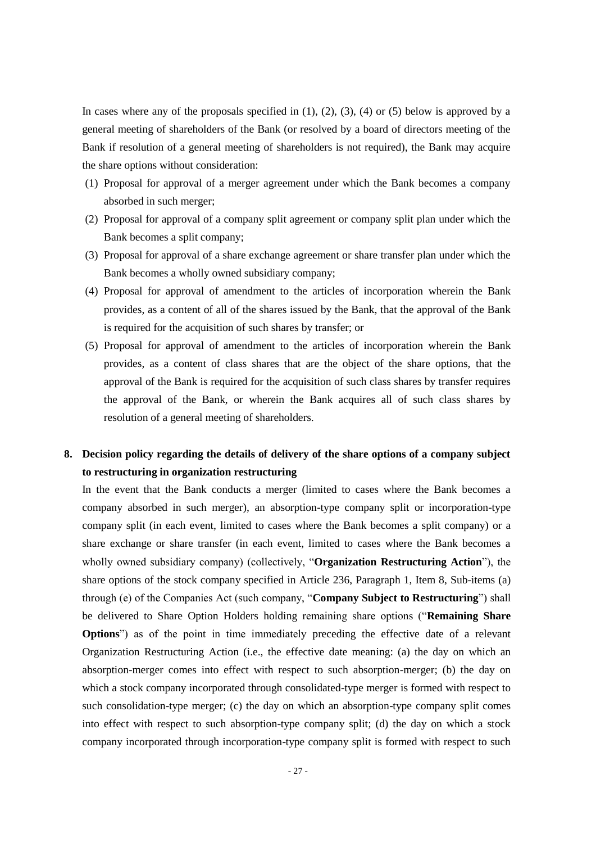In cases where any of the proposals specified in  $(1)$ ,  $(2)$ ,  $(3)$ ,  $(4)$  or  $(5)$  below is approved by a general meeting of shareholders of the Bank (or resolved by a board of directors meeting of the Bank if resolution of a general meeting of shareholders is not required), the Bank may acquire the share options without consideration:

- (1) Proposal for approval of a merger agreement under which the Bank becomes a company absorbed in such merger;
- (2) Proposal for approval of a company split agreement or company split plan under which the Bank becomes a split company;
- (3) Proposal for approval of a share exchange agreement or share transfer plan under which the Bank becomes a wholly owned subsidiary company;
- (4) Proposal for approval of amendment to the articles of incorporation wherein the Bank provides, as a content of all of the shares issued by the Bank, that the approval of the Bank is required for the acquisition of such shares by transfer; or
- (5) Proposal for approval of amendment to the articles of incorporation wherein the Bank provides, as a content of class shares that are the object of the share options, that the approval of the Bank is required for the acquisition of such class shares by transfer requires the approval of the Bank, or wherein the Bank acquires all of such class shares by resolution of a general meeting of shareholders.

# **8. Decision policy regarding the details of delivery of the share options of a company subject to restructuring in organization restructuring**

In the event that the Bank conducts a merger (limited to cases where the Bank becomes a company absorbed in such merger), an absorption-type company split or incorporation-type company split (in each event, limited to cases where the Bank becomes a split company) or a share exchange or share transfer (in each event, limited to cases where the Bank becomes a wholly owned subsidiary company) (collectively, "**Organization Restructuring Action**"), the share options of the stock company specified in Article 236, Paragraph 1, Item 8, Sub-items (a) through (e) of the Companies Act (such company, "**Company Subject to Restructuring**") shall be delivered to Share Option Holders holding remaining share options ("**Remaining Share Options**") as of the point in time immediately preceding the effective date of a relevant Organization Restructuring Action (i.e., the effective date meaning: (a) the day on which an absorption-merger comes into effect with respect to such absorption-merger; (b) the day on which a stock company incorporated through consolidated-type merger is formed with respect to such consolidation-type merger; (c) the day on which an absorption-type company split comes into effect with respect to such absorption-type company split; (d) the day on which a stock company incorporated through incorporation-type company split is formed with respect to such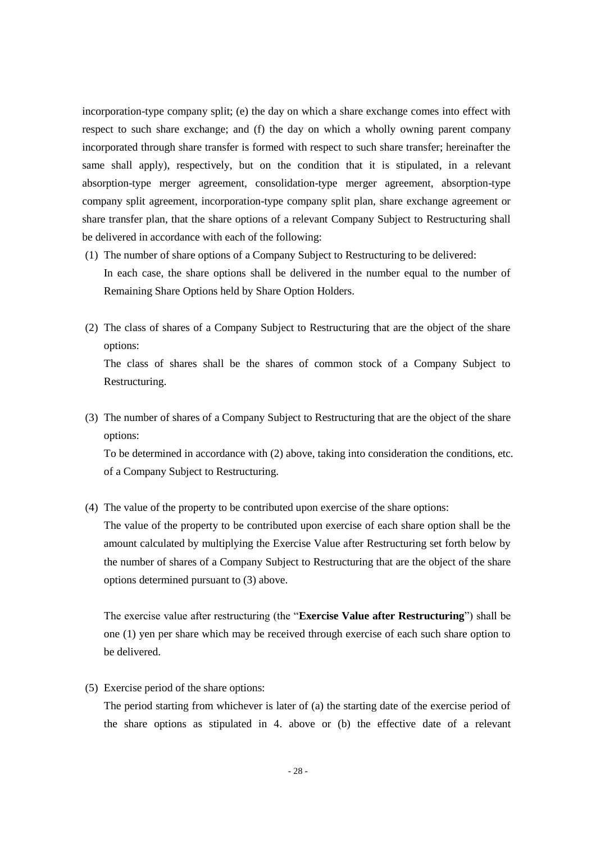incorporation-type company split; (e) the day on which a share exchange comes into effect with respect to such share exchange; and (f) the day on which a wholly owning parent company incorporated through share transfer is formed with respect to such share transfer; hereinafter the same shall apply), respectively, but on the condition that it is stipulated, in a relevant absorption-type merger agreement, consolidation-type merger agreement, absorption-type company split agreement, incorporation-type company split plan, share exchange agreement or share transfer plan, that the share options of a relevant Company Subject to Restructuring shall be delivered in accordance with each of the following:

- (1) The number of share options of a Company Subject to Restructuring to be delivered: In each case, the share options shall be delivered in the number equal to the number of Remaining Share Options held by Share Option Holders.
- (2) The class of shares of a Company Subject to Restructuring that are the object of the share options: The class of shares shall be the shares of common stock of a Company Subject to

Restructuring.

(3) The number of shares of a Company Subject to Restructuring that are the object of the share options:

To be determined in accordance with (2) above, taking into consideration the conditions, etc. of a Company Subject to Restructuring.

(4) The value of the property to be contributed upon exercise of the share options:

The value of the property to be contributed upon exercise of each share option shall be the amount calculated by multiplying the Exercise Value after Restructuring set forth below by the number of shares of a Company Subject to Restructuring that are the object of the share options determined pursuant to (3) above.

The exercise value after restructuring (the "**Exercise Value after Restructuring**") shall be one (1) yen per share which may be received through exercise of each such share option to be delivered.

(5) Exercise period of the share options:

The period starting from whichever is later of (a) the starting date of the exercise period of the share options as stipulated in 4. above or (b) the effective date of a relevant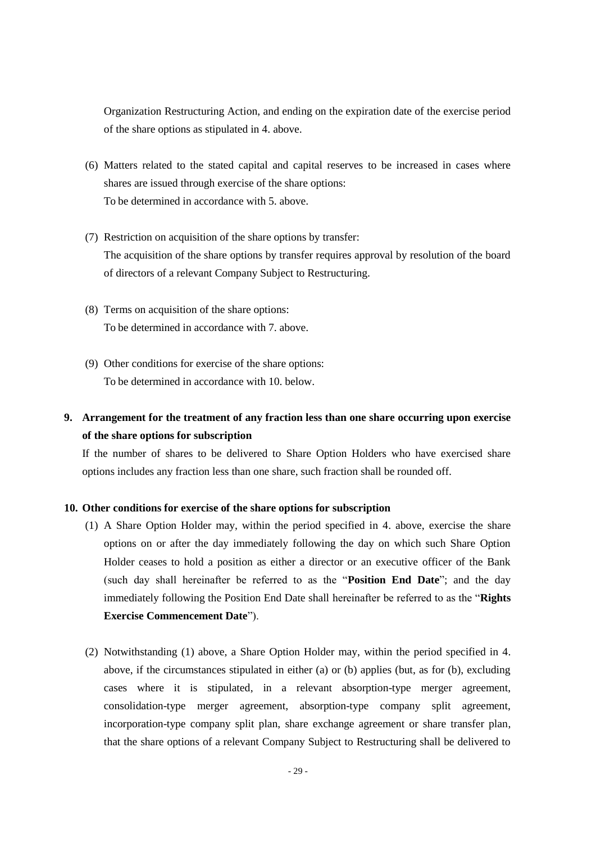Organization Restructuring Action, and ending on the expiration date of the exercise period of the share options as stipulated in 4. above.

- (6) Matters related to the stated capital and capital reserves to be increased in cases where shares are issued through exercise of the share options: To be determined in accordance with 5. above.
- (7) Restriction on acquisition of the share options by transfer: The acquisition of the share options by transfer requires approval by resolution of the board of directors of a relevant Company Subject to Restructuring.
- (8) Terms on acquisition of the share options: To be determined in accordance with 7. above.
- (9) Other conditions for exercise of the share options: To be determined in accordance with 10. below.

# **9. Arrangement for the treatment of any fraction less than one share occurring upon exercise of the share options for subscription**

If the number of shares to be delivered to Share Option Holders who have exercised share options includes any fraction less than one share, such fraction shall be rounded off.

#### **10. Other conditions for exercise of the share options for subscription**

- (1) A Share Option Holder may, within the period specified in 4. above, exercise the share options on or after the day immediately following the day on which such Share Option Holder ceases to hold a position as either a director or an executive officer of the Bank (such day shall hereinafter be referred to as the "**Position End Date**"; and the day immediately following the Position End Date shall hereinafter be referred to as the "**Rights Exercise Commencement Date**").
- (2) Notwithstanding (1) above, a Share Option Holder may, within the period specified in 4. above, if the circumstances stipulated in either (a) or (b) applies (but, as for (b), excluding cases where it is stipulated, in a relevant absorption-type merger agreement, consolidation-type merger agreement, absorption-type company split agreement, incorporation-type company split plan, share exchange agreement or share transfer plan, that the share options of a relevant Company Subject to Restructuring shall be delivered to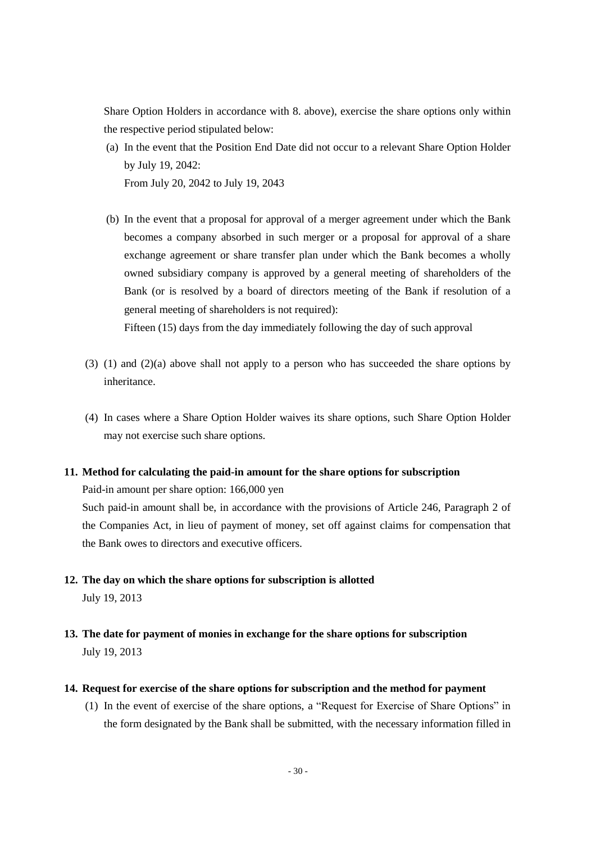Share Option Holders in accordance with 8. above), exercise the share options only within the respective period stipulated below:

- (a) In the event that the Position End Date did not occur to a relevant Share Option Holder by July 19, 2042: From July 20, 2042 to July 19, 2043
- (b) In the event that a proposal for approval of a merger agreement under which the Bank becomes a company absorbed in such merger or a proposal for approval of a share exchange agreement or share transfer plan under which the Bank becomes a wholly owned subsidiary company is approved by a general meeting of shareholders of the Bank (or is resolved by a board of directors meeting of the Bank if resolution of a general meeting of shareholders is not required):

Fifteen (15) days from the day immediately following the day of such approval

- (3) (1) and (2)(a) above shall not apply to a person who has succeeded the share options by inheritance.
- (4) In cases where a Share Option Holder waives its share options, such Share Option Holder may not exercise such share options.

#### **11. Method for calculating the paid-in amount for the share options for subscription**

Paid-in amount per share option: 166,000 yen

Such paid-in amount shall be, in accordance with the provisions of Article 246, Paragraph 2 of the Companies Act, in lieu of payment of money, set off against claims for compensation that the Bank owes to directors and executive officers.

- **12. The day on which the share options for subscription is allotted** July 19, 2013
- **13. The date for payment of monies in exchange for the share options for subscription** July 19, 2013
- **14. Request for exercise of the share options for subscription and the method for payment**
	- (1) In the event of exercise of the share options, a "Request for Exercise of Share Options" in the form designated by the Bank shall be submitted, with the necessary information filled in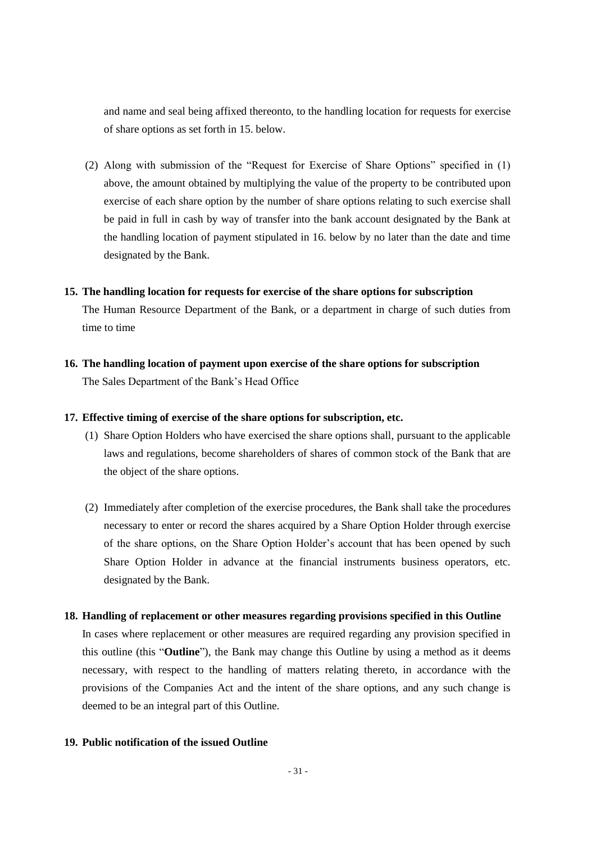and name and seal being affixed thereonto, to the handling location for requests for exercise of share options as set forth in 15. below.

(2) Along with submission of the "Request for Exercise of Share Options" specified in (1) above, the amount obtained by multiplying the value of the property to be contributed upon exercise of each share option by the number of share options relating to such exercise shall be paid in full in cash by way of transfer into the bank account designated by the Bank at the handling location of payment stipulated in 16. below by no later than the date and time designated by the Bank.

#### **15. The handling location for requests for exercise of the share options for subscription**

The Human Resource Department of the Bank, or a department in charge of such duties from time to time

**16. The handling location of payment upon exercise of the share options for subscription** The Sales Department of the Bank's Head Office

### **17. Effective timing of exercise of the share options for subscription, etc.**

- (1) Share Option Holders who have exercised the share options shall, pursuant to the applicable laws and regulations, become shareholders of shares of common stock of the Bank that are the object of the share options.
- (2) Immediately after completion of the exercise procedures, the Bank shall take the procedures necessary to enter or record the shares acquired by a Share Option Holder through exercise of the share options, on the Share Option Holder's account that has been opened by such Share Option Holder in advance at the financial instruments business operators, etc. designated by the Bank.

#### **18. Handling of replacement or other measures regarding provisions specified in this Outline**

In cases where replacement or other measures are required regarding any provision specified in this outline (this "**Outline**"), the Bank may change this Outline by using a method as it deems necessary, with respect to the handling of matters relating thereto, in accordance with the provisions of the Companies Act and the intent of the share options, and any such change is deemed to be an integral part of this Outline.

### **19. Public notification of the issued Outline**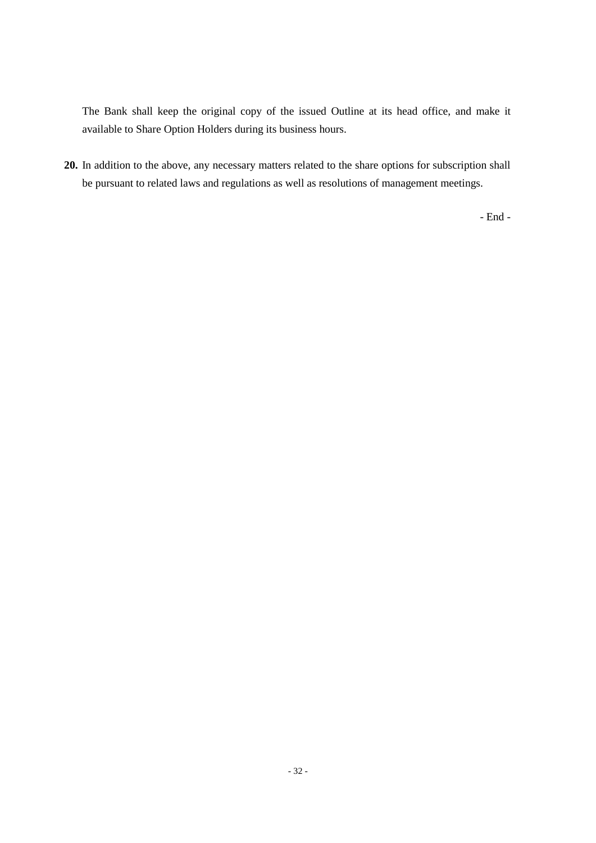The Bank shall keep the original copy of the issued Outline at its head office, and make it available to Share Option Holders during its business hours.

**20.** In addition to the above, any necessary matters related to the share options for subscription shall be pursuant to related laws and regulations as well as resolutions of management meetings.

- End -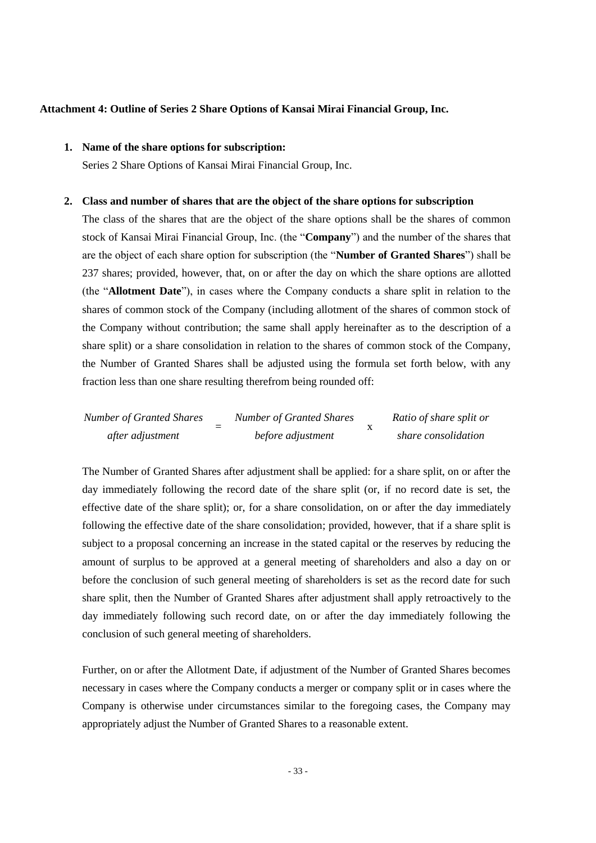#### **Attachment 4: Outline of Series 2 Share Options of Kansai Mirai Financial Group, Inc.**

### **1. Name of the share options for subscription:**

Series 2 Share Options of Kansai Mirai Financial Group, Inc.

#### **2. Class and number of shares that are the object of the share options for subscription**

The class of the shares that are the object of the share options shall be the shares of common stock of Kansai Mirai Financial Group, Inc. (the "**Company**") and the number of the shares that are the object of each share option for subscription (the "**Number of Granted Shares**") shall be 237 shares; provided, however, that, on or after the day on which the share options are allotted (the "**Allotment Date**"), in cases where the Company conducts a share split in relation to the shares of common stock of the Company (including allotment of the shares of common stock of the Company without contribution; the same shall apply hereinafter as to the description of a share split) or a share consolidation in relation to the shares of common stock of the Company, the Number of Granted Shares shall be adjusted using the formula set forth below, with any fraction less than one share resulting therefrom being rounded off:

| <b>Number of Granted Shares</b> | <b>Number of Granted Shares</b> | Ratio of share split or |
|---------------------------------|---------------------------------|-------------------------|
| after adjustment                | before adjustment               | share consolidation     |

The Number of Granted Shares after adjustment shall be applied: for a share split, on or after the day immediately following the record date of the share split (or, if no record date is set, the effective date of the share split); or, for a share consolidation, on or after the day immediately following the effective date of the share consolidation; provided, however, that if a share split is subject to a proposal concerning an increase in the stated capital or the reserves by reducing the amount of surplus to be approved at a general meeting of shareholders and also a day on or before the conclusion of such general meeting of shareholders is set as the record date for such share split, then the Number of Granted Shares after adjustment shall apply retroactively to the day immediately following such record date, on or after the day immediately following the conclusion of such general meeting of shareholders.

Further, on or after the Allotment Date, if adjustment of the Number of Granted Shares becomes necessary in cases where the Company conducts a merger or company split or in cases where the Company is otherwise under circumstances similar to the foregoing cases, the Company may appropriately adjust the Number of Granted Shares to a reasonable extent.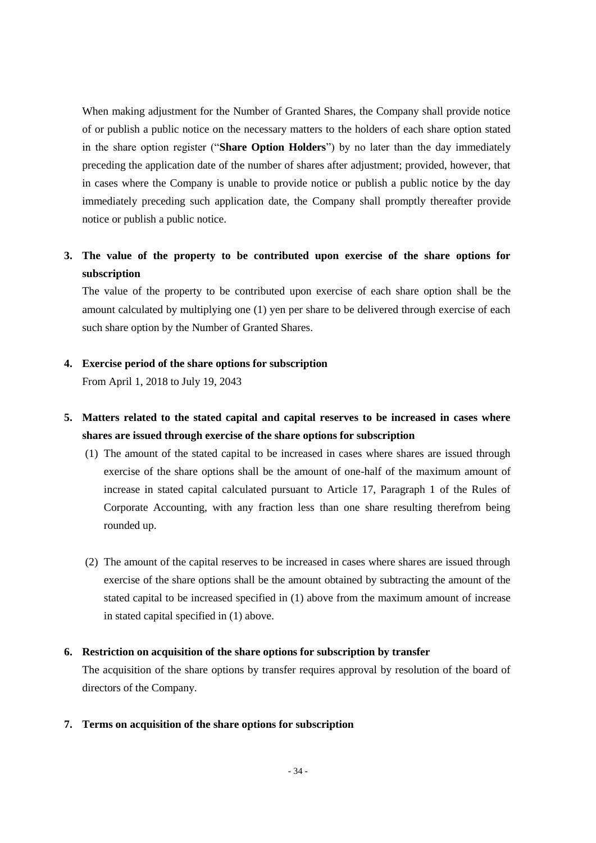When making adjustment for the Number of Granted Shares, the Company shall provide notice of or publish a public notice on the necessary matters to the holders of each share option stated in the share option register ("**Share Option Holders**") by no later than the day immediately preceding the application date of the number of shares after adjustment; provided, however, that in cases where the Company is unable to provide notice or publish a public notice by the day immediately preceding such application date, the Company shall promptly thereafter provide notice or publish a public notice.

# **3. The value of the property to be contributed upon exercise of the share options for subscription**

The value of the property to be contributed upon exercise of each share option shall be the amount calculated by multiplying one (1) yen per share to be delivered through exercise of each such share option by the Number of Granted Shares.

### **4. Exercise period of the share options for subscription**

From April 1, 2018 to July 19, 2043

# **5. Matters related to the stated capital and capital reserves to be increased in cases where shares are issued through exercise of the share options for subscription**

- (1) The amount of the stated capital to be increased in cases where shares are issued through exercise of the share options shall be the amount of one-half of the maximum amount of increase in stated capital calculated pursuant to Article 17, Paragraph 1 of the Rules of Corporate Accounting, with any fraction less than one share resulting therefrom being rounded up.
- (2) The amount of the capital reserves to be increased in cases where shares are issued through exercise of the share options shall be the amount obtained by subtracting the amount of the stated capital to be increased specified in (1) above from the maximum amount of increase in stated capital specified in (1) above.

## **6. Restriction on acquisition of the share options for subscription by transfer**

The acquisition of the share options by transfer requires approval by resolution of the board of directors of the Company.

#### **7. Terms on acquisition of the share options for subscription**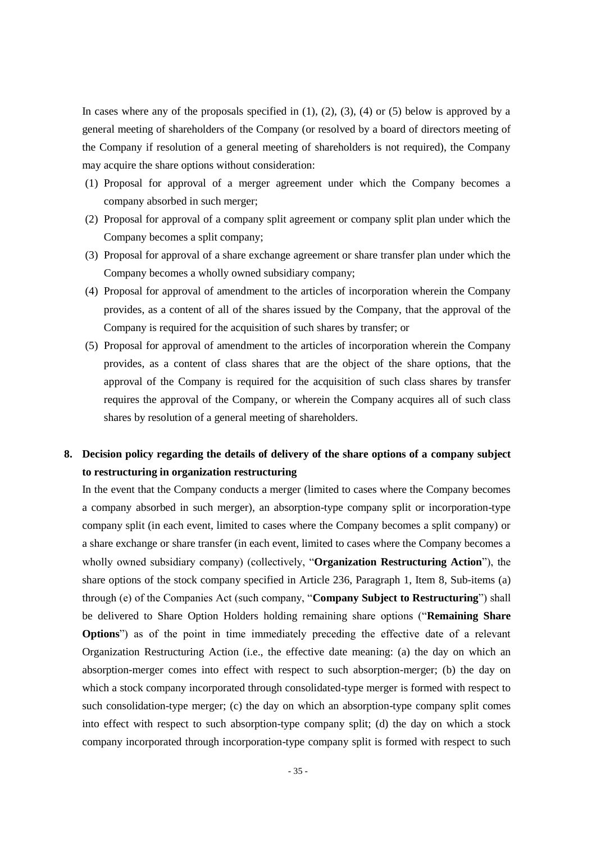In cases where any of the proposals specified in  $(1)$ ,  $(2)$ ,  $(3)$ ,  $(4)$  or  $(5)$  below is approved by a general meeting of shareholders of the Company (or resolved by a board of directors meeting of the Company if resolution of a general meeting of shareholders is not required), the Company may acquire the share options without consideration:

- (1) Proposal for approval of a merger agreement under which the Company becomes a company absorbed in such merger;
- (2) Proposal for approval of a company split agreement or company split plan under which the Company becomes a split company;
- (3) Proposal for approval of a share exchange agreement or share transfer plan under which the Company becomes a wholly owned subsidiary company;
- (4) Proposal for approval of amendment to the articles of incorporation wherein the Company provides, as a content of all of the shares issued by the Company, that the approval of the Company is required for the acquisition of such shares by transfer; or
- (5) Proposal for approval of amendment to the articles of incorporation wherein the Company provides, as a content of class shares that are the object of the share options, that the approval of the Company is required for the acquisition of such class shares by transfer requires the approval of the Company, or wherein the Company acquires all of such class shares by resolution of a general meeting of shareholders.

## **8. Decision policy regarding the details of delivery of the share options of a company subject to restructuring in organization restructuring**

In the event that the Company conducts a merger (limited to cases where the Company becomes a company absorbed in such merger), an absorption-type company split or incorporation-type company split (in each event, limited to cases where the Company becomes a split company) or a share exchange or share transfer (in each event, limited to cases where the Company becomes a wholly owned subsidiary company) (collectively, "**Organization Restructuring Action**"), the share options of the stock company specified in Article 236, Paragraph 1, Item 8, Sub-items (a) through (e) of the Companies Act (such company, "**Company Subject to Restructuring**") shall be delivered to Share Option Holders holding remaining share options ("**Remaining Share Options**") as of the point in time immediately preceding the effective date of a relevant Organization Restructuring Action (i.e., the effective date meaning: (a) the day on which an absorption-merger comes into effect with respect to such absorption-merger; (b) the day on which a stock company incorporated through consolidated-type merger is formed with respect to such consolidation-type merger; (c) the day on which an absorption-type company split comes into effect with respect to such absorption-type company split; (d) the day on which a stock company incorporated through incorporation-type company split is formed with respect to such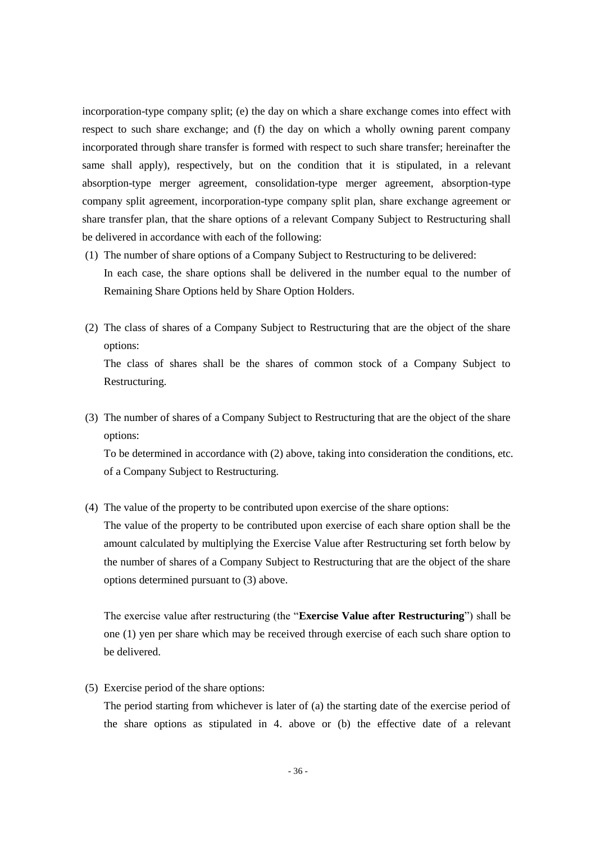incorporation-type company split; (e) the day on which a share exchange comes into effect with respect to such share exchange; and (f) the day on which a wholly owning parent company incorporated through share transfer is formed with respect to such share transfer; hereinafter the same shall apply), respectively, but on the condition that it is stipulated, in a relevant absorption-type merger agreement, consolidation-type merger agreement, absorption-type company split agreement, incorporation-type company split plan, share exchange agreement or share transfer plan, that the share options of a relevant Company Subject to Restructuring shall be delivered in accordance with each of the following:

- (1) The number of share options of a Company Subject to Restructuring to be delivered: In each case, the share options shall be delivered in the number equal to the number of Remaining Share Options held by Share Option Holders.
- (2) The class of shares of a Company Subject to Restructuring that are the object of the share options: The class of shares shall be the shares of common stock of a Company Subject to

Restructuring.

(3) The number of shares of a Company Subject to Restructuring that are the object of the share options:

To be determined in accordance with (2) above, taking into consideration the conditions, etc. of a Company Subject to Restructuring.

(4) The value of the property to be contributed upon exercise of the share options:

The value of the property to be contributed upon exercise of each share option shall be the amount calculated by multiplying the Exercise Value after Restructuring set forth below by the number of shares of a Company Subject to Restructuring that are the object of the share options determined pursuant to (3) above.

The exercise value after restructuring (the "**Exercise Value after Restructuring**") shall be one (1) yen per share which may be received through exercise of each such share option to be delivered.

(5) Exercise period of the share options:

The period starting from whichever is later of (a) the starting date of the exercise period of the share options as stipulated in 4. above or (b) the effective date of a relevant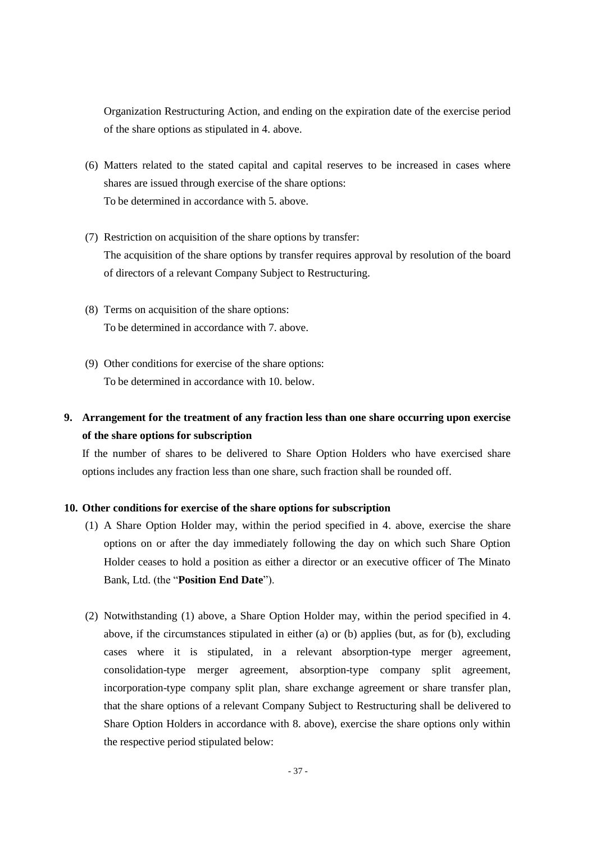Organization Restructuring Action, and ending on the expiration date of the exercise period of the share options as stipulated in 4. above.

- (6) Matters related to the stated capital and capital reserves to be increased in cases where shares are issued through exercise of the share options: To be determined in accordance with 5. above.
- (7) Restriction on acquisition of the share options by transfer: The acquisition of the share options by transfer requires approval by resolution of the board of directors of a relevant Company Subject to Restructuring.
- (8) Terms on acquisition of the share options: To be determined in accordance with 7. above.
- (9) Other conditions for exercise of the share options: To be determined in accordance with 10. below.

# **9. Arrangement for the treatment of any fraction less than one share occurring upon exercise of the share options for subscription**

If the number of shares to be delivered to Share Option Holders who have exercised share options includes any fraction less than one share, such fraction shall be rounded off.

## **10. Other conditions for exercise of the share options for subscription**

- (1) A Share Option Holder may, within the period specified in 4. above, exercise the share options on or after the day immediately following the day on which such Share Option Holder ceases to hold a position as either a director or an executive officer of The Minato Bank, Ltd. (the "**Position End Date**").
- (2) Notwithstanding (1) above, a Share Option Holder may, within the period specified in 4. above, if the circumstances stipulated in either (a) or (b) applies (but, as for (b), excluding cases where it is stipulated, in a relevant absorption-type merger agreement, consolidation-type merger agreement, absorption-type company split agreement, incorporation-type company split plan, share exchange agreement or share transfer plan, that the share options of a relevant Company Subject to Restructuring shall be delivered to Share Option Holders in accordance with 8. above), exercise the share options only within the respective period stipulated below: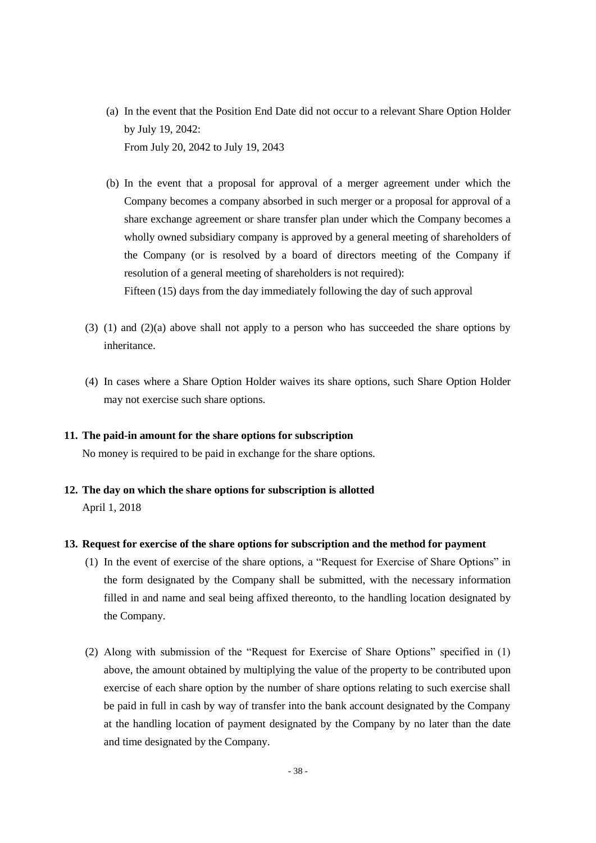- (a) In the event that the Position End Date did not occur to a relevant Share Option Holder by July 19, 2042: From July 20, 2042 to July 19, 2043
- (b) In the event that a proposal for approval of a merger agreement under which the Company becomes a company absorbed in such merger or a proposal for approval of a share exchange agreement or share transfer plan under which the Company becomes a wholly owned subsidiary company is approved by a general meeting of shareholders of the Company (or is resolved by a board of directors meeting of the Company if resolution of a general meeting of shareholders is not required): Fifteen (15) days from the day immediately following the day of such approval
- (3) (1) and (2)(a) above shall not apply to a person who has succeeded the share options by inheritance.
- (4) In cases where a Share Option Holder waives its share options, such Share Option Holder may not exercise such share options.

#### **11. The paid-in amount for the share options for subscription**

No money is required to be paid in exchange for the share options.

**12. The day on which the share options for subscription is allotted** April 1, 2018

### **13. Request for exercise of the share options for subscription and the method for payment**

- (1) In the event of exercise of the share options, a "Request for Exercise of Share Options" in the form designated by the Company shall be submitted, with the necessary information filled in and name and seal being affixed thereonto, to the handling location designated by the Company.
- (2) Along with submission of the "Request for Exercise of Share Options" specified in (1) above, the amount obtained by multiplying the value of the property to be contributed upon exercise of each share option by the number of share options relating to such exercise shall be paid in full in cash by way of transfer into the bank account designated by the Company at the handling location of payment designated by the Company by no later than the date and time designated by the Company.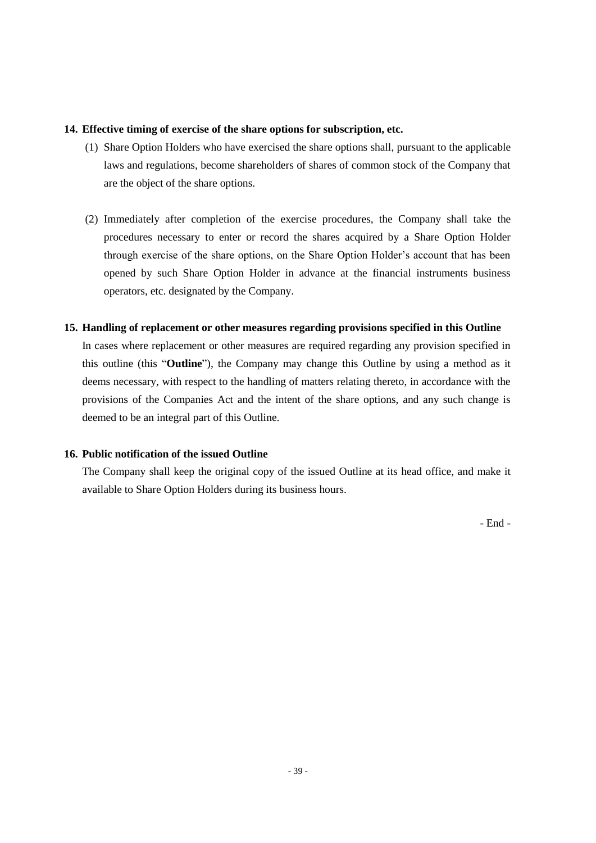### **14. Effective timing of exercise of the share options for subscription, etc.**

- (1) Share Option Holders who have exercised the share options shall, pursuant to the applicable laws and regulations, become shareholders of shares of common stock of the Company that are the object of the share options.
- (2) Immediately after completion of the exercise procedures, the Company shall take the procedures necessary to enter or record the shares acquired by a Share Option Holder through exercise of the share options, on the Share Option Holder's account that has been opened by such Share Option Holder in advance at the financial instruments business operators, etc. designated by the Company.

## **15. Handling of replacement or other measures regarding provisions specified in this Outline**

In cases where replacement or other measures are required regarding any provision specified in this outline (this "**Outline**"), the Company may change this Outline by using a method as it deems necessary, with respect to the handling of matters relating thereto, in accordance with the provisions of the Companies Act and the intent of the share options, and any such change is deemed to be an integral part of this Outline.

## **16. Public notification of the issued Outline**

The Company shall keep the original copy of the issued Outline at its head office, and make it available to Share Option Holders during its business hours.

- End -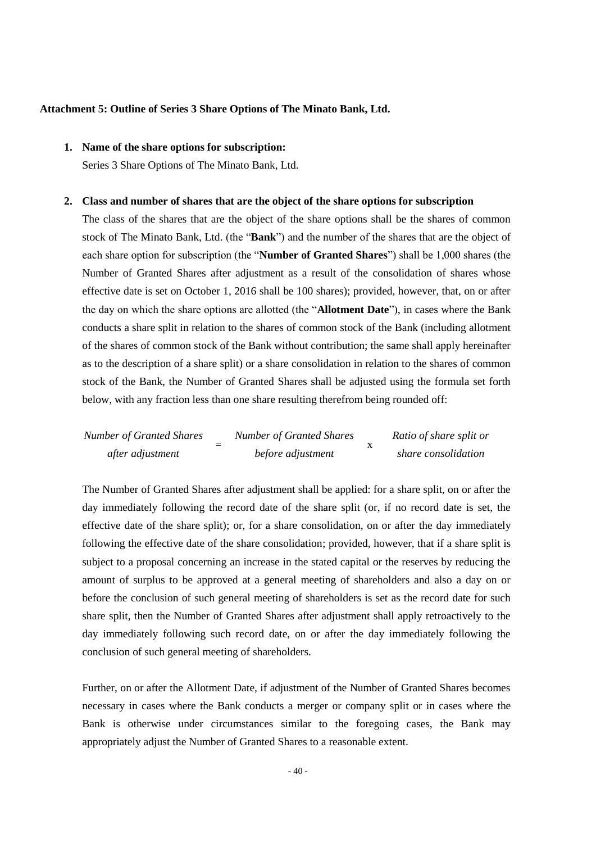#### **Attachment 5: Outline of Series 3 Share Options of The Minato Bank, Ltd.**

## **1. Name of the share options for subscription:**

Series 3 Share Options of The Minato Bank, Ltd.

#### **2. Class and number of shares that are the object of the share options for subscription**

The class of the shares that are the object of the share options shall be the shares of common stock of The Minato Bank, Ltd. (the "**Bank**") and the number of the shares that are the object of each share option for subscription (the "**Number of Granted Shares**") shall be 1,000 shares (the Number of Granted Shares after adjustment as a result of the consolidation of shares whose effective date is set on October 1, 2016 shall be 100 shares); provided, however, that, on or after the day on which the share options are allotted (the "**Allotment Date**"), in cases where the Bank conducts a share split in relation to the shares of common stock of the Bank (including allotment of the shares of common stock of the Bank without contribution; the same shall apply hereinafter as to the description of a share split) or a share consolidation in relation to the shares of common stock of the Bank, the Number of Granted Shares shall be adjusted using the formula set forth below, with any fraction less than one share resulting therefrom being rounded off:

| <b>Number of Granted Shares</b> | <b>Number of Granted Shares</b> | Ratio of share split or |
|---------------------------------|---------------------------------|-------------------------|
| after adjustment                | before adjustment               | share consolidation     |

The Number of Granted Shares after adjustment shall be applied: for a share split, on or after the day immediately following the record date of the share split (or, if no record date is set, the effective date of the share split); or, for a share consolidation, on or after the day immediately following the effective date of the share consolidation; provided, however, that if a share split is subject to a proposal concerning an increase in the stated capital or the reserves by reducing the amount of surplus to be approved at a general meeting of shareholders and also a day on or before the conclusion of such general meeting of shareholders is set as the record date for such share split, then the Number of Granted Shares after adjustment shall apply retroactively to the day immediately following such record date, on or after the day immediately following the conclusion of such general meeting of shareholders.

Further, on or after the Allotment Date, if adjustment of the Number of Granted Shares becomes necessary in cases where the Bank conducts a merger or company split or in cases where the Bank is otherwise under circumstances similar to the foregoing cases, the Bank may appropriately adjust the Number of Granted Shares to a reasonable extent.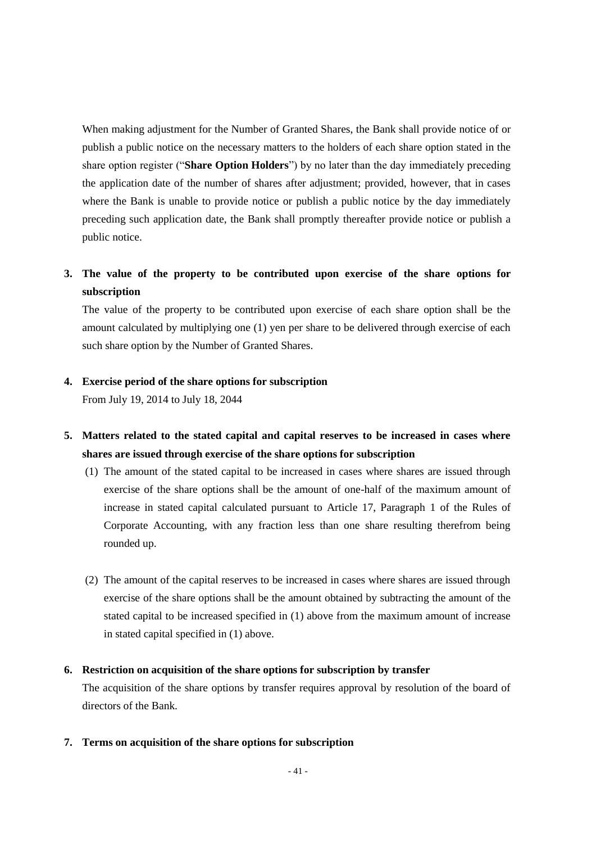When making adjustment for the Number of Granted Shares, the Bank shall provide notice of or publish a public notice on the necessary matters to the holders of each share option stated in the share option register ("**Share Option Holders**") by no later than the day immediately preceding the application date of the number of shares after adjustment; provided, however, that in cases where the Bank is unable to provide notice or publish a public notice by the day immediately preceding such application date, the Bank shall promptly thereafter provide notice or publish a public notice.

# **3. The value of the property to be contributed upon exercise of the share options for subscription**

The value of the property to be contributed upon exercise of each share option shall be the amount calculated by multiplying one (1) yen per share to be delivered through exercise of each such share option by the Number of Granted Shares.

### **4. Exercise period of the share options for subscription**

From July 19, 2014 to July 18, 2044

- **5. Matters related to the stated capital and capital reserves to be increased in cases where shares are issued through exercise of the share options for subscription**
	- (1) The amount of the stated capital to be increased in cases where shares are issued through exercise of the share options shall be the amount of one-half of the maximum amount of increase in stated capital calculated pursuant to Article 17, Paragraph 1 of the Rules of Corporate Accounting, with any fraction less than one share resulting therefrom being rounded up.
	- (2) The amount of the capital reserves to be increased in cases where shares are issued through exercise of the share options shall be the amount obtained by subtracting the amount of the stated capital to be increased specified in (1) above from the maximum amount of increase in stated capital specified in (1) above.

### **6. Restriction on acquisition of the share options for subscription by transfer**

The acquisition of the share options by transfer requires approval by resolution of the board of directors of the Bank.

**7. Terms on acquisition of the share options for subscription**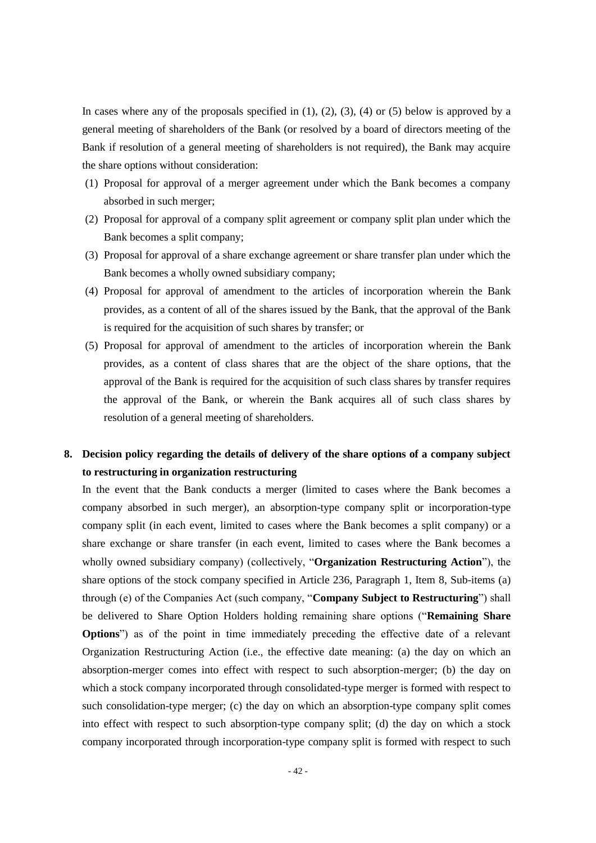In cases where any of the proposals specified in  $(1)$ ,  $(2)$ ,  $(3)$ ,  $(4)$  or  $(5)$  below is approved by a general meeting of shareholders of the Bank (or resolved by a board of directors meeting of the Bank if resolution of a general meeting of shareholders is not required), the Bank may acquire the share options without consideration:

- (1) Proposal for approval of a merger agreement under which the Bank becomes a company absorbed in such merger;
- (2) Proposal for approval of a company split agreement or company split plan under which the Bank becomes a split company;
- (3) Proposal for approval of a share exchange agreement or share transfer plan under which the Bank becomes a wholly owned subsidiary company;
- (4) Proposal for approval of amendment to the articles of incorporation wherein the Bank provides, as a content of all of the shares issued by the Bank, that the approval of the Bank is required for the acquisition of such shares by transfer; or
- (5) Proposal for approval of amendment to the articles of incorporation wherein the Bank provides, as a content of class shares that are the object of the share options, that the approval of the Bank is required for the acquisition of such class shares by transfer requires the approval of the Bank, or wherein the Bank acquires all of such class shares by resolution of a general meeting of shareholders.

## **8. Decision policy regarding the details of delivery of the share options of a company subject to restructuring in organization restructuring**

In the event that the Bank conducts a merger (limited to cases where the Bank becomes a company absorbed in such merger), an absorption-type company split or incorporation-type company split (in each event, limited to cases where the Bank becomes a split company) or a share exchange or share transfer (in each event, limited to cases where the Bank becomes a wholly owned subsidiary company) (collectively, "**Organization Restructuring Action**"), the share options of the stock company specified in Article 236, Paragraph 1, Item 8, Sub-items (a) through (e) of the Companies Act (such company, "**Company Subject to Restructuring**") shall be delivered to Share Option Holders holding remaining share options ("**Remaining Share Options**") as of the point in time immediately preceding the effective date of a relevant Organization Restructuring Action (i.e., the effective date meaning: (a) the day on which an absorption-merger comes into effect with respect to such absorption-merger; (b) the day on which a stock company incorporated through consolidated-type merger is formed with respect to such consolidation-type merger; (c) the day on which an absorption-type company split comes into effect with respect to such absorption-type company split; (d) the day on which a stock company incorporated through incorporation-type company split is formed with respect to such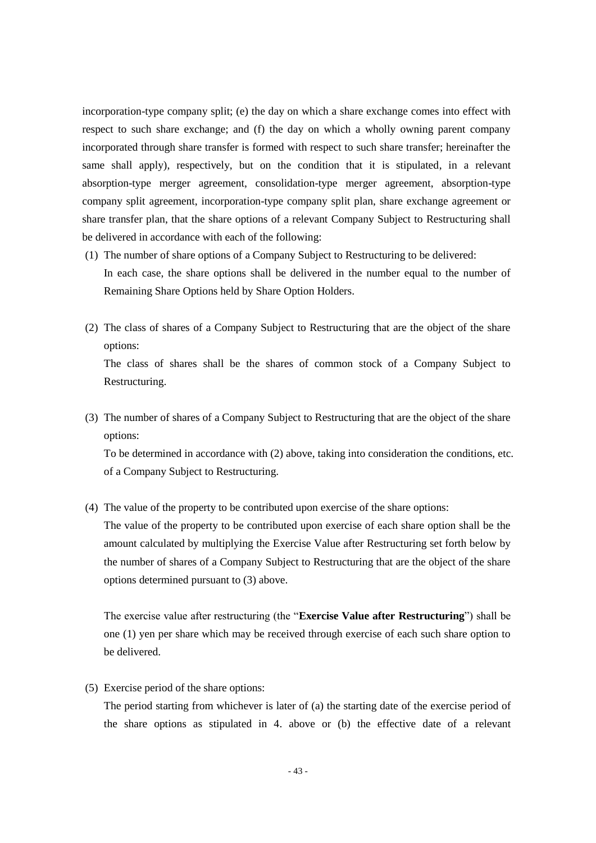incorporation-type company split; (e) the day on which a share exchange comes into effect with respect to such share exchange; and (f) the day on which a wholly owning parent company incorporated through share transfer is formed with respect to such share transfer; hereinafter the same shall apply), respectively, but on the condition that it is stipulated, in a relevant absorption-type merger agreement, consolidation-type merger agreement, absorption-type company split agreement, incorporation-type company split plan, share exchange agreement or share transfer plan, that the share options of a relevant Company Subject to Restructuring shall be delivered in accordance with each of the following:

- (1) The number of share options of a Company Subject to Restructuring to be delivered: In each case, the share options shall be delivered in the number equal to the number of Remaining Share Options held by Share Option Holders.
- (2) The class of shares of a Company Subject to Restructuring that are the object of the share options: The class of shares shall be the shares of common stock of a Company Subject to

Restructuring.

(3) The number of shares of a Company Subject to Restructuring that are the object of the share options:

To be determined in accordance with (2) above, taking into consideration the conditions, etc. of a Company Subject to Restructuring.

(4) The value of the property to be contributed upon exercise of the share options:

The value of the property to be contributed upon exercise of each share option shall be the amount calculated by multiplying the Exercise Value after Restructuring set forth below by the number of shares of a Company Subject to Restructuring that are the object of the share options determined pursuant to (3) above.

The exercise value after restructuring (the "**Exercise Value after Restructuring**") shall be one (1) yen per share which may be received through exercise of each such share option to be delivered.

(5) Exercise period of the share options:

The period starting from whichever is later of (a) the starting date of the exercise period of the share options as stipulated in 4. above or (b) the effective date of a relevant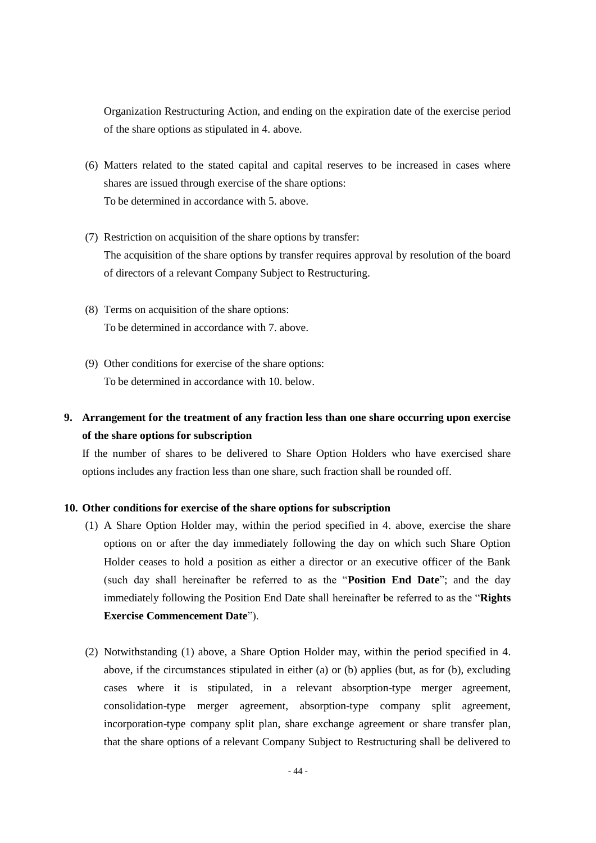Organization Restructuring Action, and ending on the expiration date of the exercise period of the share options as stipulated in 4. above.

- (6) Matters related to the stated capital and capital reserves to be increased in cases where shares are issued through exercise of the share options: To be determined in accordance with 5. above.
- (7) Restriction on acquisition of the share options by transfer: The acquisition of the share options by transfer requires approval by resolution of the board of directors of a relevant Company Subject to Restructuring.
- (8) Terms on acquisition of the share options: To be determined in accordance with 7. above.
- (9) Other conditions for exercise of the share options: To be determined in accordance with 10. below.

## **9. Arrangement for the treatment of any fraction less than one share occurring upon exercise of the share options for subscription**

If the number of shares to be delivered to Share Option Holders who have exercised share options includes any fraction less than one share, such fraction shall be rounded off.

#### **10. Other conditions for exercise of the share options for subscription**

- (1) A Share Option Holder may, within the period specified in 4. above, exercise the share options on or after the day immediately following the day on which such Share Option Holder ceases to hold a position as either a director or an executive officer of the Bank (such day shall hereinafter be referred to as the "**Position End Date**"; and the day immediately following the Position End Date shall hereinafter be referred to as the "**Rights Exercise Commencement Date**").
- (2) Notwithstanding (1) above, a Share Option Holder may, within the period specified in 4. above, if the circumstances stipulated in either (a) or (b) applies (but, as for (b), excluding cases where it is stipulated, in a relevant absorption-type merger agreement, consolidation-type merger agreement, absorption-type company split agreement, incorporation-type company split plan, share exchange agreement or share transfer plan, that the share options of a relevant Company Subject to Restructuring shall be delivered to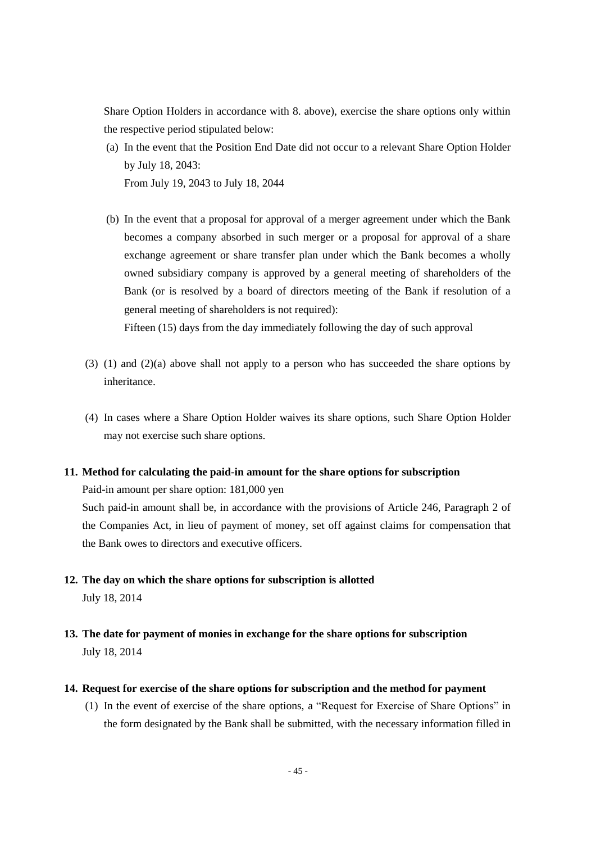Share Option Holders in accordance with 8. above), exercise the share options only within the respective period stipulated below:

- (a) In the event that the Position End Date did not occur to a relevant Share Option Holder by July 18, 2043: From July 19, 2043 to July 18, 2044
- (b) In the event that a proposal for approval of a merger agreement under which the Bank becomes a company absorbed in such merger or a proposal for approval of a share exchange agreement or share transfer plan under which the Bank becomes a wholly owned subsidiary company is approved by a general meeting of shareholders of the Bank (or is resolved by a board of directors meeting of the Bank if resolution of a general meeting of shareholders is not required):

Fifteen (15) days from the day immediately following the day of such approval

- (3) (1) and (2)(a) above shall not apply to a person who has succeeded the share options by inheritance.
- (4) In cases where a Share Option Holder waives its share options, such Share Option Holder may not exercise such share options.

#### **11. Method for calculating the paid-in amount for the share options for subscription**

Paid-in amount per share option: 181,000 yen

Such paid-in amount shall be, in accordance with the provisions of Article 246, Paragraph 2 of the Companies Act, in lieu of payment of money, set off against claims for compensation that the Bank owes to directors and executive officers.

- **12. The day on which the share options for subscription is allotted** July 18, 2014
- **13. The date for payment of monies in exchange for the share options for subscription** July 18, 2014
- **14. Request for exercise of the share options for subscription and the method for payment**
	- (1) In the event of exercise of the share options, a "Request for Exercise of Share Options" in the form designated by the Bank shall be submitted, with the necessary information filled in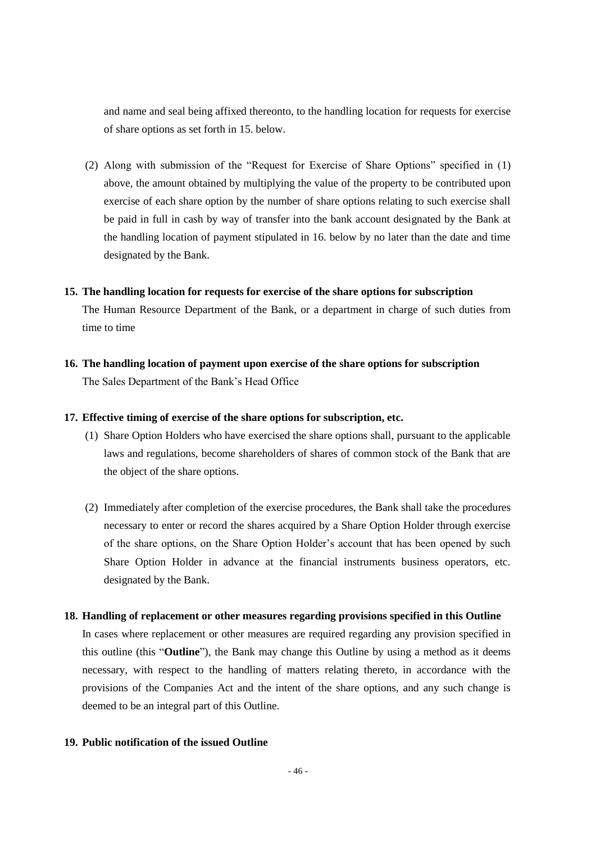and name and seal being affixed thereonto, to the handling location for requests for exercise of share options as set forth in 15. below.

(2) Along with submission of the "Request for Exercise of Share Options" specified in (1) above, the amount obtained by multiplying the value of the property to be contributed upon exercise of each share option by the number of share options relating to such exercise shall be paid in full in cash by way of transfer into the bank account designated by the Bank at the handling location of payment stipulated in 16. below by no later than the date and time designated by the Bank.

#### **15. The handling location for requests for exercise of the share options for subscription**

The Human Resource Department of the Bank, or a department in charge of such duties from time to time

**16. The handling location of payment upon exercise of the share options for subscription** The Sales Department of the Bank's Head Office

### **17. Effective timing of exercise of the share options for subscription, etc.**

- (1) Share Option Holders who have exercised the share options shall, pursuant to the applicable laws and regulations, become shareholders of shares of common stock of the Bank that are the object of the share options.
- (2) Immediately after completion of the exercise procedures, the Bank shall take the procedures necessary to enter or record the shares acquired by a Share Option Holder through exercise of the share options, on the Share Option Holder's account that has been opened by such Share Option Holder in advance at the financial instruments business operators, etc. designated by the Bank.

#### **18. Handling of replacement or other measures regarding provisions specified in this Outline**

In cases where replacement or other measures are required regarding any provision specified in this outline (this "**Outline**"), the Bank may change this Outline by using a method as it deems necessary, with respect to the handling of matters relating thereto, in accordance with the provisions of the Companies Act and the intent of the share options, and any such change is deemed to be an integral part of this Outline.

## **19. Public notification of the issued Outline**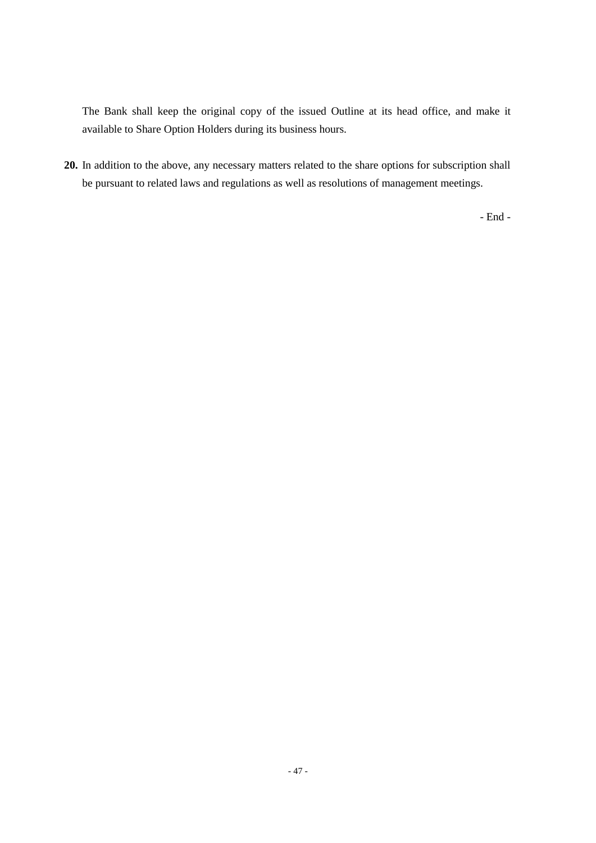The Bank shall keep the original copy of the issued Outline at its head office, and make it available to Share Option Holders during its business hours.

**20.** In addition to the above, any necessary matters related to the share options for subscription shall be pursuant to related laws and regulations as well as resolutions of management meetings.

- End -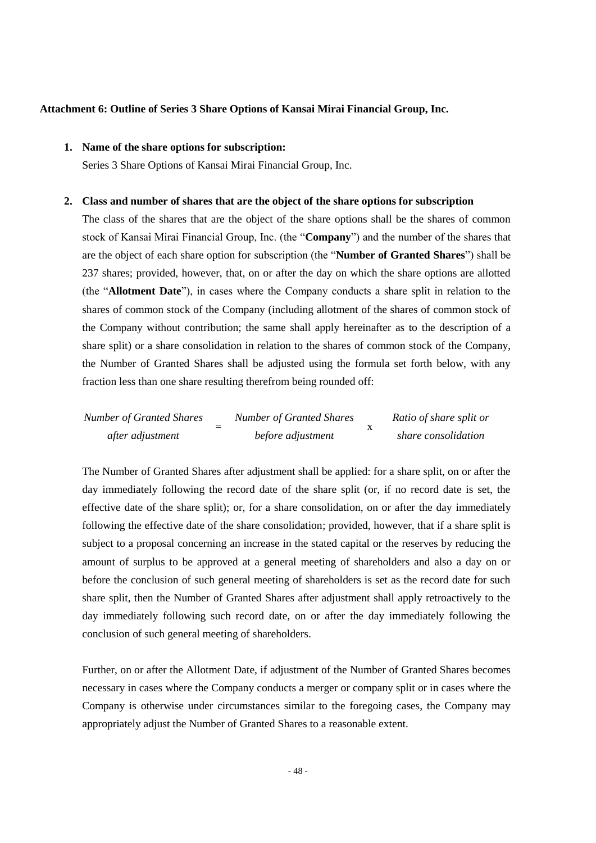#### **Attachment 6: Outline of Series 3 Share Options of Kansai Mirai Financial Group, Inc.**

## **1. Name of the share options for subscription:**

Series 3 Share Options of Kansai Mirai Financial Group, Inc.

#### **2. Class and number of shares that are the object of the share options for subscription**

The class of the shares that are the object of the share options shall be the shares of common stock of Kansai Mirai Financial Group, Inc. (the "**Company**") and the number of the shares that are the object of each share option for subscription (the "**Number of Granted Shares**") shall be 237 shares; provided, however, that, on or after the day on which the share options are allotted (the "**Allotment Date**"), in cases where the Company conducts a share split in relation to the shares of common stock of the Company (including allotment of the shares of common stock of the Company without contribution; the same shall apply hereinafter as to the description of a share split) or a share consolidation in relation to the shares of common stock of the Company, the Number of Granted Shares shall be adjusted using the formula set forth below, with any fraction less than one share resulting therefrom being rounded off:

| <b>Number of Granted Shares</b> | <b>Number of Granted Shares</b> | Ratio of share split or |
|---------------------------------|---------------------------------|-------------------------|
| after adjustment                | before adjustment               | share consolidation     |

The Number of Granted Shares after adjustment shall be applied: for a share split, on or after the day immediately following the record date of the share split (or, if no record date is set, the effective date of the share split); or, for a share consolidation, on or after the day immediately following the effective date of the share consolidation; provided, however, that if a share split is subject to a proposal concerning an increase in the stated capital or the reserves by reducing the amount of surplus to be approved at a general meeting of shareholders and also a day on or before the conclusion of such general meeting of shareholders is set as the record date for such share split, then the Number of Granted Shares after adjustment shall apply retroactively to the day immediately following such record date, on or after the day immediately following the conclusion of such general meeting of shareholders.

Further, on or after the Allotment Date, if adjustment of the Number of Granted Shares becomes necessary in cases where the Company conducts a merger or company split or in cases where the Company is otherwise under circumstances similar to the foregoing cases, the Company may appropriately adjust the Number of Granted Shares to a reasonable extent.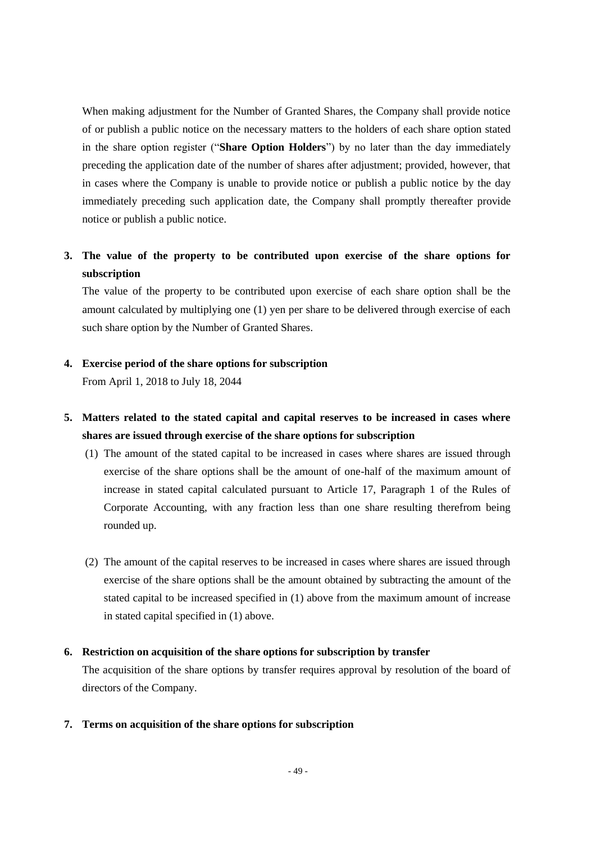When making adjustment for the Number of Granted Shares, the Company shall provide notice of or publish a public notice on the necessary matters to the holders of each share option stated in the share option register ("**Share Option Holders**") by no later than the day immediately preceding the application date of the number of shares after adjustment; provided, however, that in cases where the Company is unable to provide notice or publish a public notice by the day immediately preceding such application date, the Company shall promptly thereafter provide notice or publish a public notice.

## **3. The value of the property to be contributed upon exercise of the share options for subscription**

The value of the property to be contributed upon exercise of each share option shall be the amount calculated by multiplying one (1) yen per share to be delivered through exercise of each such share option by the Number of Granted Shares.

## **4. Exercise period of the share options for subscription**

From April 1, 2018 to July 18, 2044

## **5. Matters related to the stated capital and capital reserves to be increased in cases where shares are issued through exercise of the share options for subscription**

- (1) The amount of the stated capital to be increased in cases where shares are issued through exercise of the share options shall be the amount of one-half of the maximum amount of increase in stated capital calculated pursuant to Article 17, Paragraph 1 of the Rules of Corporate Accounting, with any fraction less than one share resulting therefrom being rounded up.
- (2) The amount of the capital reserves to be increased in cases where shares are issued through exercise of the share options shall be the amount obtained by subtracting the amount of the stated capital to be increased specified in (1) above from the maximum amount of increase in stated capital specified in (1) above.

## **6. Restriction on acquisition of the share options for subscription by transfer**

The acquisition of the share options by transfer requires approval by resolution of the board of directors of the Company.

#### **7. Terms on acquisition of the share options for subscription**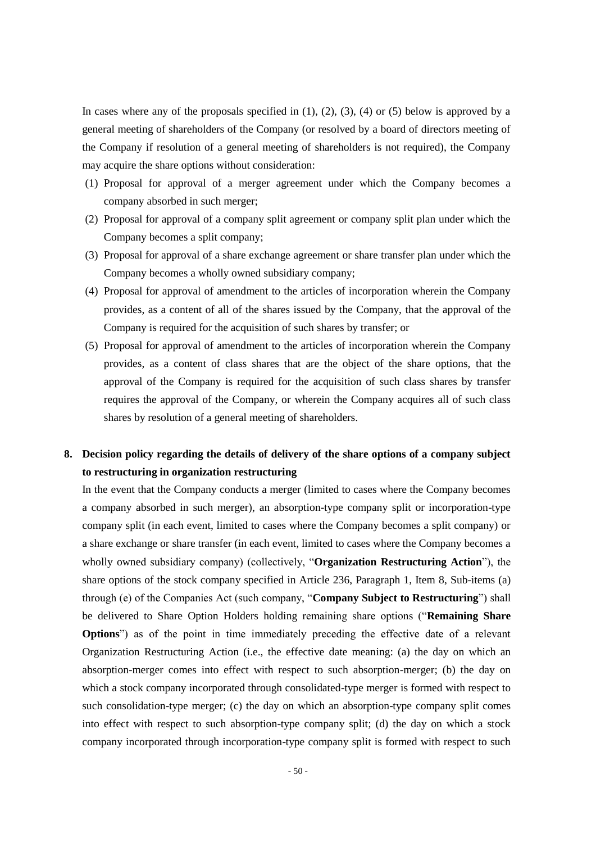In cases where any of the proposals specified in  $(1)$ ,  $(2)$ ,  $(3)$ ,  $(4)$  or  $(5)$  below is approved by a general meeting of shareholders of the Company (or resolved by a board of directors meeting of the Company if resolution of a general meeting of shareholders is not required), the Company may acquire the share options without consideration:

- (1) Proposal for approval of a merger agreement under which the Company becomes a company absorbed in such merger;
- (2) Proposal for approval of a company split agreement or company split plan under which the Company becomes a split company;
- (3) Proposal for approval of a share exchange agreement or share transfer plan under which the Company becomes a wholly owned subsidiary company;
- (4) Proposal for approval of amendment to the articles of incorporation wherein the Company provides, as a content of all of the shares issued by the Company, that the approval of the Company is required for the acquisition of such shares by transfer; or
- (5) Proposal for approval of amendment to the articles of incorporation wherein the Company provides, as a content of class shares that are the object of the share options, that the approval of the Company is required for the acquisition of such class shares by transfer requires the approval of the Company, or wherein the Company acquires all of such class shares by resolution of a general meeting of shareholders.

## **8. Decision policy regarding the details of delivery of the share options of a company subject to restructuring in organization restructuring**

In the event that the Company conducts a merger (limited to cases where the Company becomes a company absorbed in such merger), an absorption-type company split or incorporation-type company split (in each event, limited to cases where the Company becomes a split company) or a share exchange or share transfer (in each event, limited to cases where the Company becomes a wholly owned subsidiary company) (collectively, "**Organization Restructuring Action**"), the share options of the stock company specified in Article 236, Paragraph 1, Item 8, Sub-items (a) through (e) of the Companies Act (such company, "**Company Subject to Restructuring**") shall be delivered to Share Option Holders holding remaining share options ("**Remaining Share Options**") as of the point in time immediately preceding the effective date of a relevant Organization Restructuring Action (i.e., the effective date meaning: (a) the day on which an absorption-merger comes into effect with respect to such absorption-merger; (b) the day on which a stock company incorporated through consolidated-type merger is formed with respect to such consolidation-type merger; (c) the day on which an absorption-type company split comes into effect with respect to such absorption-type company split; (d) the day on which a stock company incorporated through incorporation-type company split is formed with respect to such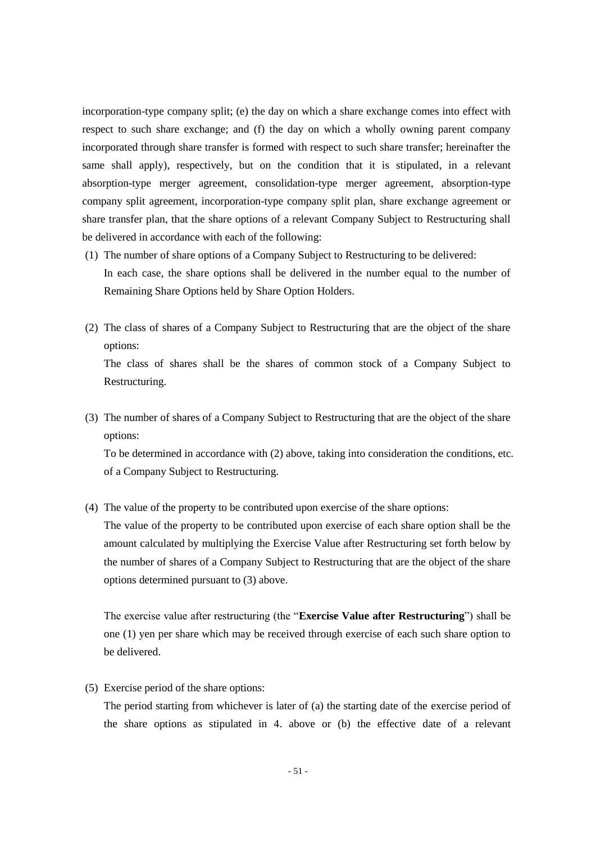incorporation-type company split; (e) the day on which a share exchange comes into effect with respect to such share exchange; and (f) the day on which a wholly owning parent company incorporated through share transfer is formed with respect to such share transfer; hereinafter the same shall apply), respectively, but on the condition that it is stipulated, in a relevant absorption-type merger agreement, consolidation-type merger agreement, absorption-type company split agreement, incorporation-type company split plan, share exchange agreement or share transfer plan, that the share options of a relevant Company Subject to Restructuring shall be delivered in accordance with each of the following:

- (1) The number of share options of a Company Subject to Restructuring to be delivered: In each case, the share options shall be delivered in the number equal to the number of Remaining Share Options held by Share Option Holders.
- (2) The class of shares of a Company Subject to Restructuring that are the object of the share options: The class of shares shall be the shares of common stock of a Company Subject to

Restructuring.

(3) The number of shares of a Company Subject to Restructuring that are the object of the share options:

To be determined in accordance with (2) above, taking into consideration the conditions, etc. of a Company Subject to Restructuring.

(4) The value of the property to be contributed upon exercise of the share options:

The value of the property to be contributed upon exercise of each share option shall be the amount calculated by multiplying the Exercise Value after Restructuring set forth below by the number of shares of a Company Subject to Restructuring that are the object of the share options determined pursuant to (3) above.

The exercise value after restructuring (the "**Exercise Value after Restructuring**") shall be one (1) yen per share which may be received through exercise of each such share option to be delivered.

(5) Exercise period of the share options:

The period starting from whichever is later of (a) the starting date of the exercise period of the share options as stipulated in 4. above or (b) the effective date of a relevant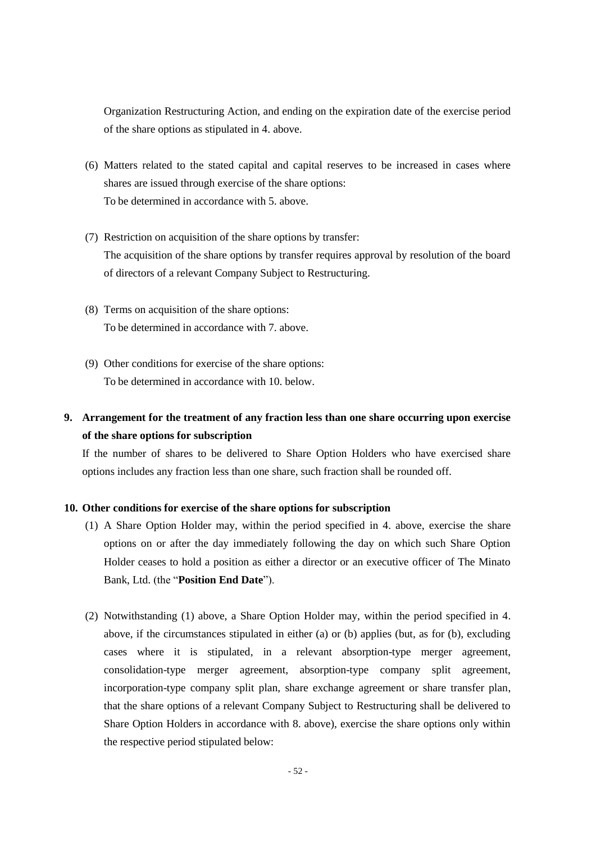Organization Restructuring Action, and ending on the expiration date of the exercise period of the share options as stipulated in 4. above.

- (6) Matters related to the stated capital and capital reserves to be increased in cases where shares are issued through exercise of the share options: To be determined in accordance with 5. above.
- (7) Restriction on acquisition of the share options by transfer: The acquisition of the share options by transfer requires approval by resolution of the board of directors of a relevant Company Subject to Restructuring.
- (8) Terms on acquisition of the share options: To be determined in accordance with 7. above.
- (9) Other conditions for exercise of the share options: To be determined in accordance with 10. below.

# **9. Arrangement for the treatment of any fraction less than one share occurring upon exercise of the share options for subscription**

If the number of shares to be delivered to Share Option Holders who have exercised share options includes any fraction less than one share, such fraction shall be rounded off.

## **10. Other conditions for exercise of the share options for subscription**

- (1) A Share Option Holder may, within the period specified in 4. above, exercise the share options on or after the day immediately following the day on which such Share Option Holder ceases to hold a position as either a director or an executive officer of The Minato Bank, Ltd. (the "**Position End Date**").
- (2) Notwithstanding (1) above, a Share Option Holder may, within the period specified in 4. above, if the circumstances stipulated in either (a) or (b) applies (but, as for (b), excluding cases where it is stipulated, in a relevant absorption-type merger agreement, consolidation-type merger agreement, absorption-type company split agreement, incorporation-type company split plan, share exchange agreement or share transfer plan, that the share options of a relevant Company Subject to Restructuring shall be delivered to Share Option Holders in accordance with 8. above), exercise the share options only within the respective period stipulated below: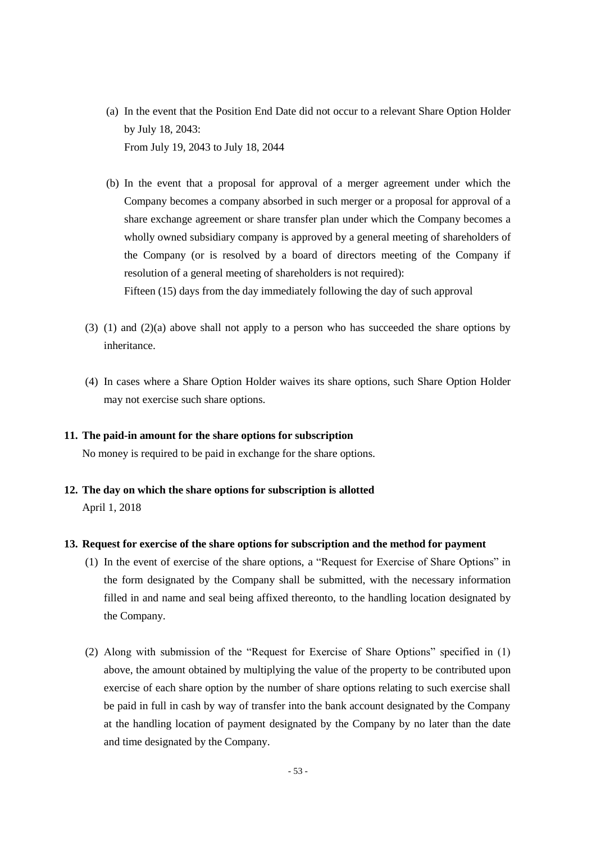- (a) In the event that the Position End Date did not occur to a relevant Share Option Holder by July 18, 2043: From July 19, 2043 to July 18, 2044
- (b) In the event that a proposal for approval of a merger agreement under which the Company becomes a company absorbed in such merger or a proposal for approval of a share exchange agreement or share transfer plan under which the Company becomes a wholly owned subsidiary company is approved by a general meeting of shareholders of the Company (or is resolved by a board of directors meeting of the Company if resolution of a general meeting of shareholders is not required): Fifteen (15) days from the day immediately following the day of such approval
- (3) (1) and (2)(a) above shall not apply to a person who has succeeded the share options by inheritance.
- (4) In cases where a Share Option Holder waives its share options, such Share Option Holder may not exercise such share options.

#### **11. The paid-in amount for the share options for subscription**

No money is required to be paid in exchange for the share options.

**12. The day on which the share options for subscription is allotted** April 1, 2018

### **13. Request for exercise of the share options for subscription and the method for payment**

- (1) In the event of exercise of the share options, a "Request for Exercise of Share Options" in the form designated by the Company shall be submitted, with the necessary information filled in and name and seal being affixed thereonto, to the handling location designated by the Company.
- (2) Along with submission of the "Request for Exercise of Share Options" specified in (1) above, the amount obtained by multiplying the value of the property to be contributed upon exercise of each share option by the number of share options relating to such exercise shall be paid in full in cash by way of transfer into the bank account designated by the Company at the handling location of payment designated by the Company by no later than the date and time designated by the Company.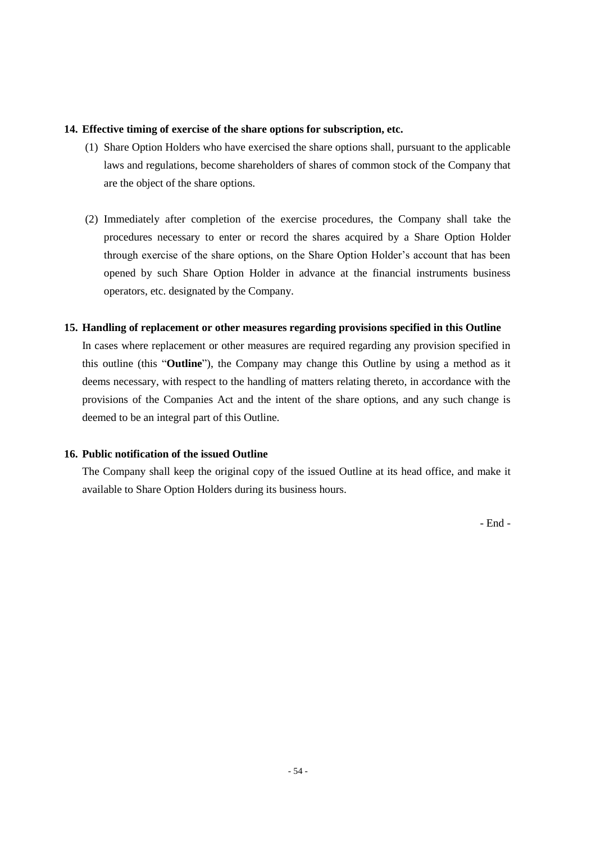### **14. Effective timing of exercise of the share options for subscription, etc.**

- (1) Share Option Holders who have exercised the share options shall, pursuant to the applicable laws and regulations, become shareholders of shares of common stock of the Company that are the object of the share options.
- (2) Immediately after completion of the exercise procedures, the Company shall take the procedures necessary to enter or record the shares acquired by a Share Option Holder through exercise of the share options, on the Share Option Holder's account that has been opened by such Share Option Holder in advance at the financial instruments business operators, etc. designated by the Company.

## **15. Handling of replacement or other measures regarding provisions specified in this Outline**

In cases where replacement or other measures are required regarding any provision specified in this outline (this "**Outline**"), the Company may change this Outline by using a method as it deems necessary, with respect to the handling of matters relating thereto, in accordance with the provisions of the Companies Act and the intent of the share options, and any such change is deemed to be an integral part of this Outline.

## **16. Public notification of the issued Outline**

The Company shall keep the original copy of the issued Outline at its head office, and make it available to Share Option Holders during its business hours.

- End -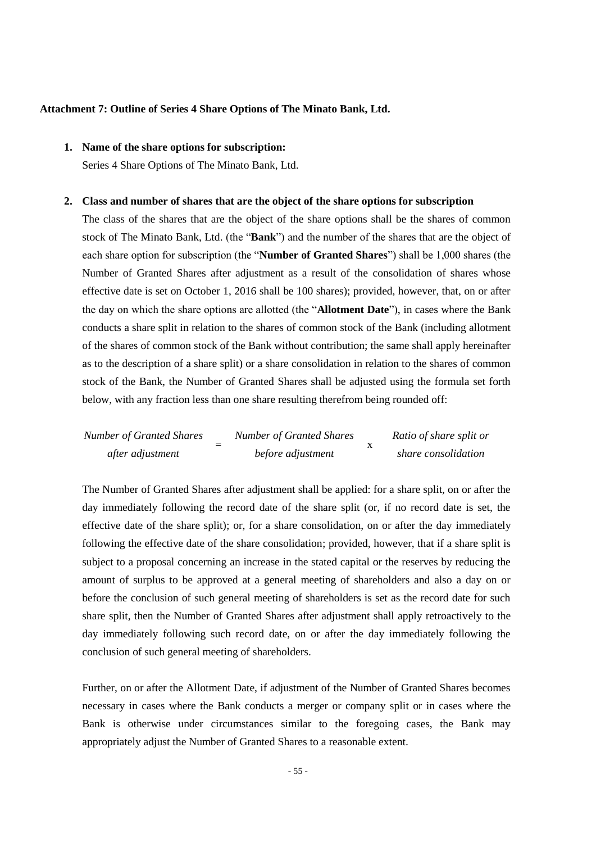#### **Attachment 7: Outline of Series 4 Share Options of The Minato Bank, Ltd.**

## **1. Name of the share options for subscription:**

Series 4 Share Options of The Minato Bank, Ltd.

#### **2. Class and number of shares that are the object of the share options for subscription**

The class of the shares that are the object of the share options shall be the shares of common stock of The Minato Bank, Ltd. (the "**Bank**") and the number of the shares that are the object of each share option for subscription (the "**Number of Granted Shares**") shall be 1,000 shares (the Number of Granted Shares after adjustment as a result of the consolidation of shares whose effective date is set on October 1, 2016 shall be 100 shares); provided, however, that, on or after the day on which the share options are allotted (the "**Allotment Date**"), in cases where the Bank conducts a share split in relation to the shares of common stock of the Bank (including allotment of the shares of common stock of the Bank without contribution; the same shall apply hereinafter as to the description of a share split) or a share consolidation in relation to the shares of common stock of the Bank, the Number of Granted Shares shall be adjusted using the formula set forth below, with any fraction less than one share resulting therefrom being rounded off:

*Number of Granted Shares after adjustment* = *Number of Granted Shares before adjustment* x *Ratio of share split or share consolidation*

The Number of Granted Shares after adjustment shall be applied: for a share split, on or after the day immediately following the record date of the share split (or, if no record date is set, the effective date of the share split); or, for a share consolidation, on or after the day immediately following the effective date of the share consolidation; provided, however, that if a share split is subject to a proposal concerning an increase in the stated capital or the reserves by reducing the amount of surplus to be approved at a general meeting of shareholders and also a day on or before the conclusion of such general meeting of shareholders is set as the record date for such share split, then the Number of Granted Shares after adjustment shall apply retroactively to the day immediately following such record date, on or after the day immediately following the conclusion of such general meeting of shareholders.

Further, on or after the Allotment Date, if adjustment of the Number of Granted Shares becomes necessary in cases where the Bank conducts a merger or company split or in cases where the Bank is otherwise under circumstances similar to the foregoing cases, the Bank may appropriately adjust the Number of Granted Shares to a reasonable extent.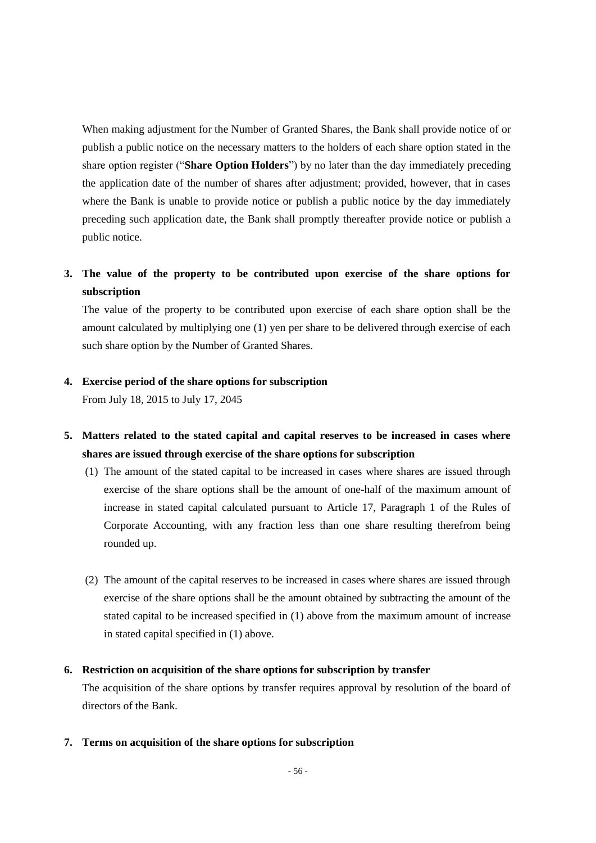When making adjustment for the Number of Granted Shares, the Bank shall provide notice of or publish a public notice on the necessary matters to the holders of each share option stated in the share option register ("**Share Option Holders**") by no later than the day immediately preceding the application date of the number of shares after adjustment; provided, however, that in cases where the Bank is unable to provide notice or publish a public notice by the day immediately preceding such application date, the Bank shall promptly thereafter provide notice or publish a public notice.

# **3. The value of the property to be contributed upon exercise of the share options for subscription**

The value of the property to be contributed upon exercise of each share option shall be the amount calculated by multiplying one (1) yen per share to be delivered through exercise of each such share option by the Number of Granted Shares.

### **4. Exercise period of the share options for subscription**

From July 18, 2015 to July 17, 2045

- **5. Matters related to the stated capital and capital reserves to be increased in cases where shares are issued through exercise of the share options for subscription**
	- (1) The amount of the stated capital to be increased in cases where shares are issued through exercise of the share options shall be the amount of one-half of the maximum amount of increase in stated capital calculated pursuant to Article 17, Paragraph 1 of the Rules of Corporate Accounting, with any fraction less than one share resulting therefrom being rounded up.
	- (2) The amount of the capital reserves to be increased in cases where shares are issued through exercise of the share options shall be the amount obtained by subtracting the amount of the stated capital to be increased specified in (1) above from the maximum amount of increase in stated capital specified in (1) above.

### **6. Restriction on acquisition of the share options for subscription by transfer**

The acquisition of the share options by transfer requires approval by resolution of the board of directors of the Bank.

**7. Terms on acquisition of the share options for subscription**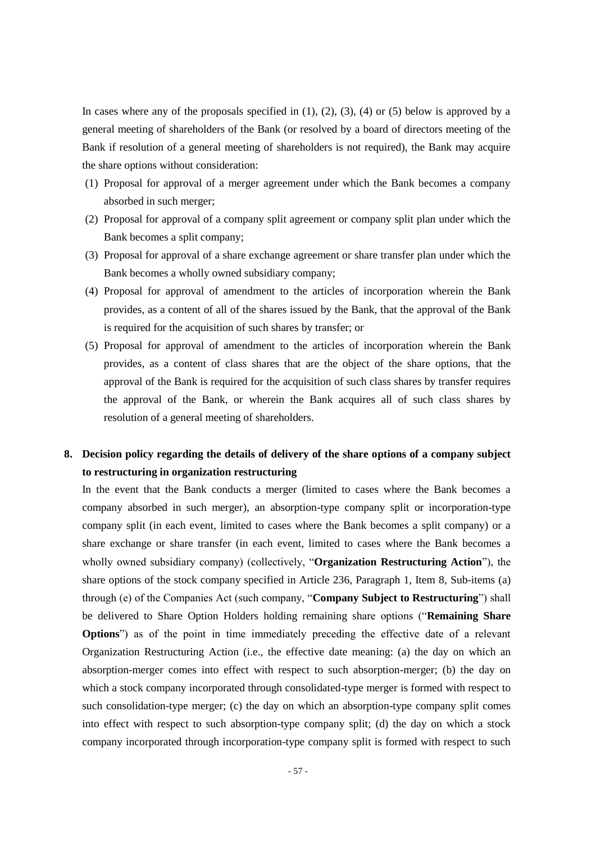In cases where any of the proposals specified in  $(1)$ ,  $(2)$ ,  $(3)$ ,  $(4)$  or  $(5)$  below is approved by a general meeting of shareholders of the Bank (or resolved by a board of directors meeting of the Bank if resolution of a general meeting of shareholders is not required), the Bank may acquire the share options without consideration:

- (1) Proposal for approval of a merger agreement under which the Bank becomes a company absorbed in such merger;
- (2) Proposal for approval of a company split agreement or company split plan under which the Bank becomes a split company;
- (3) Proposal for approval of a share exchange agreement or share transfer plan under which the Bank becomes a wholly owned subsidiary company;
- (4) Proposal for approval of amendment to the articles of incorporation wherein the Bank provides, as a content of all of the shares issued by the Bank, that the approval of the Bank is required for the acquisition of such shares by transfer; or
- (5) Proposal for approval of amendment to the articles of incorporation wherein the Bank provides, as a content of class shares that are the object of the share options, that the approval of the Bank is required for the acquisition of such class shares by transfer requires the approval of the Bank, or wherein the Bank acquires all of such class shares by resolution of a general meeting of shareholders.

## **8. Decision policy regarding the details of delivery of the share options of a company subject to restructuring in organization restructuring**

In the event that the Bank conducts a merger (limited to cases where the Bank becomes a company absorbed in such merger), an absorption-type company split or incorporation-type company split (in each event, limited to cases where the Bank becomes a split company) or a share exchange or share transfer (in each event, limited to cases where the Bank becomes a wholly owned subsidiary company) (collectively, "**Organization Restructuring Action**"), the share options of the stock company specified in Article 236, Paragraph 1, Item 8, Sub-items (a) through (e) of the Companies Act (such company, "**Company Subject to Restructuring**") shall be delivered to Share Option Holders holding remaining share options ("**Remaining Share Options**") as of the point in time immediately preceding the effective date of a relevant Organization Restructuring Action (i.e., the effective date meaning: (a) the day on which an absorption-merger comes into effect with respect to such absorption-merger; (b) the day on which a stock company incorporated through consolidated-type merger is formed with respect to such consolidation-type merger; (c) the day on which an absorption-type company split comes into effect with respect to such absorption-type company split; (d) the day on which a stock company incorporated through incorporation-type company split is formed with respect to such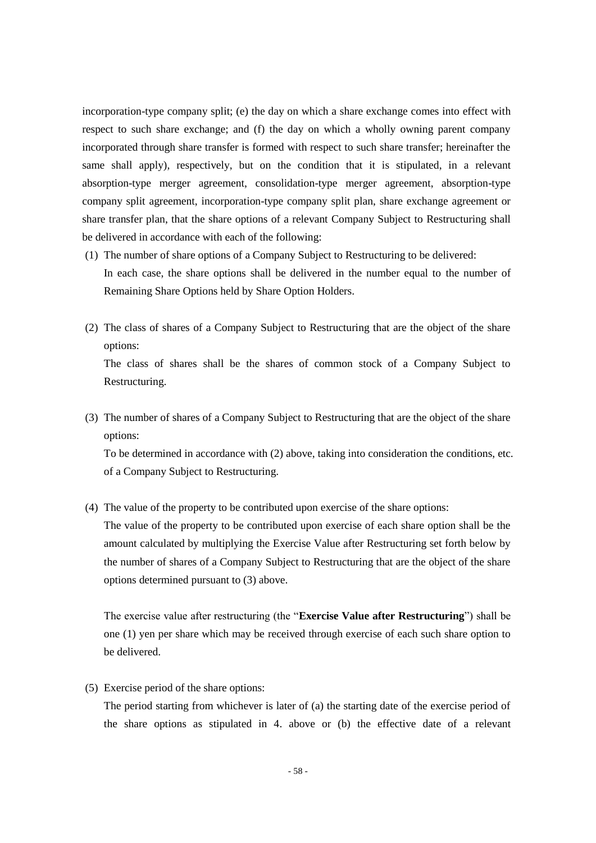incorporation-type company split; (e) the day on which a share exchange comes into effect with respect to such share exchange; and (f) the day on which a wholly owning parent company incorporated through share transfer is formed with respect to such share transfer; hereinafter the same shall apply), respectively, but on the condition that it is stipulated, in a relevant absorption-type merger agreement, consolidation-type merger agreement, absorption-type company split agreement, incorporation-type company split plan, share exchange agreement or share transfer plan, that the share options of a relevant Company Subject to Restructuring shall be delivered in accordance with each of the following:

- (1) The number of share options of a Company Subject to Restructuring to be delivered: In each case, the share options shall be delivered in the number equal to the number of Remaining Share Options held by Share Option Holders.
- (2) The class of shares of a Company Subject to Restructuring that are the object of the share options: The class of shares shall be the shares of common stock of a Company Subject to

Restructuring.

(3) The number of shares of a Company Subject to Restructuring that are the object of the share options:

To be determined in accordance with (2) above, taking into consideration the conditions, etc. of a Company Subject to Restructuring.

(4) The value of the property to be contributed upon exercise of the share options:

The value of the property to be contributed upon exercise of each share option shall be the amount calculated by multiplying the Exercise Value after Restructuring set forth below by the number of shares of a Company Subject to Restructuring that are the object of the share options determined pursuant to (3) above.

The exercise value after restructuring (the "**Exercise Value after Restructuring**") shall be one (1) yen per share which may be received through exercise of each such share option to be delivered.

(5) Exercise period of the share options:

The period starting from whichever is later of (a) the starting date of the exercise period of the share options as stipulated in 4. above or (b) the effective date of a relevant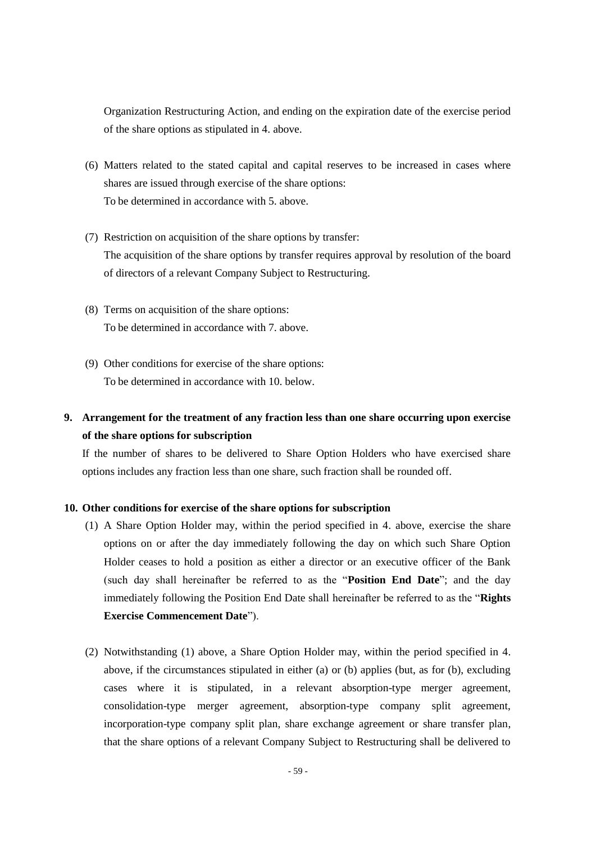Organization Restructuring Action, and ending on the expiration date of the exercise period of the share options as stipulated in 4. above.

- (6) Matters related to the stated capital and capital reserves to be increased in cases where shares are issued through exercise of the share options: To be determined in accordance with 5. above.
- (7) Restriction on acquisition of the share options by transfer: The acquisition of the share options by transfer requires approval by resolution of the board of directors of a relevant Company Subject to Restructuring.
- (8) Terms on acquisition of the share options: To be determined in accordance with 7. above.
- (9) Other conditions for exercise of the share options: To be determined in accordance with 10. below.

## **9. Arrangement for the treatment of any fraction less than one share occurring upon exercise of the share options for subscription**

If the number of shares to be delivered to Share Option Holders who have exercised share options includes any fraction less than one share, such fraction shall be rounded off.

#### **10. Other conditions for exercise of the share options for subscription**

- (1) A Share Option Holder may, within the period specified in 4. above, exercise the share options on or after the day immediately following the day on which such Share Option Holder ceases to hold a position as either a director or an executive officer of the Bank (such day shall hereinafter be referred to as the "**Position End Date**"; and the day immediately following the Position End Date shall hereinafter be referred to as the "**Rights Exercise Commencement Date**").
- (2) Notwithstanding (1) above, a Share Option Holder may, within the period specified in 4. above, if the circumstances stipulated in either (a) or (b) applies (but, as for (b), excluding cases where it is stipulated, in a relevant absorption-type merger agreement, consolidation-type merger agreement, absorption-type company split agreement, incorporation-type company split plan, share exchange agreement or share transfer plan, that the share options of a relevant Company Subject to Restructuring shall be delivered to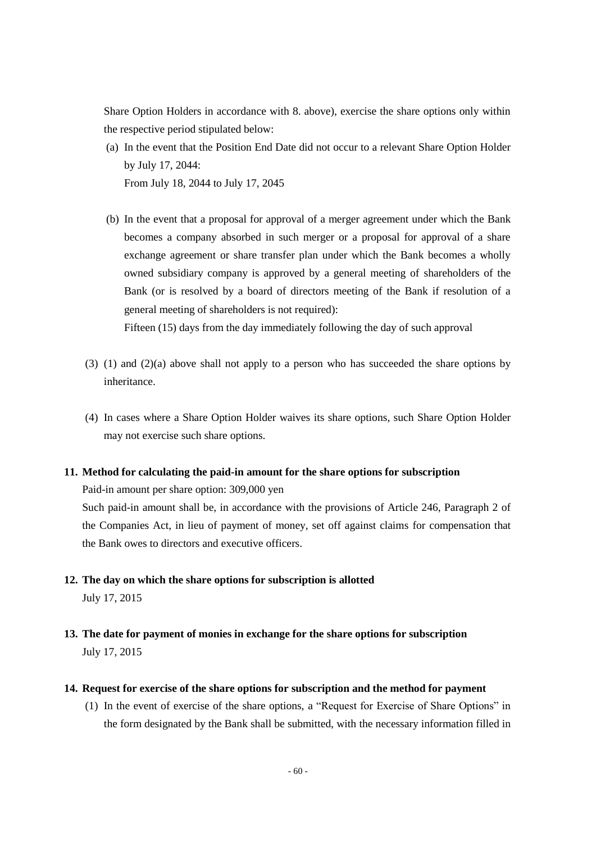Share Option Holders in accordance with 8. above), exercise the share options only within the respective period stipulated below:

- (a) In the event that the Position End Date did not occur to a relevant Share Option Holder by July 17, 2044: From July 18, 2044 to July 17, 2045
- (b) In the event that a proposal for approval of a merger agreement under which the Bank becomes a company absorbed in such merger or a proposal for approval of a share exchange agreement or share transfer plan under which the Bank becomes a wholly owned subsidiary company is approved by a general meeting of shareholders of the Bank (or is resolved by a board of directors meeting of the Bank if resolution of a general meeting of shareholders is not required):

Fifteen (15) days from the day immediately following the day of such approval

- (3) (1) and (2)(a) above shall not apply to a person who has succeeded the share options by inheritance.
- (4) In cases where a Share Option Holder waives its share options, such Share Option Holder may not exercise such share options.

#### **11. Method for calculating the paid-in amount for the share options for subscription**

Paid-in amount per share option: 309,000 yen

Such paid-in amount shall be, in accordance with the provisions of Article 246, Paragraph 2 of the Companies Act, in lieu of payment of money, set off against claims for compensation that the Bank owes to directors and executive officers.

- **12. The day on which the share options for subscription is allotted** July 17, 2015
- **13. The date for payment of monies in exchange for the share options for subscription** July 17, 2015
- **14. Request for exercise of the share options for subscription and the method for payment**
	- (1) In the event of exercise of the share options, a "Request for Exercise of Share Options" in the form designated by the Bank shall be submitted, with the necessary information filled in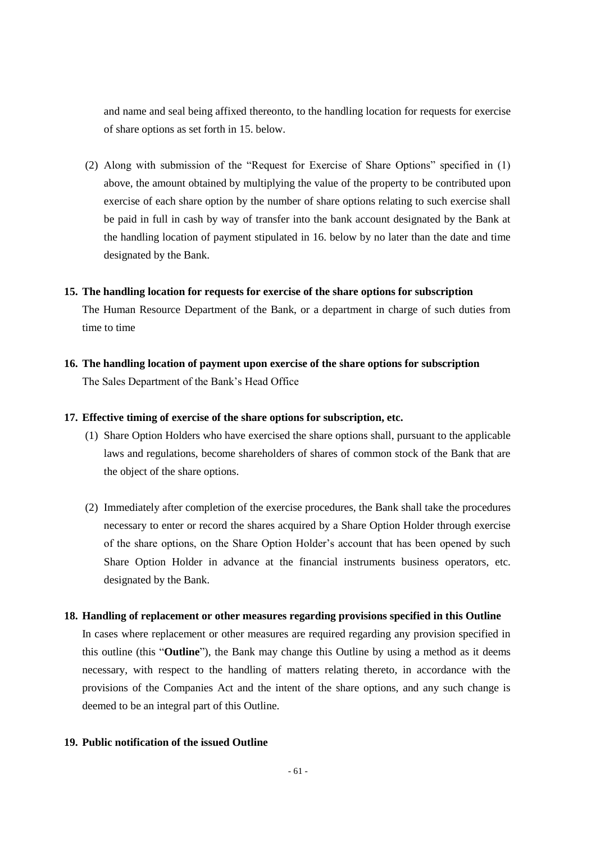and name and seal being affixed thereonto, to the handling location for requests for exercise of share options as set forth in 15. below.

(2) Along with submission of the "Request for Exercise of Share Options" specified in (1) above, the amount obtained by multiplying the value of the property to be contributed upon exercise of each share option by the number of share options relating to such exercise shall be paid in full in cash by way of transfer into the bank account designated by the Bank at the handling location of payment stipulated in 16. below by no later than the date and time designated by the Bank.

#### **15. The handling location for requests for exercise of the share options for subscription**

The Human Resource Department of the Bank, or a department in charge of such duties from time to time

**16. The handling location of payment upon exercise of the share options for subscription** The Sales Department of the Bank's Head Office

### **17. Effective timing of exercise of the share options for subscription, etc.**

- (1) Share Option Holders who have exercised the share options shall, pursuant to the applicable laws and regulations, become shareholders of shares of common stock of the Bank that are the object of the share options.
- (2) Immediately after completion of the exercise procedures, the Bank shall take the procedures necessary to enter or record the shares acquired by a Share Option Holder through exercise of the share options, on the Share Option Holder's account that has been opened by such Share Option Holder in advance at the financial instruments business operators, etc. designated by the Bank.

#### **18. Handling of replacement or other measures regarding provisions specified in this Outline**

In cases where replacement or other measures are required regarding any provision specified in this outline (this "**Outline**"), the Bank may change this Outline by using a method as it deems necessary, with respect to the handling of matters relating thereto, in accordance with the provisions of the Companies Act and the intent of the share options, and any such change is deemed to be an integral part of this Outline.

## **19. Public notification of the issued Outline**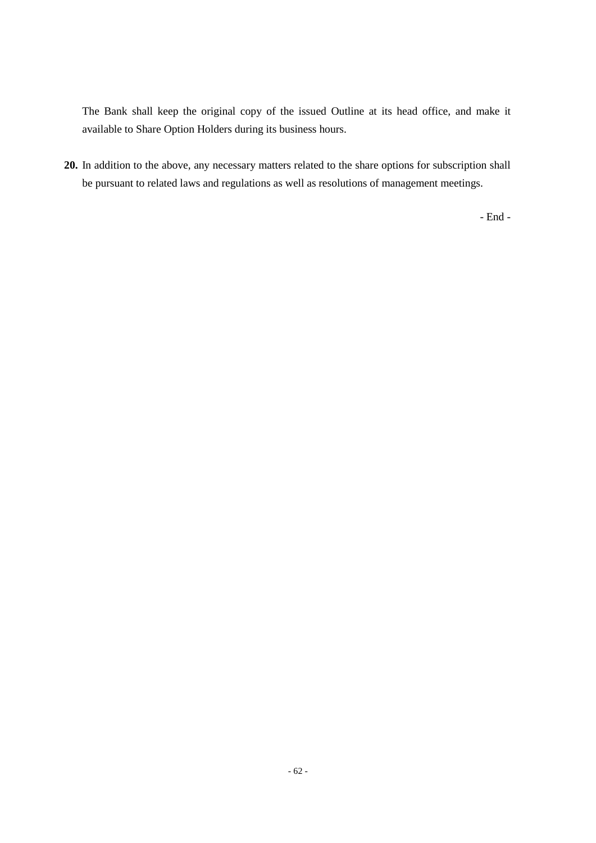The Bank shall keep the original copy of the issued Outline at its head office, and make it available to Share Option Holders during its business hours.

**20.** In addition to the above, any necessary matters related to the share options for subscription shall be pursuant to related laws and regulations as well as resolutions of management meetings.

- End -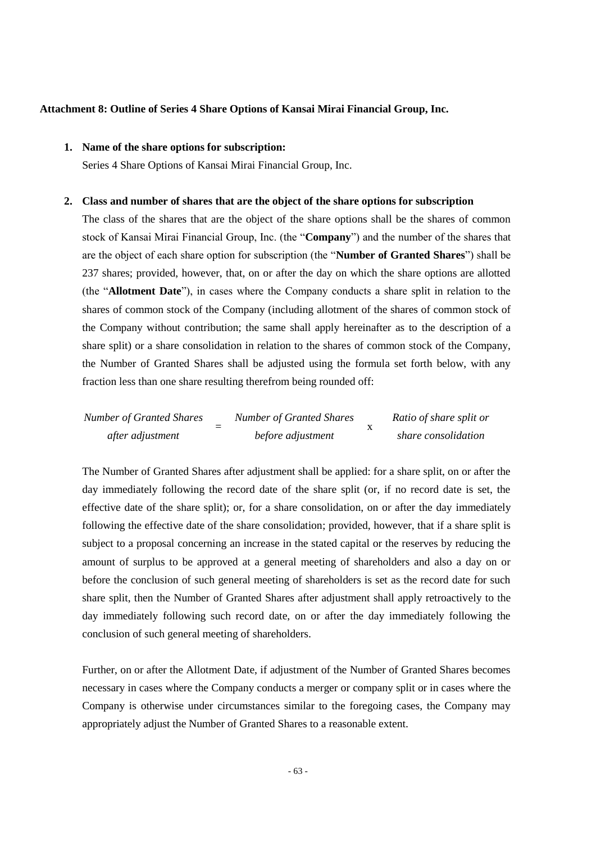#### **Attachment 8: Outline of Series 4 Share Options of Kansai Mirai Financial Group, Inc.**

## **1. Name of the share options for subscription:**

Series 4 Share Options of Kansai Mirai Financial Group, Inc.

#### **2. Class and number of shares that are the object of the share options for subscription**

The class of the shares that are the object of the share options shall be the shares of common stock of Kansai Mirai Financial Group, Inc. (the "**Company**") and the number of the shares that are the object of each share option for subscription (the "**Number of Granted Shares**") shall be 237 shares; provided, however, that, on or after the day on which the share options are allotted (the "**Allotment Date**"), in cases where the Company conducts a share split in relation to the shares of common stock of the Company (including allotment of the shares of common stock of the Company without contribution; the same shall apply hereinafter as to the description of a share split) or a share consolidation in relation to the shares of common stock of the Company, the Number of Granted Shares shall be adjusted using the formula set forth below, with any fraction less than one share resulting therefrom being rounded off:

| <b>Number of Granted Shares</b> | <b>Number of Granted Shares</b> | Ratio of share split or |
|---------------------------------|---------------------------------|-------------------------|
| after adjustment                | before adjustment               | share consolidation     |

The Number of Granted Shares after adjustment shall be applied: for a share split, on or after the day immediately following the record date of the share split (or, if no record date is set, the effective date of the share split); or, for a share consolidation, on or after the day immediately following the effective date of the share consolidation; provided, however, that if a share split is subject to a proposal concerning an increase in the stated capital or the reserves by reducing the amount of surplus to be approved at a general meeting of shareholders and also a day on or before the conclusion of such general meeting of shareholders is set as the record date for such share split, then the Number of Granted Shares after adjustment shall apply retroactively to the day immediately following such record date, on or after the day immediately following the conclusion of such general meeting of shareholders.

Further, on or after the Allotment Date, if adjustment of the Number of Granted Shares becomes necessary in cases where the Company conducts a merger or company split or in cases where the Company is otherwise under circumstances similar to the foregoing cases, the Company may appropriately adjust the Number of Granted Shares to a reasonable extent.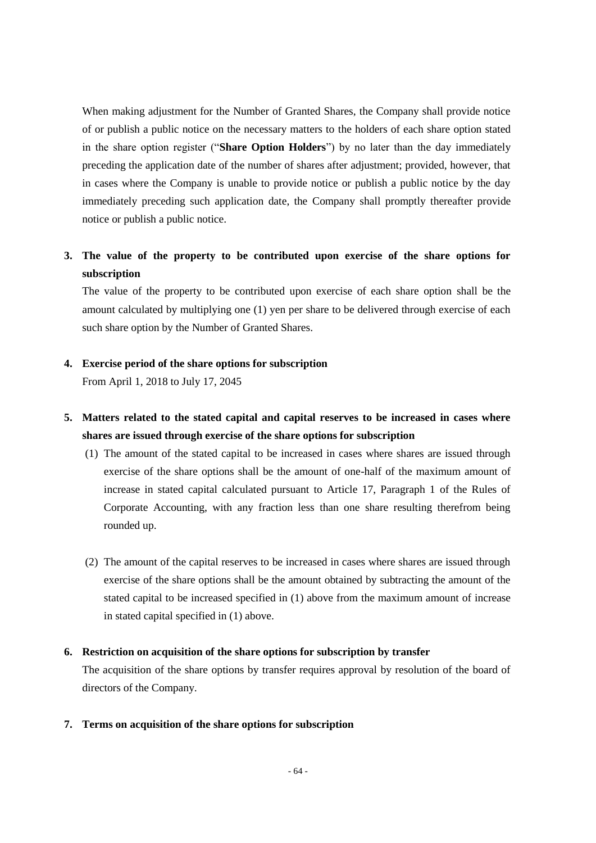When making adjustment for the Number of Granted Shares, the Company shall provide notice of or publish a public notice on the necessary matters to the holders of each share option stated in the share option register ("**Share Option Holders**") by no later than the day immediately preceding the application date of the number of shares after adjustment; provided, however, that in cases where the Company is unable to provide notice or publish a public notice by the day immediately preceding such application date, the Company shall promptly thereafter provide notice or publish a public notice.

## **3. The value of the property to be contributed upon exercise of the share options for subscription**

The value of the property to be contributed upon exercise of each share option shall be the amount calculated by multiplying one (1) yen per share to be delivered through exercise of each such share option by the Number of Granted Shares.

## **4. Exercise period of the share options for subscription**

From April 1, 2018 to July 17, 2045

## **5. Matters related to the stated capital and capital reserves to be increased in cases where shares are issued through exercise of the share options for subscription**

- (1) The amount of the stated capital to be increased in cases where shares are issued through exercise of the share options shall be the amount of one-half of the maximum amount of increase in stated capital calculated pursuant to Article 17, Paragraph 1 of the Rules of Corporate Accounting, with any fraction less than one share resulting therefrom being rounded up.
- (2) The amount of the capital reserves to be increased in cases where shares are issued through exercise of the share options shall be the amount obtained by subtracting the amount of the stated capital to be increased specified in (1) above from the maximum amount of increase in stated capital specified in (1) above.

## **6. Restriction on acquisition of the share options for subscription by transfer**

The acquisition of the share options by transfer requires approval by resolution of the board of directors of the Company.

### **7. Terms on acquisition of the share options for subscription**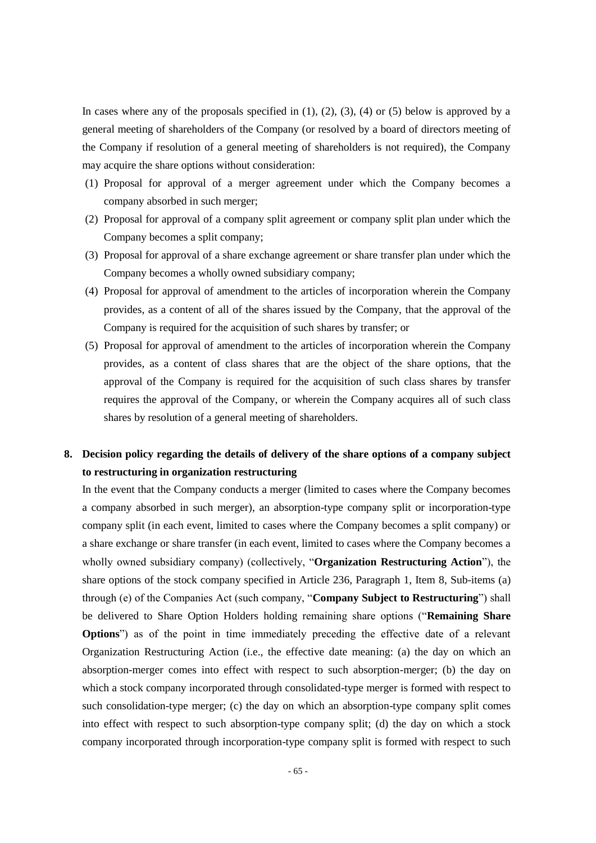In cases where any of the proposals specified in  $(1)$ ,  $(2)$ ,  $(3)$ ,  $(4)$  or  $(5)$  below is approved by a general meeting of shareholders of the Company (or resolved by a board of directors meeting of the Company if resolution of a general meeting of shareholders is not required), the Company may acquire the share options without consideration:

- (1) Proposal for approval of a merger agreement under which the Company becomes a company absorbed in such merger;
- (2) Proposal for approval of a company split agreement or company split plan under which the Company becomes a split company;
- (3) Proposal for approval of a share exchange agreement or share transfer plan under which the Company becomes a wholly owned subsidiary company;
- (4) Proposal for approval of amendment to the articles of incorporation wherein the Company provides, as a content of all of the shares issued by the Company, that the approval of the Company is required for the acquisition of such shares by transfer; or
- (5) Proposal for approval of amendment to the articles of incorporation wherein the Company provides, as a content of class shares that are the object of the share options, that the approval of the Company is required for the acquisition of such class shares by transfer requires the approval of the Company, or wherein the Company acquires all of such class shares by resolution of a general meeting of shareholders.

## **8. Decision policy regarding the details of delivery of the share options of a company subject to restructuring in organization restructuring**

In the event that the Company conducts a merger (limited to cases where the Company becomes a company absorbed in such merger), an absorption-type company split or incorporation-type company split (in each event, limited to cases where the Company becomes a split company) or a share exchange or share transfer (in each event, limited to cases where the Company becomes a wholly owned subsidiary company) (collectively, "**Organization Restructuring Action**"), the share options of the stock company specified in Article 236, Paragraph 1, Item 8, Sub-items (a) through (e) of the Companies Act (such company, "**Company Subject to Restructuring**") shall be delivered to Share Option Holders holding remaining share options ("**Remaining Share Options**") as of the point in time immediately preceding the effective date of a relevant Organization Restructuring Action (i.e., the effective date meaning: (a) the day on which an absorption-merger comes into effect with respect to such absorption-merger; (b) the day on which a stock company incorporated through consolidated-type merger is formed with respect to such consolidation-type merger; (c) the day on which an absorption-type company split comes into effect with respect to such absorption-type company split; (d) the day on which a stock company incorporated through incorporation-type company split is formed with respect to such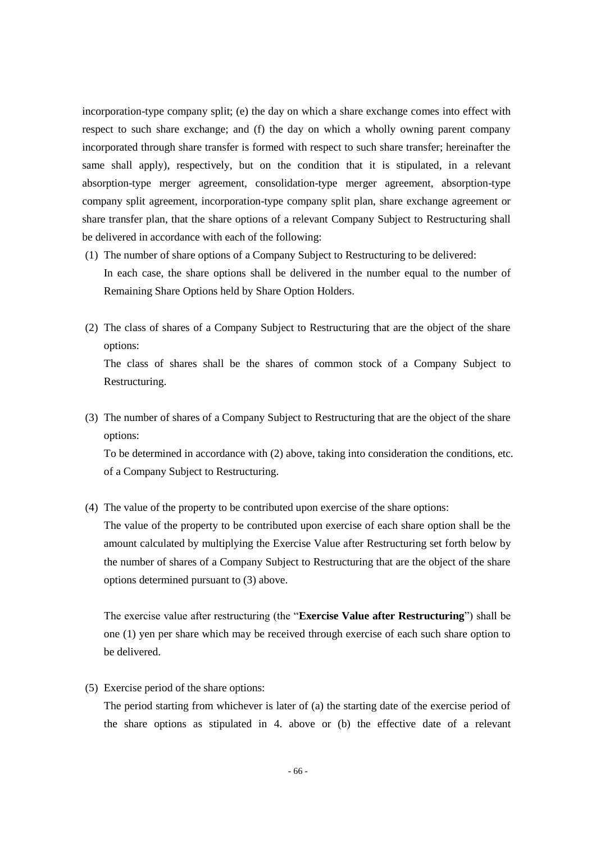incorporation-type company split; (e) the day on which a share exchange comes into effect with respect to such share exchange; and (f) the day on which a wholly owning parent company incorporated through share transfer is formed with respect to such share transfer; hereinafter the same shall apply), respectively, but on the condition that it is stipulated, in a relevant absorption-type merger agreement, consolidation-type merger agreement, absorption-type company split agreement, incorporation-type company split plan, share exchange agreement or share transfer plan, that the share options of a relevant Company Subject to Restructuring shall be delivered in accordance with each of the following:

- (1) The number of share options of a Company Subject to Restructuring to be delivered: In each case, the share options shall be delivered in the number equal to the number of Remaining Share Options held by Share Option Holders.
- (2) The class of shares of a Company Subject to Restructuring that are the object of the share options: The class of shares shall be the shares of common stock of a Company Subject to

Restructuring.

(3) The number of shares of a Company Subject to Restructuring that are the object of the share options:

To be determined in accordance with (2) above, taking into consideration the conditions, etc. of a Company Subject to Restructuring.

(4) The value of the property to be contributed upon exercise of the share options:

The value of the property to be contributed upon exercise of each share option shall be the amount calculated by multiplying the Exercise Value after Restructuring set forth below by the number of shares of a Company Subject to Restructuring that are the object of the share options determined pursuant to (3) above.

The exercise value after restructuring (the "**Exercise Value after Restructuring**") shall be one (1) yen per share which may be received through exercise of each such share option to be delivered.

(5) Exercise period of the share options:

The period starting from whichever is later of (a) the starting date of the exercise period of the share options as stipulated in 4. above or (b) the effective date of a relevant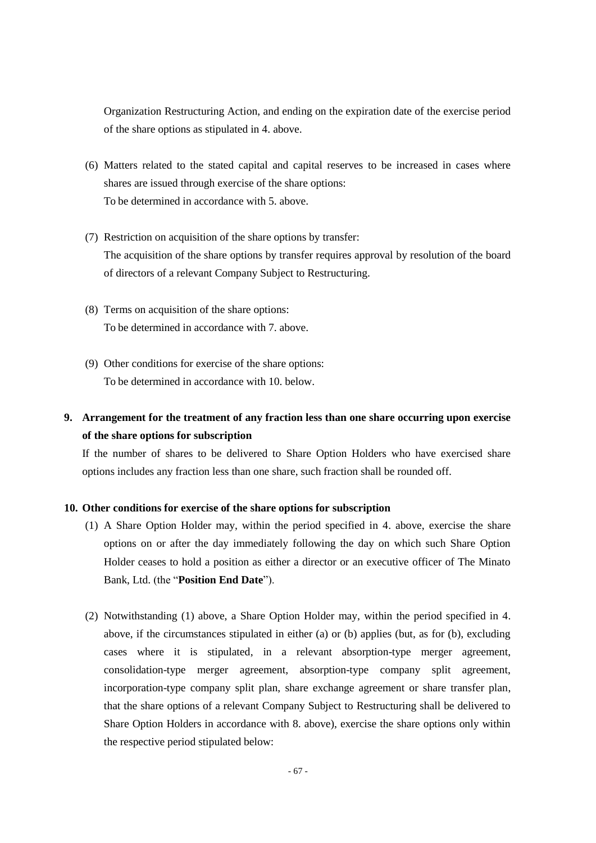Organization Restructuring Action, and ending on the expiration date of the exercise period of the share options as stipulated in 4. above.

- (6) Matters related to the stated capital and capital reserves to be increased in cases where shares are issued through exercise of the share options: To be determined in accordance with 5. above.
- (7) Restriction on acquisition of the share options by transfer: The acquisition of the share options by transfer requires approval by resolution of the board of directors of a relevant Company Subject to Restructuring.
- (8) Terms on acquisition of the share options: To be determined in accordance with 7. above.
- (9) Other conditions for exercise of the share options: To be determined in accordance with 10. below.

## **9. Arrangement for the treatment of any fraction less than one share occurring upon exercise of the share options for subscription**

If the number of shares to be delivered to Share Option Holders who have exercised share options includes any fraction less than one share, such fraction shall be rounded off.

## **10. Other conditions for exercise of the share options for subscription**

- (1) A Share Option Holder may, within the period specified in 4. above, exercise the share options on or after the day immediately following the day on which such Share Option Holder ceases to hold a position as either a director or an executive officer of The Minato Bank, Ltd. (the "**Position End Date**").
- (2) Notwithstanding (1) above, a Share Option Holder may, within the period specified in 4. above, if the circumstances stipulated in either (a) or (b) applies (but, as for (b), excluding cases where it is stipulated, in a relevant absorption-type merger agreement, consolidation-type merger agreement, absorption-type company split agreement, incorporation-type company split plan, share exchange agreement or share transfer plan, that the share options of a relevant Company Subject to Restructuring shall be delivered to Share Option Holders in accordance with 8. above), exercise the share options only within the respective period stipulated below: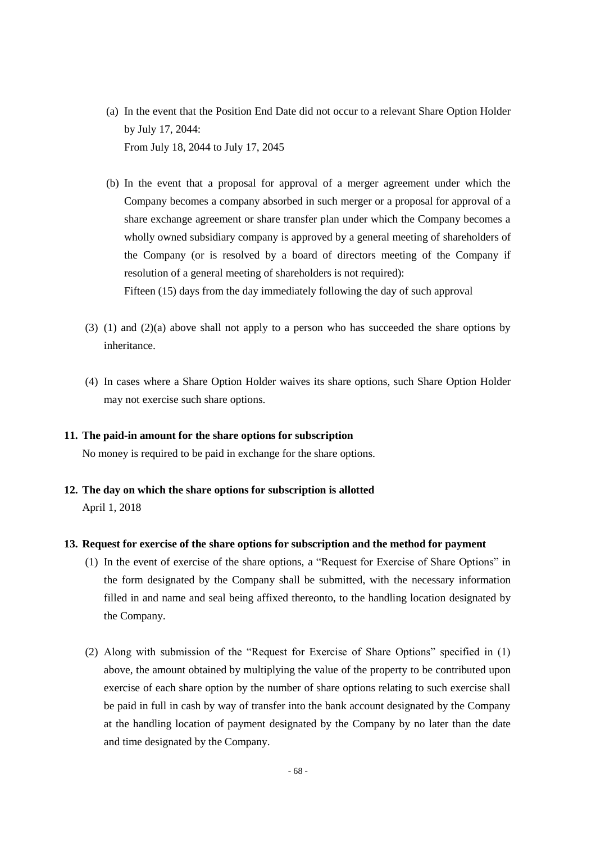- (a) In the event that the Position End Date did not occur to a relevant Share Option Holder by July 17, 2044: From July 18, 2044 to July 17, 2045
- (b) In the event that a proposal for approval of a merger agreement under which the Company becomes a company absorbed in such merger or a proposal for approval of a share exchange agreement or share transfer plan under which the Company becomes a wholly owned subsidiary company is approved by a general meeting of shareholders of the Company (or is resolved by a board of directors meeting of the Company if resolution of a general meeting of shareholders is not required): Fifteen (15) days from the day immediately following the day of such approval
- (3) (1) and (2)(a) above shall not apply to a person who has succeeded the share options by inheritance.
- (4) In cases where a Share Option Holder waives its share options, such Share Option Holder may not exercise such share options.

#### **11. The paid-in amount for the share options for subscription**

No money is required to be paid in exchange for the share options.

**12. The day on which the share options for subscription is allotted** April 1, 2018

#### **13. Request for exercise of the share options for subscription and the method for payment**

- (1) In the event of exercise of the share options, a "Request for Exercise of Share Options" in the form designated by the Company shall be submitted, with the necessary information filled in and name and seal being affixed thereonto, to the handling location designated by the Company.
- (2) Along with submission of the "Request for Exercise of Share Options" specified in (1) above, the amount obtained by multiplying the value of the property to be contributed upon exercise of each share option by the number of share options relating to such exercise shall be paid in full in cash by way of transfer into the bank account designated by the Company at the handling location of payment designated by the Company by no later than the date and time designated by the Company.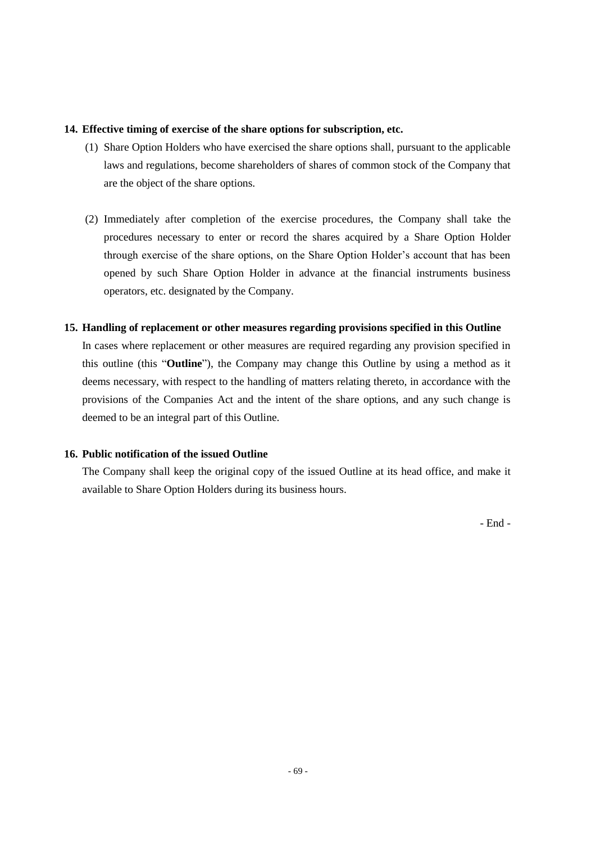### **14. Effective timing of exercise of the share options for subscription, etc.**

- (1) Share Option Holders who have exercised the share options shall, pursuant to the applicable laws and regulations, become shareholders of shares of common stock of the Company that are the object of the share options.
- (2) Immediately after completion of the exercise procedures, the Company shall take the procedures necessary to enter or record the shares acquired by a Share Option Holder through exercise of the share options, on the Share Option Holder's account that has been opened by such Share Option Holder in advance at the financial instruments business operators, etc. designated by the Company.

## **15. Handling of replacement or other measures regarding provisions specified in this Outline**

In cases where replacement or other measures are required regarding any provision specified in this outline (this "**Outline**"), the Company may change this Outline by using a method as it deems necessary, with respect to the handling of matters relating thereto, in accordance with the provisions of the Companies Act and the intent of the share options, and any such change is deemed to be an integral part of this Outline.

## **16. Public notification of the issued Outline**

The Company shall keep the original copy of the issued Outline at its head office, and make it available to Share Option Holders during its business hours.

- End -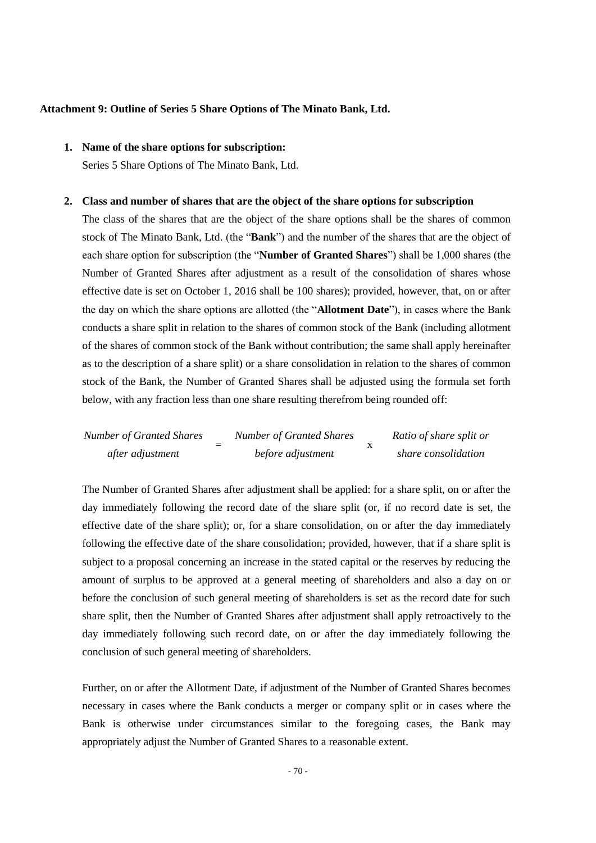#### **Attachment 9: Outline of Series 5 Share Options of The Minato Bank, Ltd.**

## **1. Name of the share options for subscription:**

Series 5 Share Options of The Minato Bank, Ltd.

#### **2. Class and number of shares that are the object of the share options for subscription**

The class of the shares that are the object of the share options shall be the shares of common stock of The Minato Bank, Ltd. (the "**Bank**") and the number of the shares that are the object of each share option for subscription (the "**Number of Granted Shares**") shall be 1,000 shares (the Number of Granted Shares after adjustment as a result of the consolidation of shares whose effective date is set on October 1, 2016 shall be 100 shares); provided, however, that, on or after the day on which the share options are allotted (the "**Allotment Date**"), in cases where the Bank conducts a share split in relation to the shares of common stock of the Bank (including allotment of the shares of common stock of the Bank without contribution; the same shall apply hereinafter as to the description of a share split) or a share consolidation in relation to the shares of common stock of the Bank, the Number of Granted Shares shall be adjusted using the formula set forth below, with any fraction less than one share resulting therefrom being rounded off:

Number of Granted Shares = Number of Granted Shares after adjustment = 
$$
after adjustment = before adjustment
$$

The Number of Granted Shares after adjustment shall be applied: for a share split, on or after the day immediately following the record date of the share split (or, if no record date is set, the effective date of the share split); or, for a share consolidation, on or after the day immediately following the effective date of the share consolidation; provided, however, that if a share split is subject to a proposal concerning an increase in the stated capital or the reserves by reducing the amount of surplus to be approved at a general meeting of shareholders and also a day on or before the conclusion of such general meeting of shareholders is set as the record date for such share split, then the Number of Granted Shares after adjustment shall apply retroactively to the day immediately following such record date, on or after the day immediately following the conclusion of such general meeting of shareholders.

Further, on or after the Allotment Date, if adjustment of the Number of Granted Shares becomes necessary in cases where the Bank conducts a merger or company split or in cases where the Bank is otherwise under circumstances similar to the foregoing cases, the Bank may appropriately adjust the Number of Granted Shares to a reasonable extent.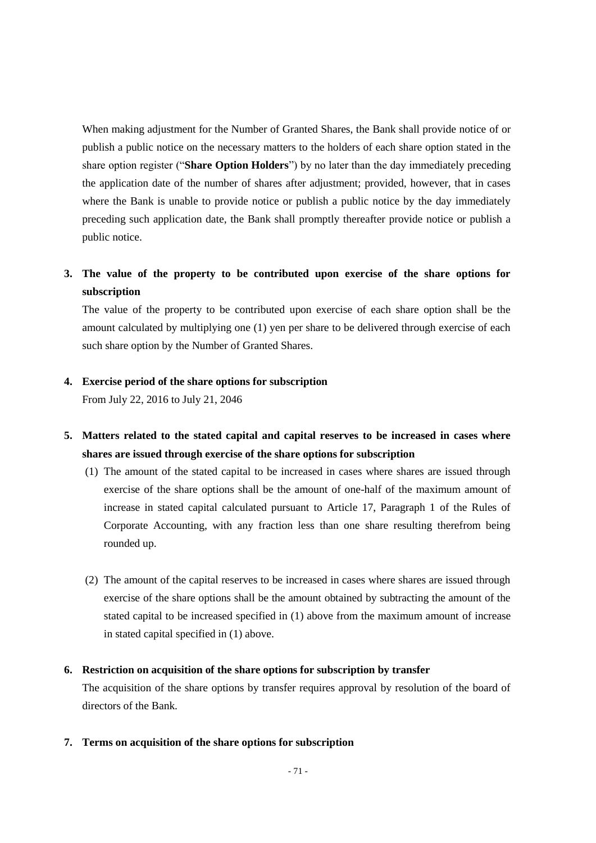When making adjustment for the Number of Granted Shares, the Bank shall provide notice of or publish a public notice on the necessary matters to the holders of each share option stated in the share option register ("**Share Option Holders**") by no later than the day immediately preceding the application date of the number of shares after adjustment; provided, however, that in cases where the Bank is unable to provide notice or publish a public notice by the day immediately preceding such application date, the Bank shall promptly thereafter provide notice or publish a public notice.

# **3. The value of the property to be contributed upon exercise of the share options for subscription**

The value of the property to be contributed upon exercise of each share option shall be the amount calculated by multiplying one (1) yen per share to be delivered through exercise of each such share option by the Number of Granted Shares.

## **4. Exercise period of the share options for subscription**

From July 22, 2016 to July 21, 2046

- **5. Matters related to the stated capital and capital reserves to be increased in cases where shares are issued through exercise of the share options for subscription**
	- (1) The amount of the stated capital to be increased in cases where shares are issued through exercise of the share options shall be the amount of one-half of the maximum amount of increase in stated capital calculated pursuant to Article 17, Paragraph 1 of the Rules of Corporate Accounting, with any fraction less than one share resulting therefrom being rounded up.
	- (2) The amount of the capital reserves to be increased in cases where shares are issued through exercise of the share options shall be the amount obtained by subtracting the amount of the stated capital to be increased specified in (1) above from the maximum amount of increase in stated capital specified in (1) above.

## **6. Restriction on acquisition of the share options for subscription by transfer**

The acquisition of the share options by transfer requires approval by resolution of the board of directors of the Bank.

**7. Terms on acquisition of the share options for subscription**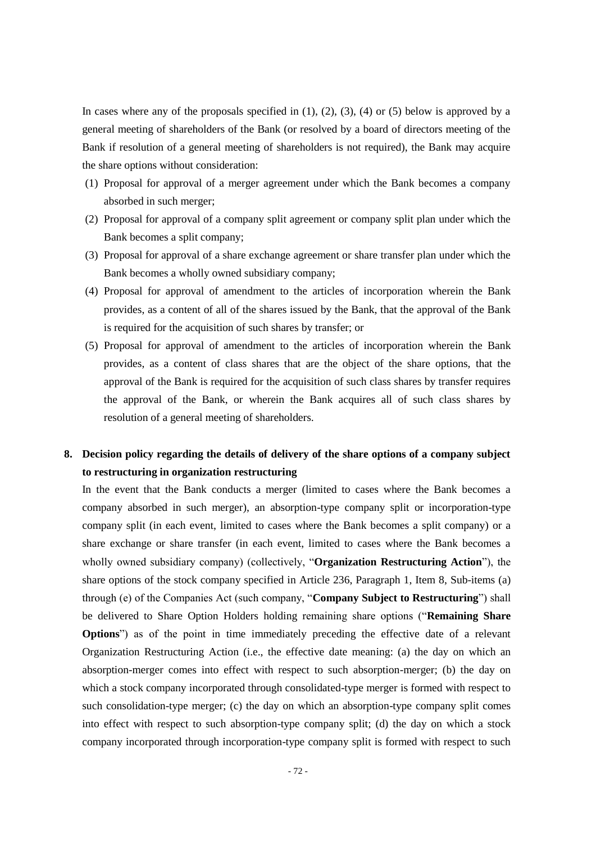In cases where any of the proposals specified in  $(1)$ ,  $(2)$ ,  $(3)$ ,  $(4)$  or  $(5)$  below is approved by a general meeting of shareholders of the Bank (or resolved by a board of directors meeting of the Bank if resolution of a general meeting of shareholders is not required), the Bank may acquire the share options without consideration:

- (1) Proposal for approval of a merger agreement under which the Bank becomes a company absorbed in such merger;
- (2) Proposal for approval of a company split agreement or company split plan under which the Bank becomes a split company;
- (3) Proposal for approval of a share exchange agreement or share transfer plan under which the Bank becomes a wholly owned subsidiary company;
- (4) Proposal for approval of amendment to the articles of incorporation wherein the Bank provides, as a content of all of the shares issued by the Bank, that the approval of the Bank is required for the acquisition of such shares by transfer; or
- (5) Proposal for approval of amendment to the articles of incorporation wherein the Bank provides, as a content of class shares that are the object of the share options, that the approval of the Bank is required for the acquisition of such class shares by transfer requires the approval of the Bank, or wherein the Bank acquires all of such class shares by resolution of a general meeting of shareholders.

# **8. Decision policy regarding the details of delivery of the share options of a company subject to restructuring in organization restructuring**

In the event that the Bank conducts a merger (limited to cases where the Bank becomes a company absorbed in such merger), an absorption-type company split or incorporation-type company split (in each event, limited to cases where the Bank becomes a split company) or a share exchange or share transfer (in each event, limited to cases where the Bank becomes a wholly owned subsidiary company) (collectively, "**Organization Restructuring Action**"), the share options of the stock company specified in Article 236, Paragraph 1, Item 8, Sub-items (a) through (e) of the Companies Act (such company, "**Company Subject to Restructuring**") shall be delivered to Share Option Holders holding remaining share options ("**Remaining Share Options**") as of the point in time immediately preceding the effective date of a relevant Organization Restructuring Action (i.e., the effective date meaning: (a) the day on which an absorption-merger comes into effect with respect to such absorption-merger; (b) the day on which a stock company incorporated through consolidated-type merger is formed with respect to such consolidation-type merger; (c) the day on which an absorption-type company split comes into effect with respect to such absorption-type company split; (d) the day on which a stock company incorporated through incorporation-type company split is formed with respect to such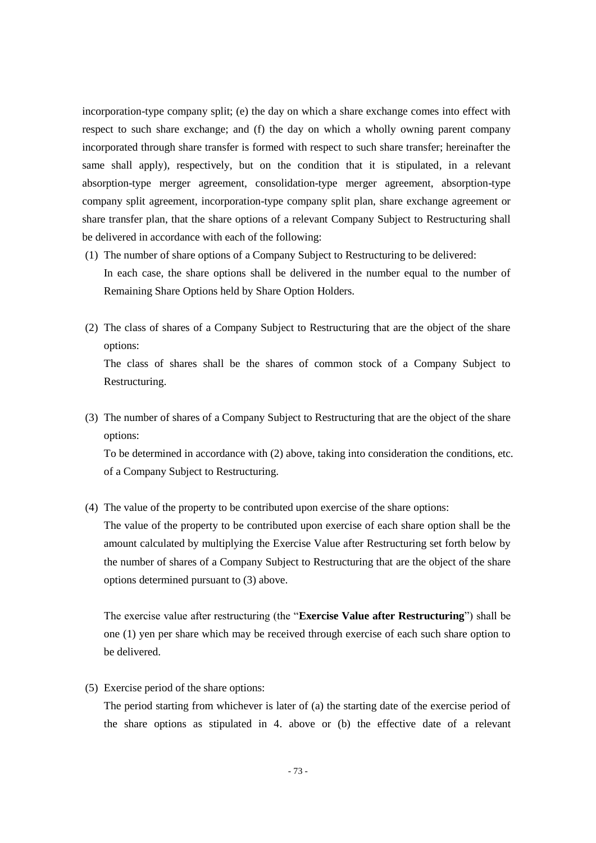incorporation-type company split; (e) the day on which a share exchange comes into effect with respect to such share exchange; and (f) the day on which a wholly owning parent company incorporated through share transfer is formed with respect to such share transfer; hereinafter the same shall apply), respectively, but on the condition that it is stipulated, in a relevant absorption-type merger agreement, consolidation-type merger agreement, absorption-type company split agreement, incorporation-type company split plan, share exchange agreement or share transfer plan, that the share options of a relevant Company Subject to Restructuring shall be delivered in accordance with each of the following:

- (1) The number of share options of a Company Subject to Restructuring to be delivered: In each case, the share options shall be delivered in the number equal to the number of Remaining Share Options held by Share Option Holders.
- (2) The class of shares of a Company Subject to Restructuring that are the object of the share options: The class of shares shall be the shares of common stock of a Company Subject to

(3) The number of shares of a Company Subject to Restructuring that are the object of the share options:

To be determined in accordance with (2) above, taking into consideration the conditions, etc. of a Company Subject to Restructuring.

(4) The value of the property to be contributed upon exercise of the share options:

The value of the property to be contributed upon exercise of each share option shall be the amount calculated by multiplying the Exercise Value after Restructuring set forth below by the number of shares of a Company Subject to Restructuring that are the object of the share options determined pursuant to (3) above.

The exercise value after restructuring (the "**Exercise Value after Restructuring**") shall be one (1) yen per share which may be received through exercise of each such share option to be delivered.

(5) Exercise period of the share options:

Restructuring.

The period starting from whichever is later of (a) the starting date of the exercise period of the share options as stipulated in 4. above or (b) the effective date of a relevant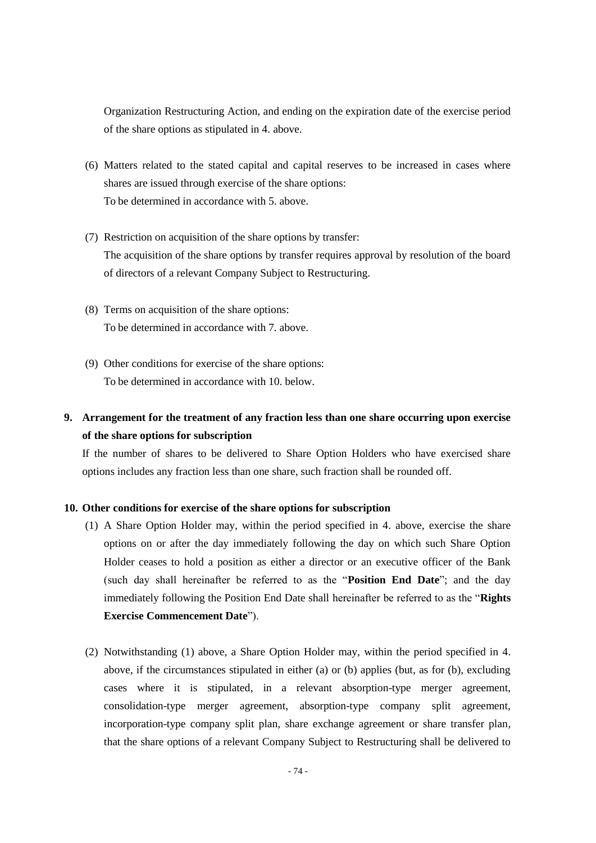Organization Restructuring Action, and ending on the expiration date of the exercise period of the share options as stipulated in 4. above.

- (6) Matters related to the stated capital and capital reserves to be increased in cases where shares are issued through exercise of the share options: To be determined in accordance with 5. above.
- (7) Restriction on acquisition of the share options by transfer: The acquisition of the share options by transfer requires approval by resolution of the board of directors of a relevant Company Subject to Restructuring.
- (8) Terms on acquisition of the share options: To be determined in accordance with 7. above.
- (9) Other conditions for exercise of the share options: To be determined in accordance with 10. below.

# **9. Arrangement for the treatment of any fraction less than one share occurring upon exercise of the share options for subscription**

If the number of shares to be delivered to Share Option Holders who have exercised share options includes any fraction less than one share, such fraction shall be rounded off.

## **10. Other conditions for exercise of the share options for subscription**

- (1) A Share Option Holder may, within the period specified in 4. above, exercise the share options on or after the day immediately following the day on which such Share Option Holder ceases to hold a position as either a director or an executive officer of the Bank (such day shall hereinafter be referred to as the "**Position End Date**"; and the day immediately following the Position End Date shall hereinafter be referred to as the "**Rights Exercise Commencement Date**").
- (2) Notwithstanding (1) above, a Share Option Holder may, within the period specified in 4. above, if the circumstances stipulated in either (a) or (b) applies (but, as for (b), excluding cases where it is stipulated, in a relevant absorption-type merger agreement, consolidation-type merger agreement, absorption-type company split agreement, incorporation-type company split plan, share exchange agreement or share transfer plan, that the share options of a relevant Company Subject to Restructuring shall be delivered to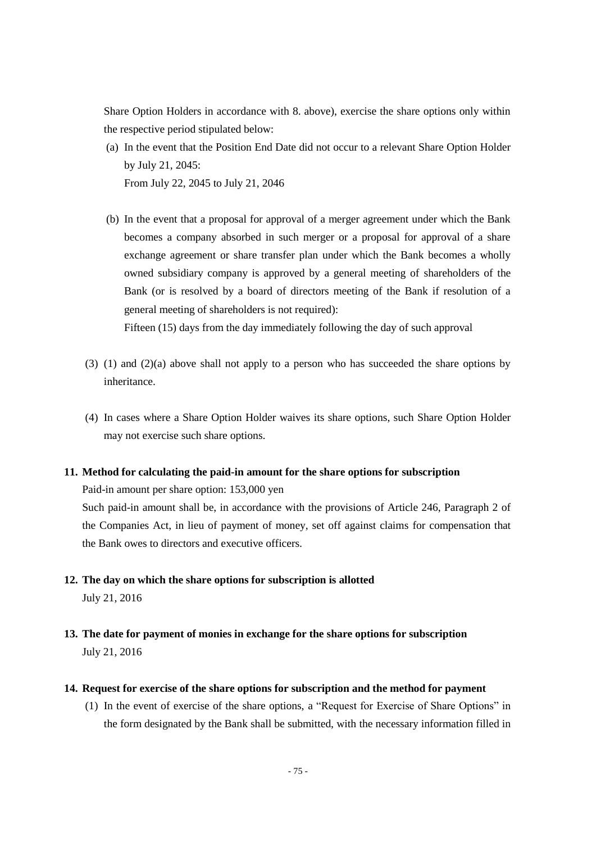Share Option Holders in accordance with 8. above), exercise the share options only within the respective period stipulated below:

- (a) In the event that the Position End Date did not occur to a relevant Share Option Holder by July 21, 2045: From July 22, 2045 to July 21, 2046
- (b) In the event that a proposal for approval of a merger agreement under which the Bank becomes a company absorbed in such merger or a proposal for approval of a share exchange agreement or share transfer plan under which the Bank becomes a wholly owned subsidiary company is approved by a general meeting of shareholders of the Bank (or is resolved by a board of directors meeting of the Bank if resolution of a general meeting of shareholders is not required):

Fifteen (15) days from the day immediately following the day of such approval

- (3) (1) and (2)(a) above shall not apply to a person who has succeeded the share options by inheritance.
- (4) In cases where a Share Option Holder waives its share options, such Share Option Holder may not exercise such share options.

### **11. Method for calculating the paid-in amount for the share options for subscription**

Paid-in amount per share option: 153,000 yen

Such paid-in amount shall be, in accordance with the provisions of Article 246, Paragraph 2 of the Companies Act, in lieu of payment of money, set off against claims for compensation that the Bank owes to directors and executive officers.

- **12. The day on which the share options for subscription is allotted** July 21, 2016
- **13. The date for payment of monies in exchange for the share options for subscription** July 21, 2016
- **14. Request for exercise of the share options for subscription and the method for payment**
	- (1) In the event of exercise of the share options, a "Request for Exercise of Share Options" in the form designated by the Bank shall be submitted, with the necessary information filled in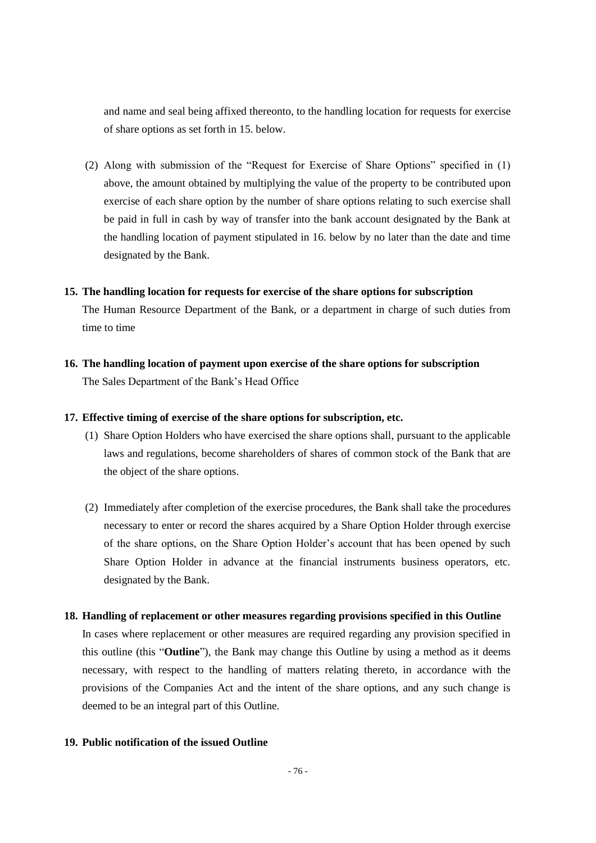and name and seal being affixed thereonto, to the handling location for requests for exercise of share options as set forth in 15. below.

(2) Along with submission of the "Request for Exercise of Share Options" specified in (1) above, the amount obtained by multiplying the value of the property to be contributed upon exercise of each share option by the number of share options relating to such exercise shall be paid in full in cash by way of transfer into the bank account designated by the Bank at the handling location of payment stipulated in 16. below by no later than the date and time designated by the Bank.

#### **15. The handling location for requests for exercise of the share options for subscription**

The Human Resource Department of the Bank, or a department in charge of such duties from time to time

**16. The handling location of payment upon exercise of the share options for subscription** The Sales Department of the Bank's Head Office

### **17. Effective timing of exercise of the share options for subscription, etc.**

- (1) Share Option Holders who have exercised the share options shall, pursuant to the applicable laws and regulations, become shareholders of shares of common stock of the Bank that are the object of the share options.
- (2) Immediately after completion of the exercise procedures, the Bank shall take the procedures necessary to enter or record the shares acquired by a Share Option Holder through exercise of the share options, on the Share Option Holder's account that has been opened by such Share Option Holder in advance at the financial instruments business operators, etc. designated by the Bank.

#### **18. Handling of replacement or other measures regarding provisions specified in this Outline**

In cases where replacement or other measures are required regarding any provision specified in this outline (this "**Outline**"), the Bank may change this Outline by using a method as it deems necessary, with respect to the handling of matters relating thereto, in accordance with the provisions of the Companies Act and the intent of the share options, and any such change is deemed to be an integral part of this Outline.

## **19. Public notification of the issued Outline**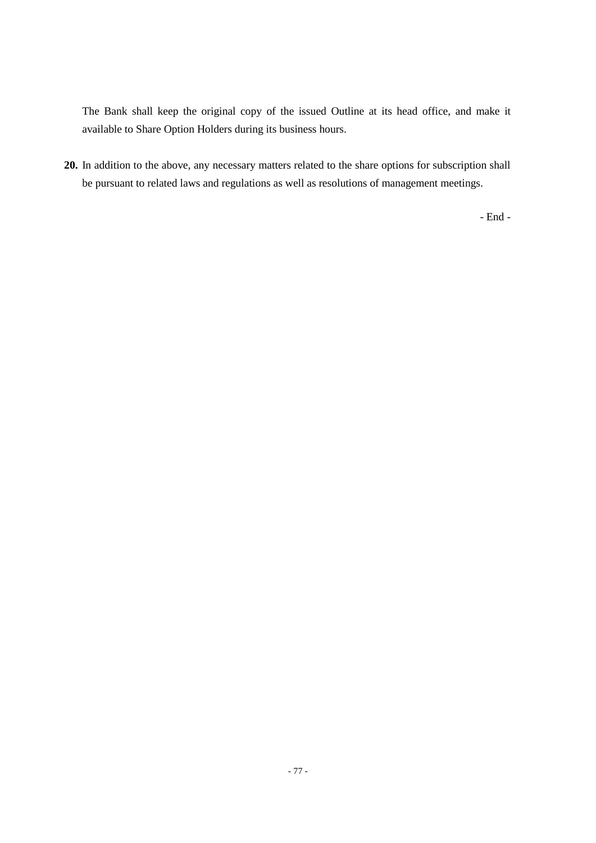The Bank shall keep the original copy of the issued Outline at its head office, and make it available to Share Option Holders during its business hours.

**20.** In addition to the above, any necessary matters related to the share options for subscription shall be pursuant to related laws and regulations as well as resolutions of management meetings.

- End -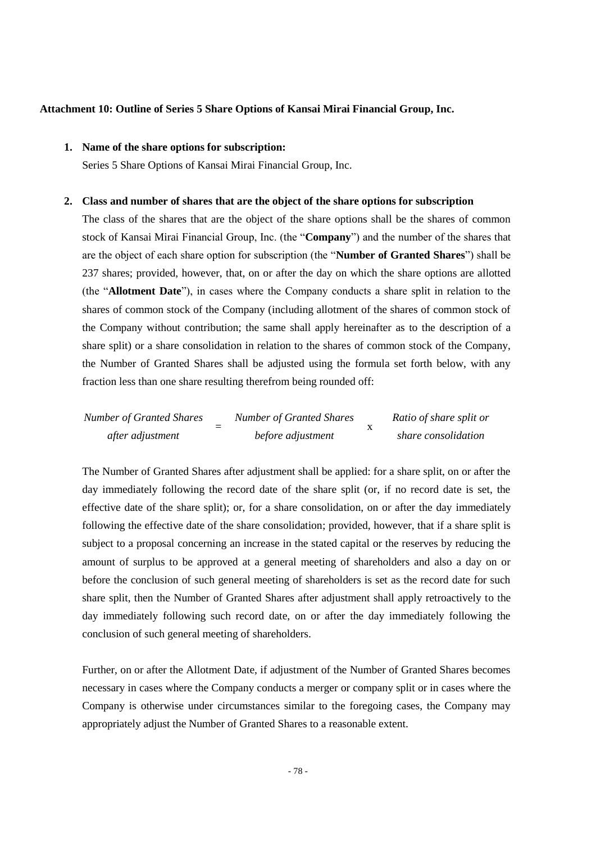## **Attachment 10: Outline of Series 5 Share Options of Kansai Mirai Financial Group, Inc.**

## **1. Name of the share options for subscription:**

Series 5 Share Options of Kansai Mirai Financial Group, Inc.

#### **2. Class and number of shares that are the object of the share options for subscription**

The class of the shares that are the object of the share options shall be the shares of common stock of Kansai Mirai Financial Group, Inc. (the "**Company**") and the number of the shares that are the object of each share option for subscription (the "**Number of Granted Shares**") shall be 237 shares; provided, however, that, on or after the day on which the share options are allotted (the "**Allotment Date**"), in cases where the Company conducts a share split in relation to the shares of common stock of the Company (including allotment of the shares of common stock of the Company without contribution; the same shall apply hereinafter as to the description of a share split) or a share consolidation in relation to the shares of common stock of the Company, the Number of Granted Shares shall be adjusted using the formula set forth below, with any fraction less than one share resulting therefrom being rounded off:

| <b>Number of Granted Shares</b> | <b>Number of Granted Shares</b> | Ratio of share split or |
|---------------------------------|---------------------------------|-------------------------|
| after adjustment                | before adjustment               | share consolidation     |

The Number of Granted Shares after adjustment shall be applied: for a share split, on or after the day immediately following the record date of the share split (or, if no record date is set, the effective date of the share split); or, for a share consolidation, on or after the day immediately following the effective date of the share consolidation; provided, however, that if a share split is subject to a proposal concerning an increase in the stated capital or the reserves by reducing the amount of surplus to be approved at a general meeting of shareholders and also a day on or before the conclusion of such general meeting of shareholders is set as the record date for such share split, then the Number of Granted Shares after adjustment shall apply retroactively to the day immediately following such record date, on or after the day immediately following the conclusion of such general meeting of shareholders.

Further, on or after the Allotment Date, if adjustment of the Number of Granted Shares becomes necessary in cases where the Company conducts a merger or company split or in cases where the Company is otherwise under circumstances similar to the foregoing cases, the Company may appropriately adjust the Number of Granted Shares to a reasonable extent.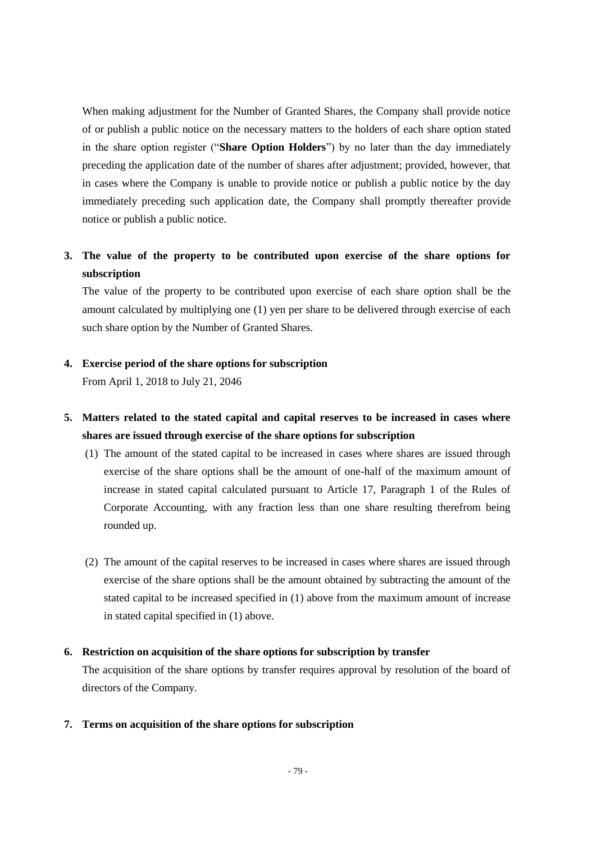When making adjustment for the Number of Granted Shares, the Company shall provide notice of or publish a public notice on the necessary matters to the holders of each share option stated in the share option register ("**Share Option Holders**") by no later than the day immediately preceding the application date of the number of shares after adjustment; provided, however, that in cases where the Company is unable to provide notice or publish a public notice by the day immediately preceding such application date, the Company shall promptly thereafter provide notice or publish a public notice.

# **3. The value of the property to be contributed upon exercise of the share options for subscription**

The value of the property to be contributed upon exercise of each share option shall be the amount calculated by multiplying one (1) yen per share to be delivered through exercise of each such share option by the Number of Granted Shares.

## **4. Exercise period of the share options for subscription**

From April 1, 2018 to July 21, 2046

# **5. Matters related to the stated capital and capital reserves to be increased in cases where shares are issued through exercise of the share options for subscription**

- (1) The amount of the stated capital to be increased in cases where shares are issued through exercise of the share options shall be the amount of one-half of the maximum amount of increase in stated capital calculated pursuant to Article 17, Paragraph 1 of the Rules of Corporate Accounting, with any fraction less than one share resulting therefrom being rounded up.
- (2) The amount of the capital reserves to be increased in cases where shares are issued through exercise of the share options shall be the amount obtained by subtracting the amount of the stated capital to be increased specified in (1) above from the maximum amount of increase in stated capital specified in (1) above.

## **6. Restriction on acquisition of the share options for subscription by transfer**

The acquisition of the share options by transfer requires approval by resolution of the board of directors of the Company.

### **7. Terms on acquisition of the share options for subscription**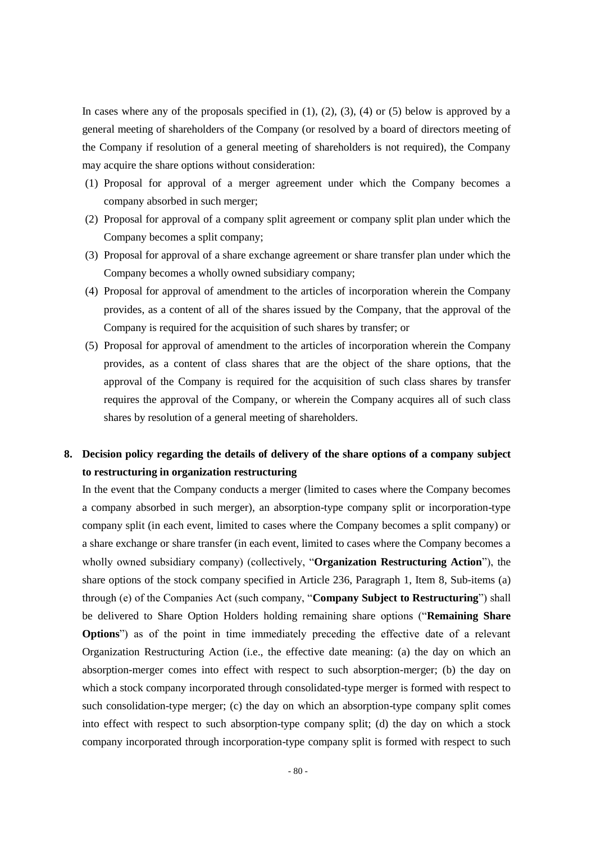In cases where any of the proposals specified in  $(1)$ ,  $(2)$ ,  $(3)$ ,  $(4)$  or  $(5)$  below is approved by a general meeting of shareholders of the Company (or resolved by a board of directors meeting of the Company if resolution of a general meeting of shareholders is not required), the Company may acquire the share options without consideration:

- (1) Proposal for approval of a merger agreement under which the Company becomes a company absorbed in such merger;
- (2) Proposal for approval of a company split agreement or company split plan under which the Company becomes a split company;
- (3) Proposal for approval of a share exchange agreement or share transfer plan under which the Company becomes a wholly owned subsidiary company;
- (4) Proposal for approval of amendment to the articles of incorporation wherein the Company provides, as a content of all of the shares issued by the Company, that the approval of the Company is required for the acquisition of such shares by transfer; or
- (5) Proposal for approval of amendment to the articles of incorporation wherein the Company provides, as a content of class shares that are the object of the share options, that the approval of the Company is required for the acquisition of such class shares by transfer requires the approval of the Company, or wherein the Company acquires all of such class shares by resolution of a general meeting of shareholders.

# **8. Decision policy regarding the details of delivery of the share options of a company subject to restructuring in organization restructuring**

In the event that the Company conducts a merger (limited to cases where the Company becomes a company absorbed in such merger), an absorption-type company split or incorporation-type company split (in each event, limited to cases where the Company becomes a split company) or a share exchange or share transfer (in each event, limited to cases where the Company becomes a wholly owned subsidiary company) (collectively, "**Organization Restructuring Action**"), the share options of the stock company specified in Article 236, Paragraph 1, Item 8, Sub-items (a) through (e) of the Companies Act (such company, "**Company Subject to Restructuring**") shall be delivered to Share Option Holders holding remaining share options ("**Remaining Share Options**") as of the point in time immediately preceding the effective date of a relevant Organization Restructuring Action (i.e., the effective date meaning: (a) the day on which an absorption-merger comes into effect with respect to such absorption-merger; (b) the day on which a stock company incorporated through consolidated-type merger is formed with respect to such consolidation-type merger; (c) the day on which an absorption-type company split comes into effect with respect to such absorption-type company split; (d) the day on which a stock company incorporated through incorporation-type company split is formed with respect to such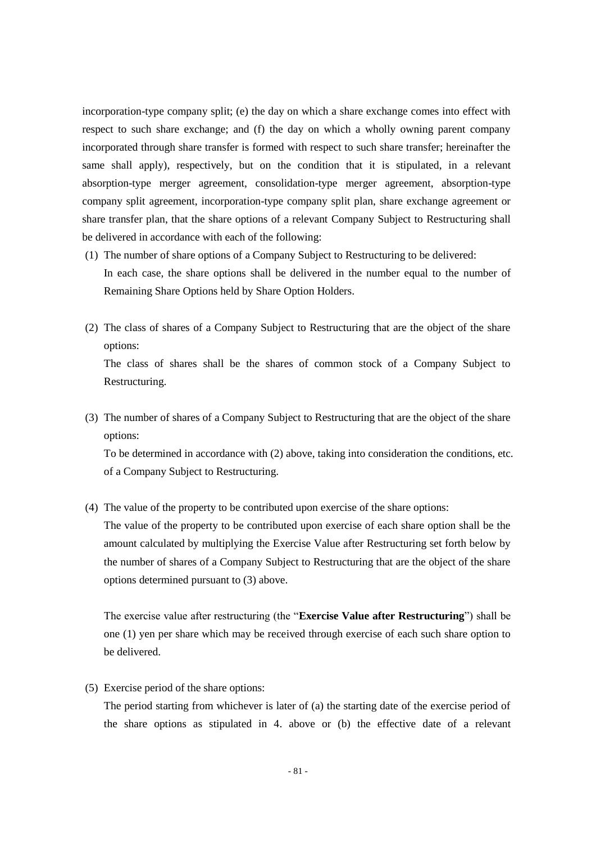incorporation-type company split; (e) the day on which a share exchange comes into effect with respect to such share exchange; and (f) the day on which a wholly owning parent company incorporated through share transfer is formed with respect to such share transfer; hereinafter the same shall apply), respectively, but on the condition that it is stipulated, in a relevant absorption-type merger agreement, consolidation-type merger agreement, absorption-type company split agreement, incorporation-type company split plan, share exchange agreement or share transfer plan, that the share options of a relevant Company Subject to Restructuring shall be delivered in accordance with each of the following:

- (1) The number of share options of a Company Subject to Restructuring to be delivered: In each case, the share options shall be delivered in the number equal to the number of Remaining Share Options held by Share Option Holders.
- (2) The class of shares of a Company Subject to Restructuring that are the object of the share options: The class of shares shall be the shares of common stock of a Company Subject to

Restructuring.

(3) The number of shares of a Company Subject to Restructuring that are the object of the share options:

To be determined in accordance with (2) above, taking into consideration the conditions, etc. of a Company Subject to Restructuring.

(4) The value of the property to be contributed upon exercise of the share options:

The value of the property to be contributed upon exercise of each share option shall be the amount calculated by multiplying the Exercise Value after Restructuring set forth below by the number of shares of a Company Subject to Restructuring that are the object of the share options determined pursuant to (3) above.

The exercise value after restructuring (the "**Exercise Value after Restructuring**") shall be one (1) yen per share which may be received through exercise of each such share option to be delivered.

(5) Exercise period of the share options:

The period starting from whichever is later of (a) the starting date of the exercise period of the share options as stipulated in 4. above or (b) the effective date of a relevant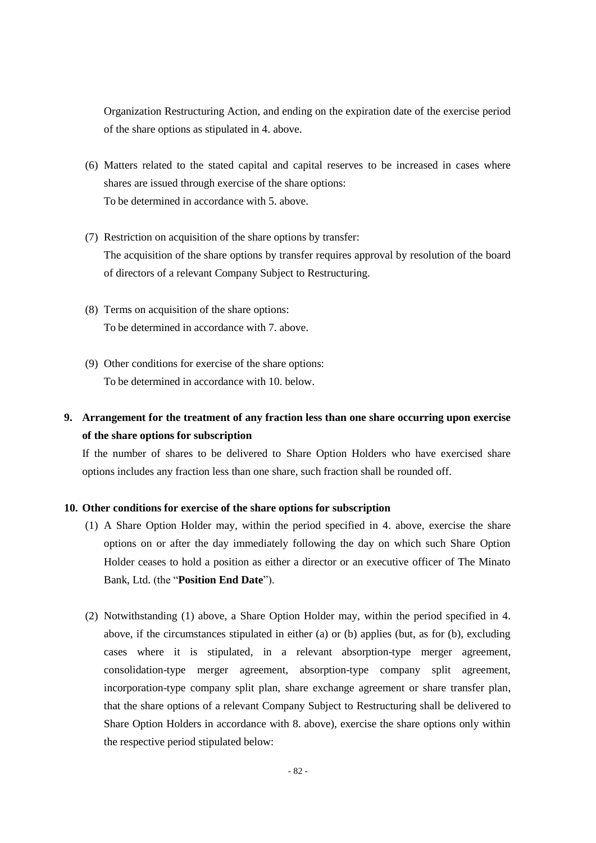Organization Restructuring Action, and ending on the expiration date of the exercise period of the share options as stipulated in 4. above.

- (6) Matters related to the stated capital and capital reserves to be increased in cases where shares are issued through exercise of the share options: To be determined in accordance with 5. above.
- (7) Restriction on acquisition of the share options by transfer: The acquisition of the share options by transfer requires approval by resolution of the board of directors of a relevant Company Subject to Restructuring.
- (8) Terms on acquisition of the share options: To be determined in accordance with 7. above.
- (9) Other conditions for exercise of the share options: To be determined in accordance with 10. below.

# **9. Arrangement for the treatment of any fraction less than one share occurring upon exercise of the share options for subscription**

If the number of shares to be delivered to Share Option Holders who have exercised share options includes any fraction less than one share, such fraction shall be rounded off.

## **10. Other conditions for exercise of the share options for subscription**

- (1) A Share Option Holder may, within the period specified in 4. above, exercise the share options on or after the day immediately following the day on which such Share Option Holder ceases to hold a position as either a director or an executive officer of The Minato Bank, Ltd. (the "**Position End Date**").
- (2) Notwithstanding (1) above, a Share Option Holder may, within the period specified in 4. above, if the circumstances stipulated in either (a) or (b) applies (but, as for (b), excluding cases where it is stipulated, in a relevant absorption-type merger agreement, consolidation-type merger agreement, absorption-type company split agreement, incorporation-type company split plan, share exchange agreement or share transfer plan, that the share options of a relevant Company Subject to Restructuring shall be delivered to Share Option Holders in accordance with 8. above), exercise the share options only within the respective period stipulated below: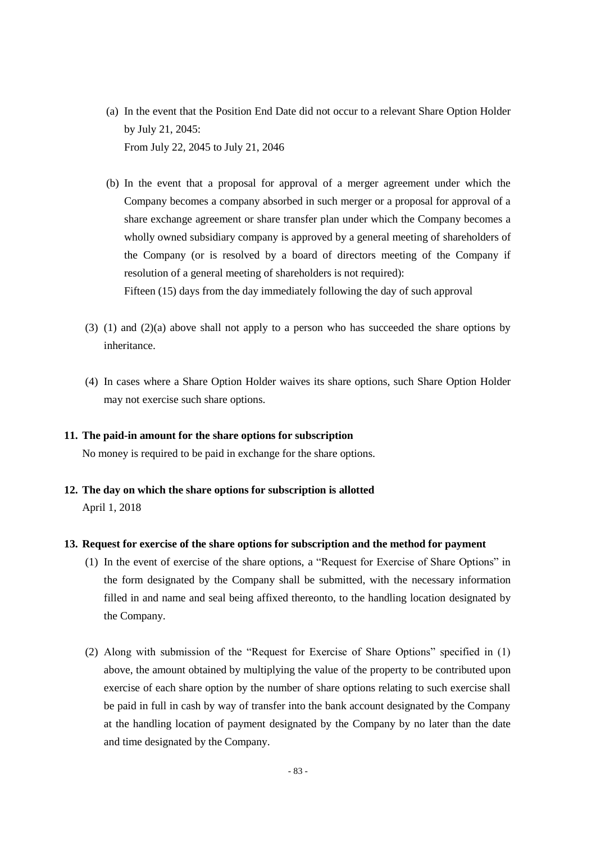- (a) In the event that the Position End Date did not occur to a relevant Share Option Holder by July 21, 2045: From July 22, 2045 to July 21, 2046
- (b) In the event that a proposal for approval of a merger agreement under which the Company becomes a company absorbed in such merger or a proposal for approval of a share exchange agreement or share transfer plan under which the Company becomes a wholly owned subsidiary company is approved by a general meeting of shareholders of the Company (or is resolved by a board of directors meeting of the Company if resolution of a general meeting of shareholders is not required): Fifteen (15) days from the day immediately following the day of such approval
- (3) (1) and (2)(a) above shall not apply to a person who has succeeded the share options by inheritance.
- (4) In cases where a Share Option Holder waives its share options, such Share Option Holder may not exercise such share options.

### **11. The paid-in amount for the share options for subscription**

No money is required to be paid in exchange for the share options.

**12. The day on which the share options for subscription is allotted** April 1, 2018

## **13. Request for exercise of the share options for subscription and the method for payment**

- (1) In the event of exercise of the share options, a "Request for Exercise of Share Options" in the form designated by the Company shall be submitted, with the necessary information filled in and name and seal being affixed thereonto, to the handling location designated by the Company.
- (2) Along with submission of the "Request for Exercise of Share Options" specified in (1) above, the amount obtained by multiplying the value of the property to be contributed upon exercise of each share option by the number of share options relating to such exercise shall be paid in full in cash by way of transfer into the bank account designated by the Company at the handling location of payment designated by the Company by no later than the date and time designated by the Company.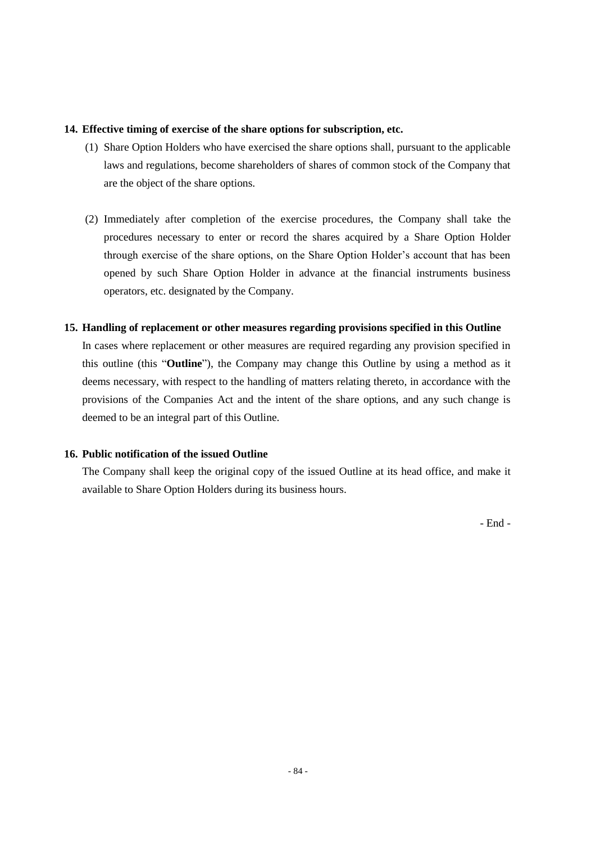## **14. Effective timing of exercise of the share options for subscription, etc.**

- (1) Share Option Holders who have exercised the share options shall, pursuant to the applicable laws and regulations, become shareholders of shares of common stock of the Company that are the object of the share options.
- (2) Immediately after completion of the exercise procedures, the Company shall take the procedures necessary to enter or record the shares acquired by a Share Option Holder through exercise of the share options, on the Share Option Holder's account that has been opened by such Share Option Holder in advance at the financial instruments business operators, etc. designated by the Company.

## **15. Handling of replacement or other measures regarding provisions specified in this Outline**

In cases where replacement or other measures are required regarding any provision specified in this outline (this "**Outline**"), the Company may change this Outline by using a method as it deems necessary, with respect to the handling of matters relating thereto, in accordance with the provisions of the Companies Act and the intent of the share options, and any such change is deemed to be an integral part of this Outline.

## **16. Public notification of the issued Outline**

The Company shall keep the original copy of the issued Outline at its head office, and make it available to Share Option Holders during its business hours.

- End -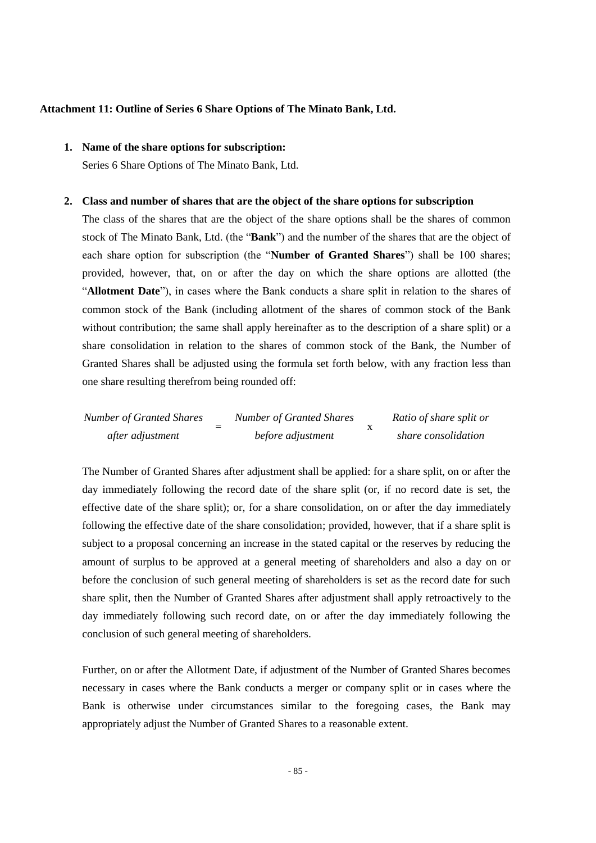### **Attachment 11: Outline of Series 6 Share Options of The Minato Bank, Ltd.**

# **1. Name of the share options for subscription:**

Series 6 Share Options of The Minato Bank, Ltd.

#### **2. Class and number of shares that are the object of the share options for subscription**

The class of the shares that are the object of the share options shall be the shares of common stock of The Minato Bank, Ltd. (the "**Bank**") and the number of the shares that are the object of each share option for subscription (the "**Number of Granted Shares**") shall be 100 shares; provided, however, that, on or after the day on which the share options are allotted (the "**Allotment Date**"), in cases where the Bank conducts a share split in relation to the shares of common stock of the Bank (including allotment of the shares of common stock of the Bank without contribution; the same shall apply hereinafter as to the description of a share split) or a share consolidation in relation to the shares of common stock of the Bank, the Number of Granted Shares shall be adjusted using the formula set forth below, with any fraction less than one share resulting therefrom being rounded off:

| <b>Number of Granted Shares</b> | <b>Number of Granted Shares</b> | Ratio of share split or |
|---------------------------------|---------------------------------|-------------------------|
| after adjustment                | before adjustment               | share consolidation     |

The Number of Granted Shares after adjustment shall be applied: for a share split, on or after the day immediately following the record date of the share split (or, if no record date is set, the effective date of the share split); or, for a share consolidation, on or after the day immediately following the effective date of the share consolidation; provided, however, that if a share split is subject to a proposal concerning an increase in the stated capital or the reserves by reducing the amount of surplus to be approved at a general meeting of shareholders and also a day on or before the conclusion of such general meeting of shareholders is set as the record date for such share split, then the Number of Granted Shares after adjustment shall apply retroactively to the day immediately following such record date, on or after the day immediately following the conclusion of such general meeting of shareholders.

Further, on or after the Allotment Date, if adjustment of the Number of Granted Shares becomes necessary in cases where the Bank conducts a merger or company split or in cases where the Bank is otherwise under circumstances similar to the foregoing cases, the Bank may appropriately adjust the Number of Granted Shares to a reasonable extent.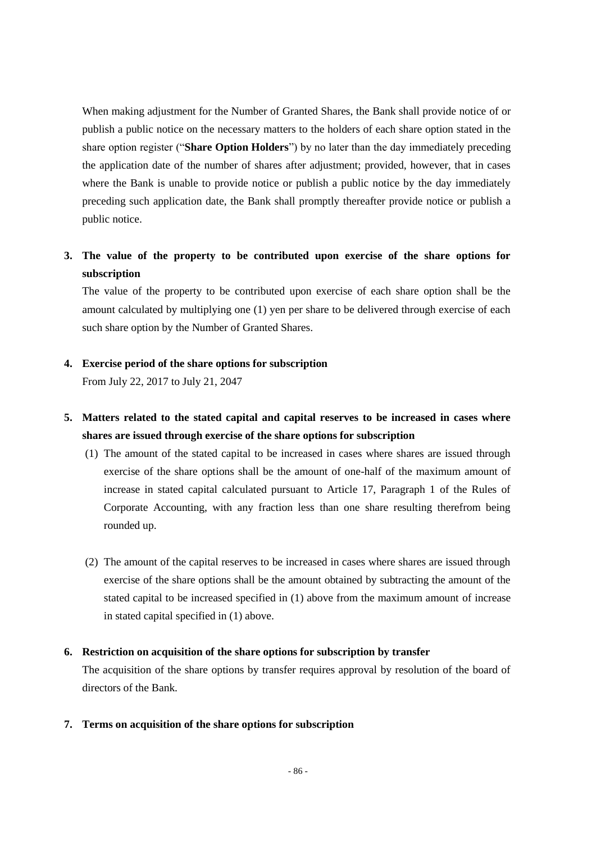When making adjustment for the Number of Granted Shares, the Bank shall provide notice of or publish a public notice on the necessary matters to the holders of each share option stated in the share option register ("**Share Option Holders**") by no later than the day immediately preceding the application date of the number of shares after adjustment; provided, however, that in cases where the Bank is unable to provide notice or publish a public notice by the day immediately preceding such application date, the Bank shall promptly thereafter provide notice or publish a public notice.

# **3. The value of the property to be contributed upon exercise of the share options for subscription**

The value of the property to be contributed upon exercise of each share option shall be the amount calculated by multiplying one (1) yen per share to be delivered through exercise of each such share option by the Number of Granted Shares.

## **4. Exercise period of the share options for subscription**

From July 22, 2017 to July 21, 2047

# **5. Matters related to the stated capital and capital reserves to be increased in cases where shares are issued through exercise of the share options for subscription**

- (1) The amount of the stated capital to be increased in cases where shares are issued through exercise of the share options shall be the amount of one-half of the maximum amount of increase in stated capital calculated pursuant to Article 17, Paragraph 1 of the Rules of Corporate Accounting, with any fraction less than one share resulting therefrom being rounded up.
- (2) The amount of the capital reserves to be increased in cases where shares are issued through exercise of the share options shall be the amount obtained by subtracting the amount of the stated capital to be increased specified in (1) above from the maximum amount of increase in stated capital specified in (1) above.

## **6. Restriction on acquisition of the share options for subscription by transfer**

The acquisition of the share options by transfer requires approval by resolution of the board of directors of the Bank.

### **7. Terms on acquisition of the share options for subscription**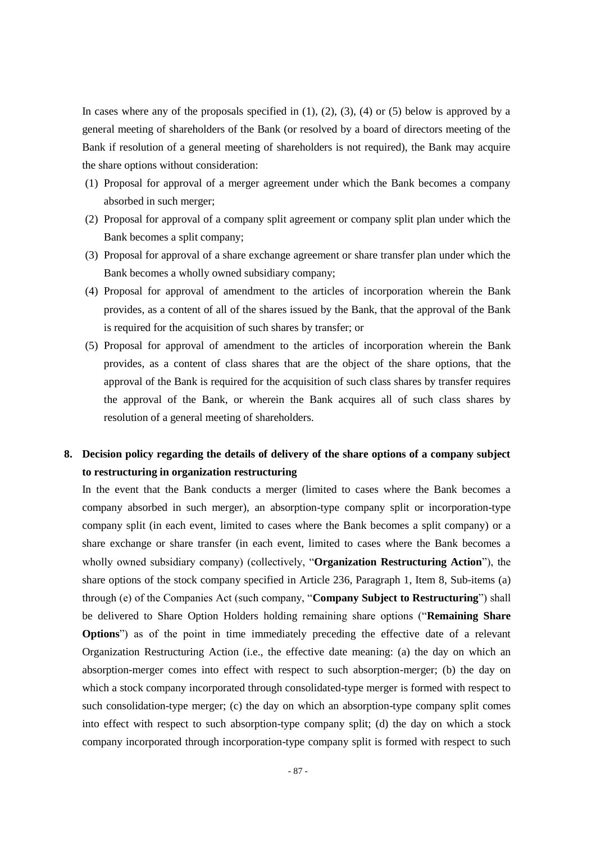In cases where any of the proposals specified in  $(1)$ ,  $(2)$ ,  $(3)$ ,  $(4)$  or  $(5)$  below is approved by a general meeting of shareholders of the Bank (or resolved by a board of directors meeting of the Bank if resolution of a general meeting of shareholders is not required), the Bank may acquire the share options without consideration:

- (1) Proposal for approval of a merger agreement under which the Bank becomes a company absorbed in such merger;
- (2) Proposal for approval of a company split agreement or company split plan under which the Bank becomes a split company;
- (3) Proposal for approval of a share exchange agreement or share transfer plan under which the Bank becomes a wholly owned subsidiary company;
- (4) Proposal for approval of amendment to the articles of incorporation wherein the Bank provides, as a content of all of the shares issued by the Bank, that the approval of the Bank is required for the acquisition of such shares by transfer; or
- (5) Proposal for approval of amendment to the articles of incorporation wherein the Bank provides, as a content of class shares that are the object of the share options, that the approval of the Bank is required for the acquisition of such class shares by transfer requires the approval of the Bank, or wherein the Bank acquires all of such class shares by resolution of a general meeting of shareholders.

# **8. Decision policy regarding the details of delivery of the share options of a company subject to restructuring in organization restructuring**

In the event that the Bank conducts a merger (limited to cases where the Bank becomes a company absorbed in such merger), an absorption-type company split or incorporation-type company split (in each event, limited to cases where the Bank becomes a split company) or a share exchange or share transfer (in each event, limited to cases where the Bank becomes a wholly owned subsidiary company) (collectively, "**Organization Restructuring Action**"), the share options of the stock company specified in Article 236, Paragraph 1, Item 8, Sub-items (a) through (e) of the Companies Act (such company, "**Company Subject to Restructuring**") shall be delivered to Share Option Holders holding remaining share options ("**Remaining Share Options**") as of the point in time immediately preceding the effective date of a relevant Organization Restructuring Action (i.e., the effective date meaning: (a) the day on which an absorption-merger comes into effect with respect to such absorption-merger; (b) the day on which a stock company incorporated through consolidated-type merger is formed with respect to such consolidation-type merger; (c) the day on which an absorption-type company split comes into effect with respect to such absorption-type company split; (d) the day on which a stock company incorporated through incorporation-type company split is formed with respect to such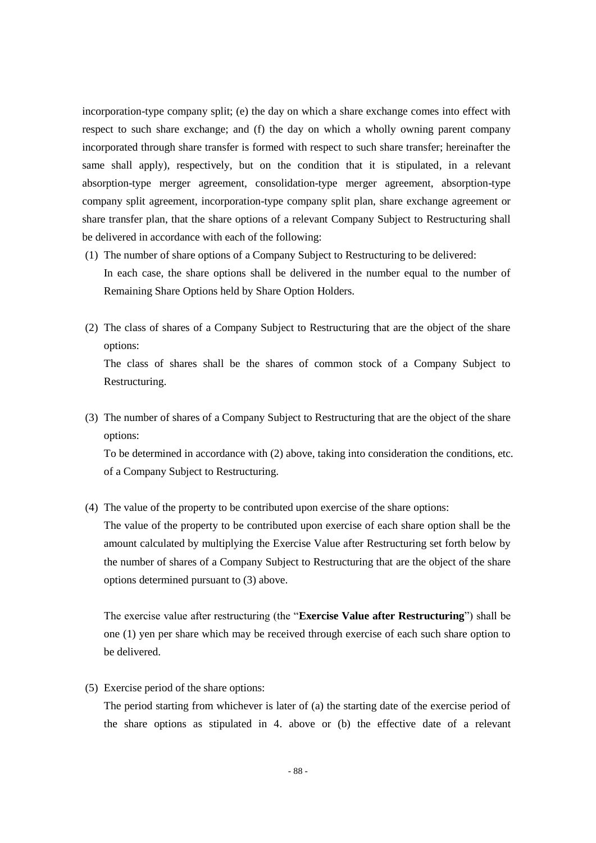incorporation-type company split; (e) the day on which a share exchange comes into effect with respect to such share exchange; and (f) the day on which a wholly owning parent company incorporated through share transfer is formed with respect to such share transfer; hereinafter the same shall apply), respectively, but on the condition that it is stipulated, in a relevant absorption-type merger agreement, consolidation-type merger agreement, absorption-type company split agreement, incorporation-type company split plan, share exchange agreement or share transfer plan, that the share options of a relevant Company Subject to Restructuring shall be delivered in accordance with each of the following:

- (1) The number of share options of a Company Subject to Restructuring to be delivered: In each case, the share options shall be delivered in the number equal to the number of Remaining Share Options held by Share Option Holders.
- (2) The class of shares of a Company Subject to Restructuring that are the object of the share options: The class of shares shall be the shares of common stock of a Company Subject to

(3) The number of shares of a Company Subject to Restructuring that are the object of the share options:

To be determined in accordance with (2) above, taking into consideration the conditions, etc. of a Company Subject to Restructuring.

(4) The value of the property to be contributed upon exercise of the share options:

The value of the property to be contributed upon exercise of each share option shall be the amount calculated by multiplying the Exercise Value after Restructuring set forth below by the number of shares of a Company Subject to Restructuring that are the object of the share options determined pursuant to (3) above.

The exercise value after restructuring (the "**Exercise Value after Restructuring**") shall be one (1) yen per share which may be received through exercise of each such share option to be delivered.

(5) Exercise period of the share options:

Restructuring.

The period starting from whichever is later of (a) the starting date of the exercise period of the share options as stipulated in 4. above or (b) the effective date of a relevant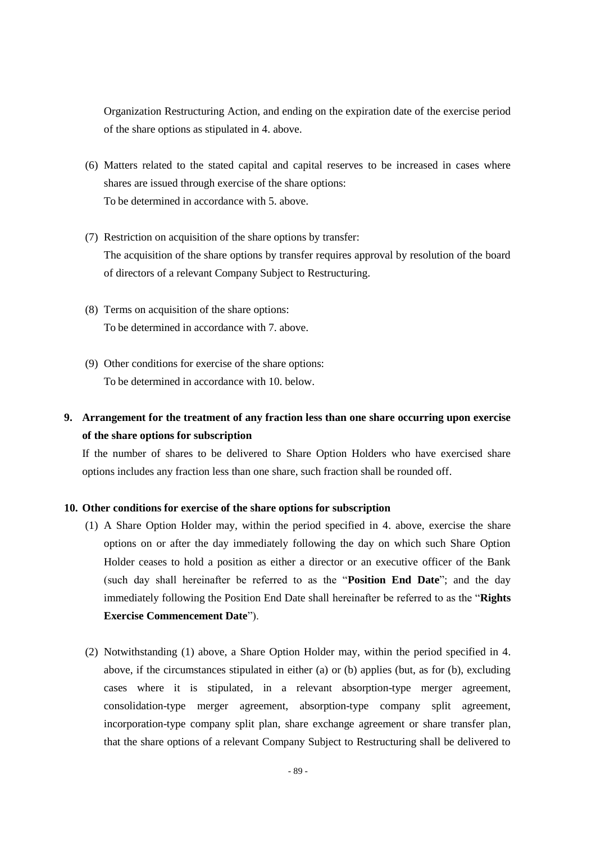Organization Restructuring Action, and ending on the expiration date of the exercise period of the share options as stipulated in 4. above.

- (6) Matters related to the stated capital and capital reserves to be increased in cases where shares are issued through exercise of the share options: To be determined in accordance with 5. above.
- (7) Restriction on acquisition of the share options by transfer: The acquisition of the share options by transfer requires approval by resolution of the board of directors of a relevant Company Subject to Restructuring.
- (8) Terms on acquisition of the share options: To be determined in accordance with 7. above.
- (9) Other conditions for exercise of the share options: To be determined in accordance with 10. below.

# **9. Arrangement for the treatment of any fraction less than one share occurring upon exercise of the share options for subscription**

If the number of shares to be delivered to Share Option Holders who have exercised share options includes any fraction less than one share, such fraction shall be rounded off.

### **10. Other conditions for exercise of the share options for subscription**

- (1) A Share Option Holder may, within the period specified in 4. above, exercise the share options on or after the day immediately following the day on which such Share Option Holder ceases to hold a position as either a director or an executive officer of the Bank (such day shall hereinafter be referred to as the "**Position End Date**"; and the day immediately following the Position End Date shall hereinafter be referred to as the "**Rights Exercise Commencement Date**").
- (2) Notwithstanding (1) above, a Share Option Holder may, within the period specified in 4. above, if the circumstances stipulated in either (a) or (b) applies (but, as for (b), excluding cases where it is stipulated, in a relevant absorption-type merger agreement, consolidation-type merger agreement, absorption-type company split agreement, incorporation-type company split plan, share exchange agreement or share transfer plan, that the share options of a relevant Company Subject to Restructuring shall be delivered to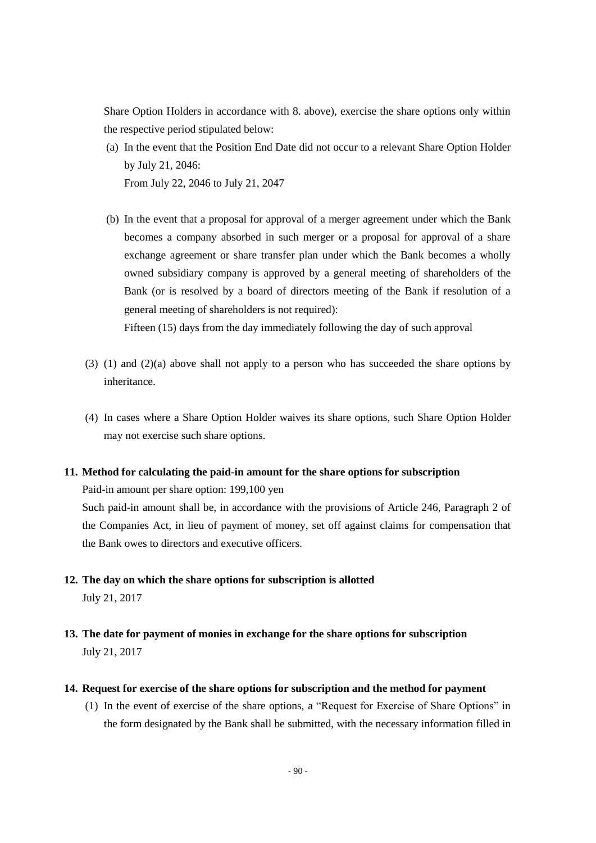Share Option Holders in accordance with 8. above), exercise the share options only within the respective period stipulated below:

- (a) In the event that the Position End Date did not occur to a relevant Share Option Holder by July 21, 2046: From July 22, 2046 to July 21, 2047
- (b) In the event that a proposal for approval of a merger agreement under which the Bank becomes a company absorbed in such merger or a proposal for approval of a share exchange agreement or share transfer plan under which the Bank becomes a wholly owned subsidiary company is approved by a general meeting of shareholders of the Bank (or is resolved by a board of directors meeting of the Bank if resolution of a general meeting of shareholders is not required):

Fifteen (15) days from the day immediately following the day of such approval

- (3) (1) and (2)(a) above shall not apply to a person who has succeeded the share options by inheritance.
- (4) In cases where a Share Option Holder waives its share options, such Share Option Holder may not exercise such share options.

### **11. Method for calculating the paid-in amount for the share options for subscription**

Paid-in amount per share option: 199,100 yen

Such paid-in amount shall be, in accordance with the provisions of Article 246, Paragraph 2 of the Companies Act, in lieu of payment of money, set off against claims for compensation that the Bank owes to directors and executive officers.

- **12. The day on which the share options for subscription is allotted** July 21, 2017
- **13. The date for payment of monies in exchange for the share options for subscription** July 21, 2017
- **14. Request for exercise of the share options for subscription and the method for payment**
	- (1) In the event of exercise of the share options, a "Request for Exercise of Share Options" in the form designated by the Bank shall be submitted, with the necessary information filled in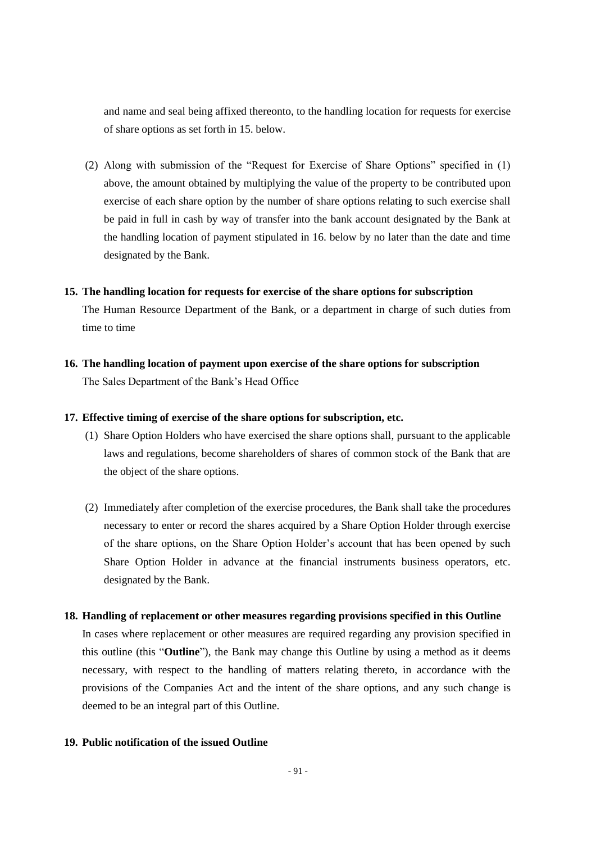and name and seal being affixed thereonto, to the handling location for requests for exercise of share options as set forth in 15. below.

(2) Along with submission of the "Request for Exercise of Share Options" specified in (1) above, the amount obtained by multiplying the value of the property to be contributed upon exercise of each share option by the number of share options relating to such exercise shall be paid in full in cash by way of transfer into the bank account designated by the Bank at the handling location of payment stipulated in 16. below by no later than the date and time designated by the Bank.

#### **15. The handling location for requests for exercise of the share options for subscription**

The Human Resource Department of the Bank, or a department in charge of such duties from time to time

**16. The handling location of payment upon exercise of the share options for subscription** The Sales Department of the Bank's Head Office

### **17. Effective timing of exercise of the share options for subscription, etc.**

- (1) Share Option Holders who have exercised the share options shall, pursuant to the applicable laws and regulations, become shareholders of shares of common stock of the Bank that are the object of the share options.
- (2) Immediately after completion of the exercise procedures, the Bank shall take the procedures necessary to enter or record the shares acquired by a Share Option Holder through exercise of the share options, on the Share Option Holder's account that has been opened by such Share Option Holder in advance at the financial instruments business operators, etc. designated by the Bank.

#### **18. Handling of replacement or other measures regarding provisions specified in this Outline**

In cases where replacement or other measures are required regarding any provision specified in this outline (this "**Outline**"), the Bank may change this Outline by using a method as it deems necessary, with respect to the handling of matters relating thereto, in accordance with the provisions of the Companies Act and the intent of the share options, and any such change is deemed to be an integral part of this Outline.

## **19. Public notification of the issued Outline**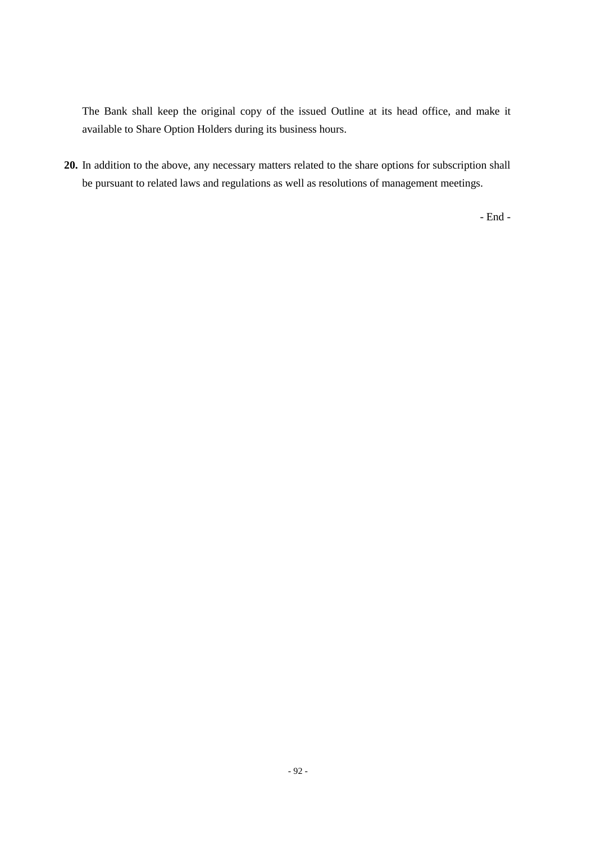The Bank shall keep the original copy of the issued Outline at its head office, and make it available to Share Option Holders during its business hours.

**20.** In addition to the above, any necessary matters related to the share options for subscription shall be pursuant to related laws and regulations as well as resolutions of management meetings.

- End -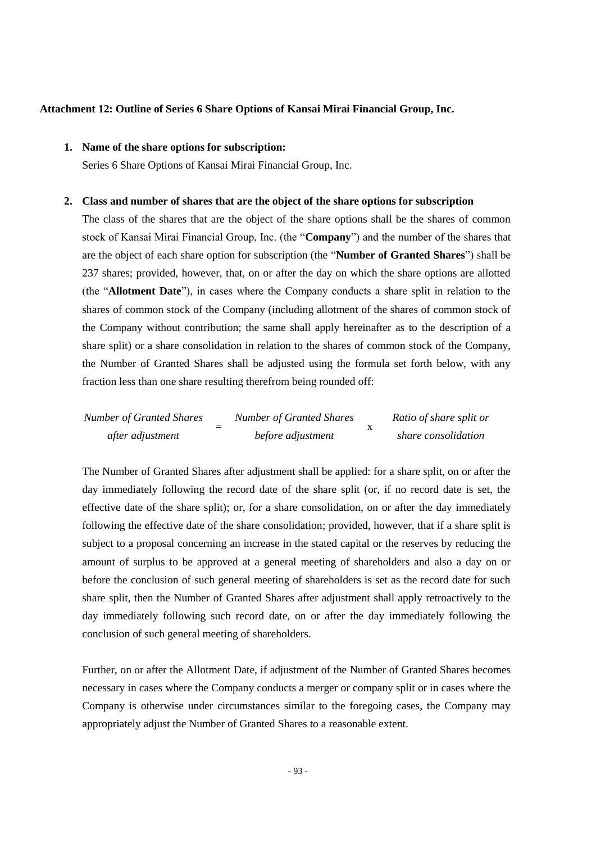### **Attachment 12: Outline of Series 6 Share Options of Kansai Mirai Financial Group, Inc.**

## **1. Name of the share options for subscription:**

Series 6 Share Options of Kansai Mirai Financial Group, Inc.

#### **2. Class and number of shares that are the object of the share options for subscription**

The class of the shares that are the object of the share options shall be the shares of common stock of Kansai Mirai Financial Group, Inc. (the "**Company**") and the number of the shares that are the object of each share option for subscription (the "**Number of Granted Shares**") shall be 237 shares; provided, however, that, on or after the day on which the share options are allotted (the "**Allotment Date**"), in cases where the Company conducts a share split in relation to the shares of common stock of the Company (including allotment of the shares of common stock of the Company without contribution; the same shall apply hereinafter as to the description of a share split) or a share consolidation in relation to the shares of common stock of the Company, the Number of Granted Shares shall be adjusted using the formula set forth below, with any fraction less than one share resulting therefrom being rounded off:

| <b>Number of Granted Shares</b> | Number of Granted Shares | Ratio of share split or |
|---------------------------------|--------------------------|-------------------------|
| after adjustment                | before adjustment        | share consolidation     |

The Number of Granted Shares after adjustment shall be applied: for a share split, on or after the day immediately following the record date of the share split (or, if no record date is set, the effective date of the share split); or, for a share consolidation, on or after the day immediately following the effective date of the share consolidation; provided, however, that if a share split is subject to a proposal concerning an increase in the stated capital or the reserves by reducing the amount of surplus to be approved at a general meeting of shareholders and also a day on or before the conclusion of such general meeting of shareholders is set as the record date for such share split, then the Number of Granted Shares after adjustment shall apply retroactively to the day immediately following such record date, on or after the day immediately following the conclusion of such general meeting of shareholders.

Further, on or after the Allotment Date, if adjustment of the Number of Granted Shares becomes necessary in cases where the Company conducts a merger or company split or in cases where the Company is otherwise under circumstances similar to the foregoing cases, the Company may appropriately adjust the Number of Granted Shares to a reasonable extent.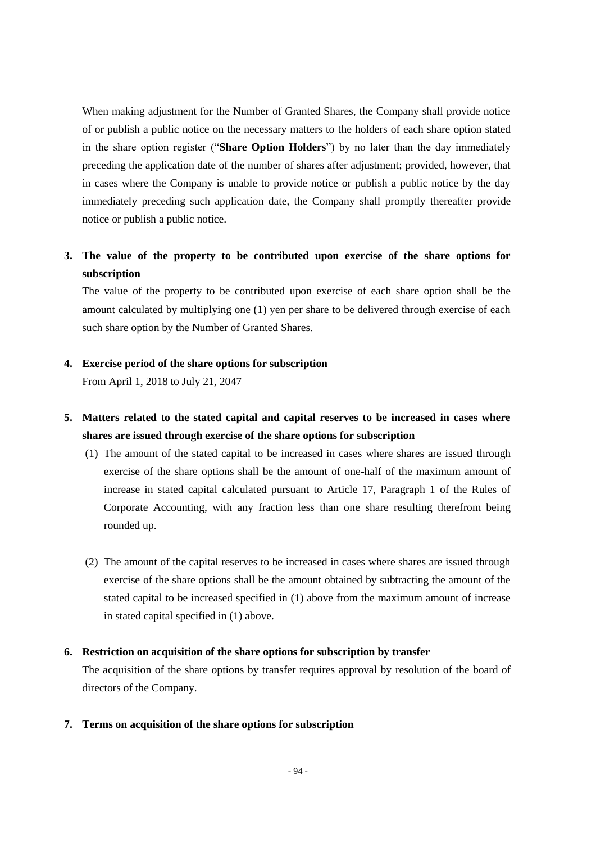When making adjustment for the Number of Granted Shares, the Company shall provide notice of or publish a public notice on the necessary matters to the holders of each share option stated in the share option register ("**Share Option Holders**") by no later than the day immediately preceding the application date of the number of shares after adjustment; provided, however, that in cases where the Company is unable to provide notice or publish a public notice by the day immediately preceding such application date, the Company shall promptly thereafter provide notice or publish a public notice.

# **3. The value of the property to be contributed upon exercise of the share options for subscription**

The value of the property to be contributed upon exercise of each share option shall be the amount calculated by multiplying one (1) yen per share to be delivered through exercise of each such share option by the Number of Granted Shares.

## **4. Exercise period of the share options for subscription**

From April 1, 2018 to July 21, 2047

# **5. Matters related to the stated capital and capital reserves to be increased in cases where shares are issued through exercise of the share options for subscription**

- (1) The amount of the stated capital to be increased in cases where shares are issued through exercise of the share options shall be the amount of one-half of the maximum amount of increase in stated capital calculated pursuant to Article 17, Paragraph 1 of the Rules of Corporate Accounting, with any fraction less than one share resulting therefrom being rounded up.
- (2) The amount of the capital reserves to be increased in cases where shares are issued through exercise of the share options shall be the amount obtained by subtracting the amount of the stated capital to be increased specified in (1) above from the maximum amount of increase in stated capital specified in (1) above.

## **6. Restriction on acquisition of the share options for subscription by transfer**

The acquisition of the share options by transfer requires approval by resolution of the board of directors of the Company.

### **7. Terms on acquisition of the share options for subscription**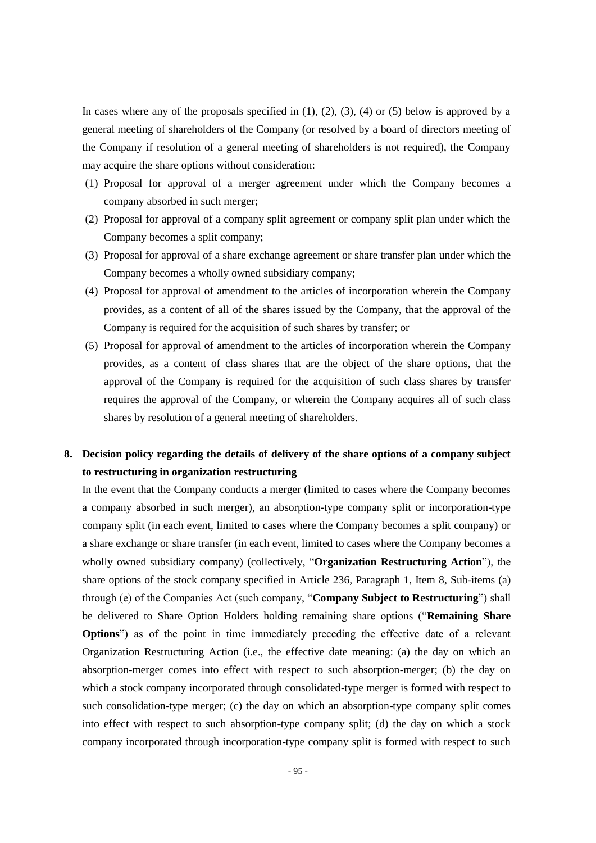In cases where any of the proposals specified in  $(1)$ ,  $(2)$ ,  $(3)$ ,  $(4)$  or  $(5)$  below is approved by a general meeting of shareholders of the Company (or resolved by a board of directors meeting of the Company if resolution of a general meeting of shareholders is not required), the Company may acquire the share options without consideration:

- (1) Proposal for approval of a merger agreement under which the Company becomes a company absorbed in such merger;
- (2) Proposal for approval of a company split agreement or company split plan under which the Company becomes a split company;
- (3) Proposal for approval of a share exchange agreement or share transfer plan under which the Company becomes a wholly owned subsidiary company;
- (4) Proposal for approval of amendment to the articles of incorporation wherein the Company provides, as a content of all of the shares issued by the Company, that the approval of the Company is required for the acquisition of such shares by transfer; or
- (5) Proposal for approval of amendment to the articles of incorporation wherein the Company provides, as a content of class shares that are the object of the share options, that the approval of the Company is required for the acquisition of such class shares by transfer requires the approval of the Company, or wherein the Company acquires all of such class shares by resolution of a general meeting of shareholders.

# **8. Decision policy regarding the details of delivery of the share options of a company subject to restructuring in organization restructuring**

In the event that the Company conducts a merger (limited to cases where the Company becomes a company absorbed in such merger), an absorption-type company split or incorporation-type company split (in each event, limited to cases where the Company becomes a split company) or a share exchange or share transfer (in each event, limited to cases where the Company becomes a wholly owned subsidiary company) (collectively, "**Organization Restructuring Action**"), the share options of the stock company specified in Article 236, Paragraph 1, Item 8, Sub-items (a) through (e) of the Companies Act (such company, "**Company Subject to Restructuring**") shall be delivered to Share Option Holders holding remaining share options ("**Remaining Share Options**") as of the point in time immediately preceding the effective date of a relevant Organization Restructuring Action (i.e., the effective date meaning: (a) the day on which an absorption-merger comes into effect with respect to such absorption-merger; (b) the day on which a stock company incorporated through consolidated-type merger is formed with respect to such consolidation-type merger; (c) the day on which an absorption-type company split comes into effect with respect to such absorption-type company split; (d) the day on which a stock company incorporated through incorporation-type company split is formed with respect to such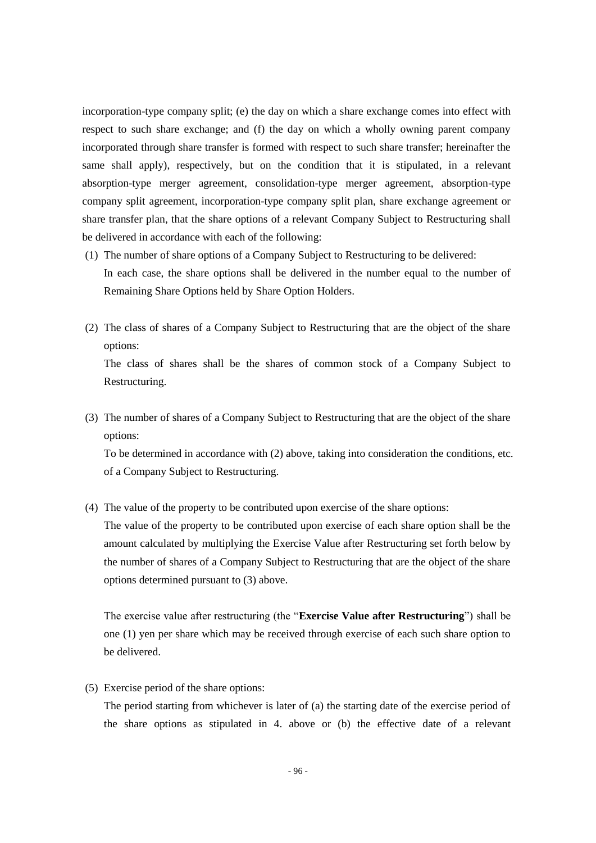incorporation-type company split; (e) the day on which a share exchange comes into effect with respect to such share exchange; and (f) the day on which a wholly owning parent company incorporated through share transfer is formed with respect to such share transfer; hereinafter the same shall apply), respectively, but on the condition that it is stipulated, in a relevant absorption-type merger agreement, consolidation-type merger agreement, absorption-type company split agreement, incorporation-type company split plan, share exchange agreement or share transfer plan, that the share options of a relevant Company Subject to Restructuring shall be delivered in accordance with each of the following:

- (1) The number of share options of a Company Subject to Restructuring to be delivered: In each case, the share options shall be delivered in the number equal to the number of Remaining Share Options held by Share Option Holders.
- (2) The class of shares of a Company Subject to Restructuring that are the object of the share options: The class of shares shall be the shares of common stock of a Company Subject to

Restructuring.

(3) The number of shares of a Company Subject to Restructuring that are the object of the share options:

To be determined in accordance with (2) above, taking into consideration the conditions, etc. of a Company Subject to Restructuring.

(4) The value of the property to be contributed upon exercise of the share options:

The value of the property to be contributed upon exercise of each share option shall be the amount calculated by multiplying the Exercise Value after Restructuring set forth below by the number of shares of a Company Subject to Restructuring that are the object of the share options determined pursuant to (3) above.

The exercise value after restructuring (the "**Exercise Value after Restructuring**") shall be one (1) yen per share which may be received through exercise of each such share option to be delivered.

(5) Exercise period of the share options:

The period starting from whichever is later of (a) the starting date of the exercise period of the share options as stipulated in 4. above or (b) the effective date of a relevant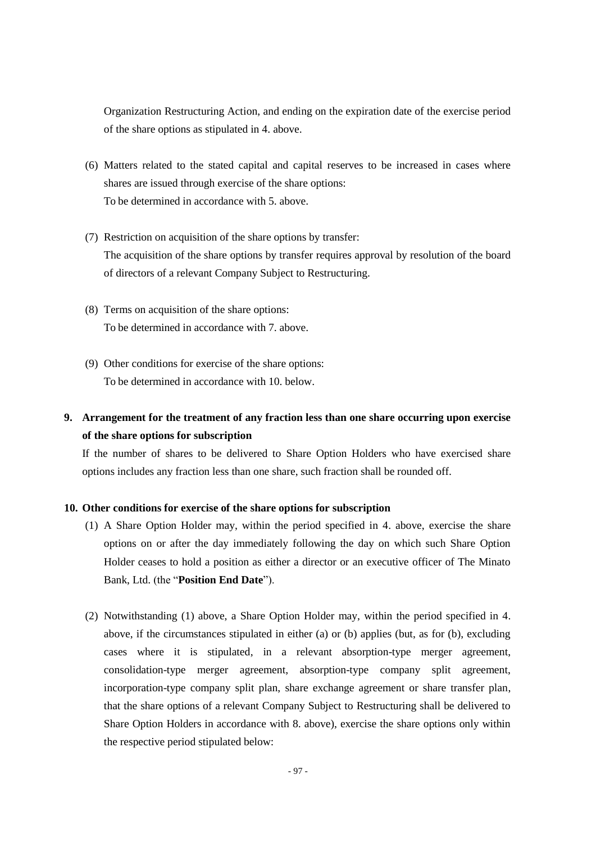Organization Restructuring Action, and ending on the expiration date of the exercise period of the share options as stipulated in 4. above.

- (6) Matters related to the stated capital and capital reserves to be increased in cases where shares are issued through exercise of the share options: To be determined in accordance with 5. above.
- (7) Restriction on acquisition of the share options by transfer: The acquisition of the share options by transfer requires approval by resolution of the board of directors of a relevant Company Subject to Restructuring.
- (8) Terms on acquisition of the share options: To be determined in accordance with 7. above.
- (9) Other conditions for exercise of the share options: To be determined in accordance with 10. below.

# **9. Arrangement for the treatment of any fraction less than one share occurring upon exercise of the share options for subscription**

If the number of shares to be delivered to Share Option Holders who have exercised share options includes any fraction less than one share, such fraction shall be rounded off.

## **10. Other conditions for exercise of the share options for subscription**

- (1) A Share Option Holder may, within the period specified in 4. above, exercise the share options on or after the day immediately following the day on which such Share Option Holder ceases to hold a position as either a director or an executive officer of The Minato Bank, Ltd. (the "**Position End Date**").
- (2) Notwithstanding (1) above, a Share Option Holder may, within the period specified in 4. above, if the circumstances stipulated in either (a) or (b) applies (but, as for (b), excluding cases where it is stipulated, in a relevant absorption-type merger agreement, consolidation-type merger agreement, absorption-type company split agreement, incorporation-type company split plan, share exchange agreement or share transfer plan, that the share options of a relevant Company Subject to Restructuring shall be delivered to Share Option Holders in accordance with 8. above), exercise the share options only within the respective period stipulated below: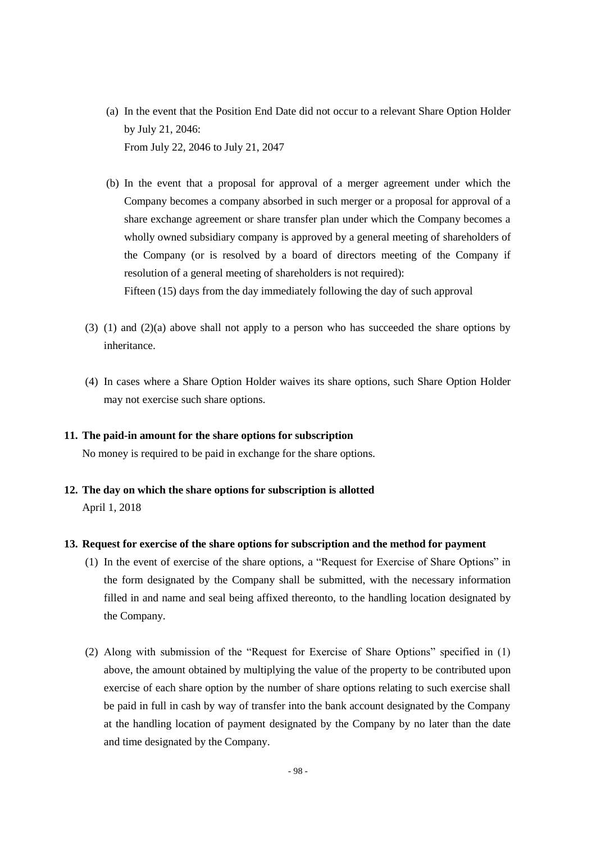- (a) In the event that the Position End Date did not occur to a relevant Share Option Holder by July 21, 2046: From July 22, 2046 to July 21, 2047
- (b) In the event that a proposal for approval of a merger agreement under which the Company becomes a company absorbed in such merger or a proposal for approval of a share exchange agreement or share transfer plan under which the Company becomes a wholly owned subsidiary company is approved by a general meeting of shareholders of the Company (or is resolved by a board of directors meeting of the Company if resolution of a general meeting of shareholders is not required): Fifteen (15) days from the day immediately following the day of such approval
- (3) (1) and (2)(a) above shall not apply to a person who has succeeded the share options by inheritance.
- (4) In cases where a Share Option Holder waives its share options, such Share Option Holder may not exercise such share options.

### **11. The paid-in amount for the share options for subscription**

No money is required to be paid in exchange for the share options.

**12. The day on which the share options for subscription is allotted** April 1, 2018

### **13. Request for exercise of the share options for subscription and the method for payment**

- (1) In the event of exercise of the share options, a "Request for Exercise of Share Options" in the form designated by the Company shall be submitted, with the necessary information filled in and name and seal being affixed thereonto, to the handling location designated by the Company.
- (2) Along with submission of the "Request for Exercise of Share Options" specified in (1) above, the amount obtained by multiplying the value of the property to be contributed upon exercise of each share option by the number of share options relating to such exercise shall be paid in full in cash by way of transfer into the bank account designated by the Company at the handling location of payment designated by the Company by no later than the date and time designated by the Company.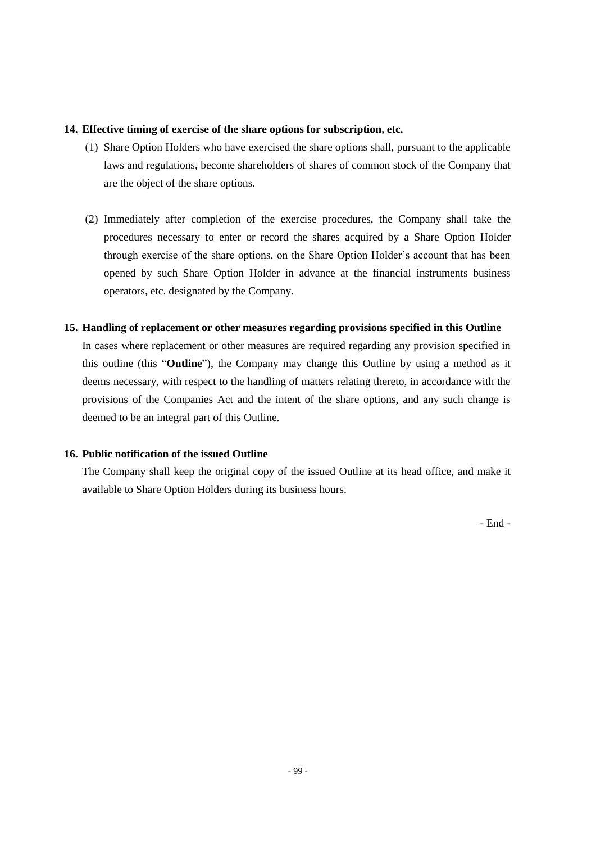## **14. Effective timing of exercise of the share options for subscription, etc.**

- (1) Share Option Holders who have exercised the share options shall, pursuant to the applicable laws and regulations, become shareholders of shares of common stock of the Company that are the object of the share options.
- (2) Immediately after completion of the exercise procedures, the Company shall take the procedures necessary to enter or record the shares acquired by a Share Option Holder through exercise of the share options, on the Share Option Holder's account that has been opened by such Share Option Holder in advance at the financial instruments business operators, etc. designated by the Company.

## **15. Handling of replacement or other measures regarding provisions specified in this Outline**

In cases where replacement or other measures are required regarding any provision specified in this outline (this "**Outline**"), the Company may change this Outline by using a method as it deems necessary, with respect to the handling of matters relating thereto, in accordance with the provisions of the Companies Act and the intent of the share options, and any such change is deemed to be an integral part of this Outline.

## **16. Public notification of the issued Outline**

The Company shall keep the original copy of the issued Outline at its head office, and make it available to Share Option Holders during its business hours.

- End -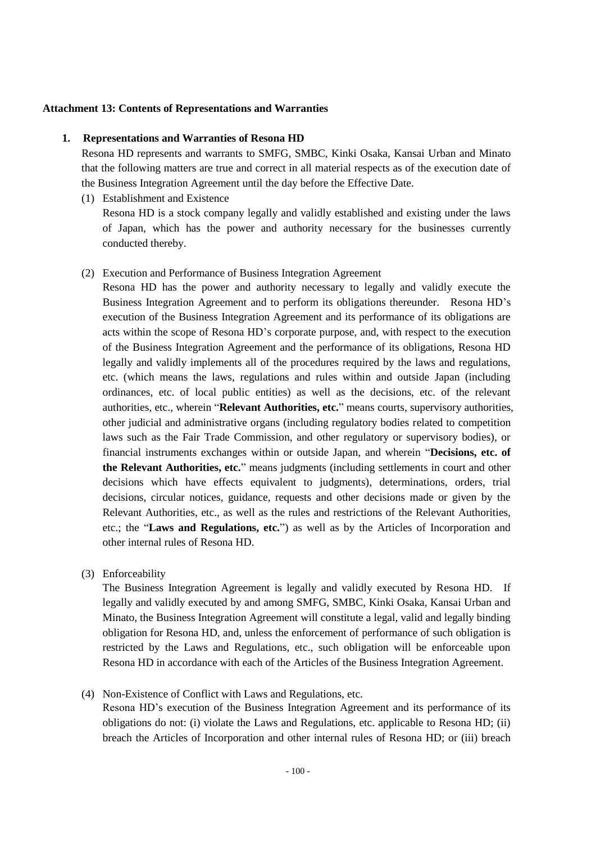### **Attachment 13: Contents of Representations and Warranties**

## **1. Representations and Warranties of Resona HD**

Resona HD represents and warrants to SMFG, SMBC, Kinki Osaka, Kansai Urban and Minato that the following matters are true and correct in all material respects as of the execution date of the Business Integration Agreement until the day before the Effective Date.

(1) Establishment and Existence

Resona HD is a stock company legally and validly established and existing under the laws of Japan, which has the power and authority necessary for the businesses currently conducted thereby.

(2) Execution and Performance of Business Integration Agreement

Resona HD has the power and authority necessary to legally and validly execute the Business Integration Agreement and to perform its obligations thereunder. Resona HD's execution of the Business Integration Agreement and its performance of its obligations are acts within the scope of Resona HD's corporate purpose, and, with respect to the execution of the Business Integration Agreement and the performance of its obligations, Resona HD legally and validly implements all of the procedures required by the laws and regulations, etc. (which means the laws, regulations and rules within and outside Japan (including ordinances, etc. of local public entities) as well as the decisions, etc. of the relevant authorities, etc., wherein "**Relevant Authorities, etc.**" means courts, supervisory authorities, other judicial and administrative organs (including regulatory bodies related to competition laws such as the Fair Trade Commission, and other regulatory or supervisory bodies), or financial instruments exchanges within or outside Japan, and wherein "**Decisions, etc. of the Relevant Authorities, etc.**" means judgments (including settlements in court and other decisions which have effects equivalent to judgments), determinations, orders, trial decisions, circular notices, guidance, requests and other decisions made or given by the Relevant Authorities, etc., as well as the rules and restrictions of the Relevant Authorities, etc.; the "**Laws and Regulations, etc.**") as well as by the Articles of Incorporation and other internal rules of Resona HD.

(3) Enforceability

The Business Integration Agreement is legally and validly executed by Resona HD. If legally and validly executed by and among SMFG, SMBC, Kinki Osaka, Kansai Urban and Minato, the Business Integration Agreement will constitute a legal, valid and legally binding obligation for Resona HD, and, unless the enforcement of performance of such obligation is restricted by the Laws and Regulations, etc., such obligation will be enforceable upon Resona HD in accordance with each of the Articles of the Business Integration Agreement.

(4) Non-Existence of Conflict with Laws and Regulations, etc.

Resona HD's execution of the Business Integration Agreement and its performance of its obligations do not: (i) violate the Laws and Regulations, etc. applicable to Resona HD; (ii) breach the Articles of Incorporation and other internal rules of Resona HD; or (iii) breach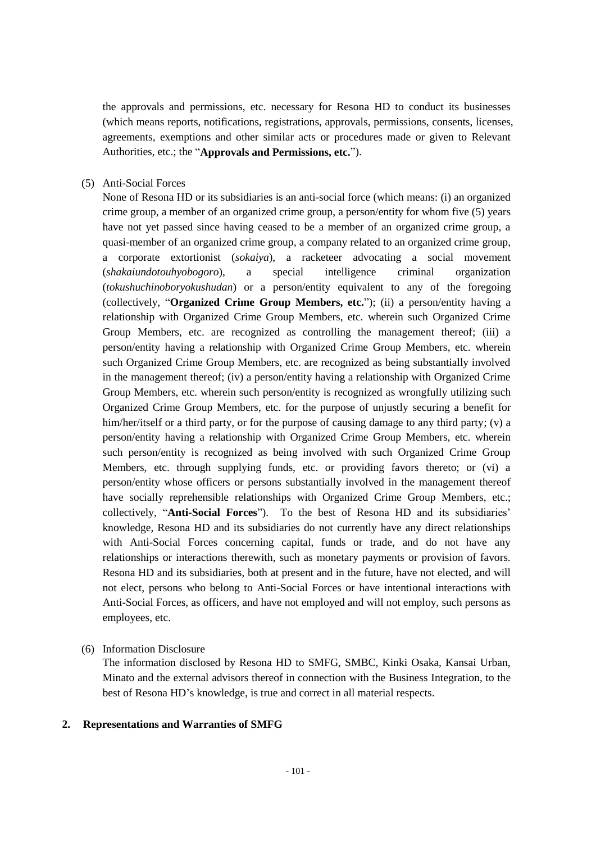the approvals and permissions, etc. necessary for Resona HD to conduct its businesses (which means reports, notifications, registrations, approvals, permissions, consents, licenses, agreements, exemptions and other similar acts or procedures made or given to Relevant Authorities, etc.; the "**Approvals and Permissions, etc.**").

### (5) Anti-Social Forces

None of Resona HD or its subsidiaries is an anti-social force (which means: (i) an organized crime group, a member of an organized crime group, a person/entity for whom five (5) years have not yet passed since having ceased to be a member of an organized crime group, a quasi-member of an organized crime group, a company related to an organized crime group, a corporate extortionist (*sokaiya*), a racketeer advocating a social movement (*shakaiundotouhyobogoro*), a special intelligence criminal organization (*tokushuchinoboryokushudan*) or a person/entity equivalent to any of the foregoing (collectively, "**Organized Crime Group Members, etc.**"); (ii) a person/entity having a relationship with Organized Crime Group Members, etc. wherein such Organized Crime Group Members, etc. are recognized as controlling the management thereof; (iii) a person/entity having a relationship with Organized Crime Group Members, etc. wherein such Organized Crime Group Members, etc. are recognized as being substantially involved in the management thereof; (iv) a person/entity having a relationship with Organized Crime Group Members, etc. wherein such person/entity is recognized as wrongfully utilizing such Organized Crime Group Members, etc. for the purpose of unjustly securing a benefit for him/her/itself or a third party, or for the purpose of causing damage to any third party; (v) a person/entity having a relationship with Organized Crime Group Members, etc. wherein such person/entity is recognized as being involved with such Organized Crime Group Members, etc. through supplying funds, etc. or providing favors thereto; or (vi) a person/entity whose officers or persons substantially involved in the management thereof have socially reprehensible relationships with Organized Crime Group Members, etc.; collectively, "**Anti-Social Forces**"). To the best of Resona HD and its subsidiaries' knowledge, Resona HD and its subsidiaries do not currently have any direct relationships with Anti-Social Forces concerning capital, funds or trade, and do not have any relationships or interactions therewith, such as monetary payments or provision of favors. Resona HD and its subsidiaries, both at present and in the future, have not elected, and will not elect, persons who belong to Anti-Social Forces or have intentional interactions with Anti-Social Forces, as officers, and have not employed and will not employ, such persons as employees, etc.

### (6) Information Disclosure

The information disclosed by Resona HD to SMFG, SMBC, Kinki Osaka, Kansai Urban, Minato and the external advisors thereof in connection with the Business Integration, to the best of Resona HD's knowledge, is true and correct in all material respects.

## **2. Representations and Warranties of SMFG**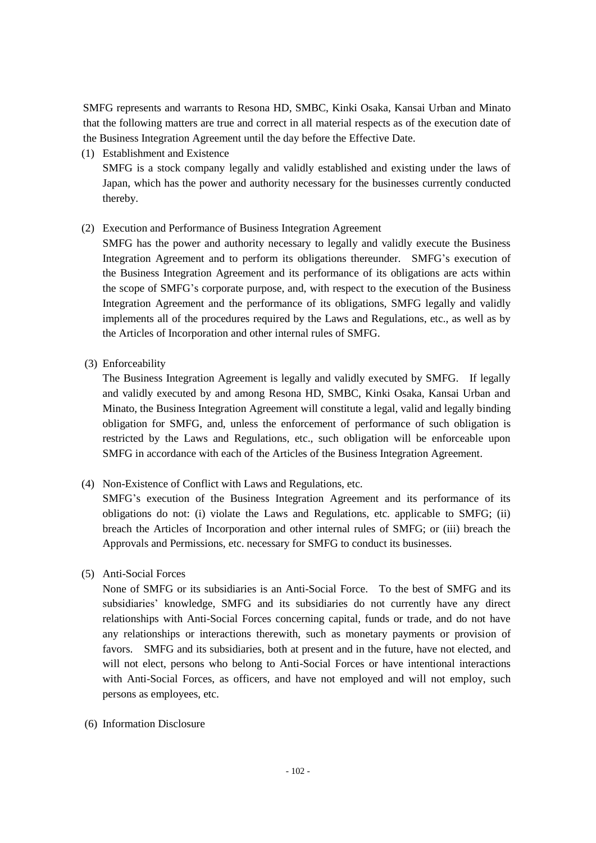SMFG represents and warrants to Resona HD, SMBC, Kinki Osaka, Kansai Urban and Minato that the following matters are true and correct in all material respects as of the execution date of the Business Integration Agreement until the day before the Effective Date.

(1) Establishment and Existence

SMFG is a stock company legally and validly established and existing under the laws of Japan, which has the power and authority necessary for the businesses currently conducted thereby.

(2) Execution and Performance of Business Integration Agreement

SMFG has the power and authority necessary to legally and validly execute the Business Integration Agreement and to perform its obligations thereunder. SMFG's execution of the Business Integration Agreement and its performance of its obligations are acts within the scope of SMFG's corporate purpose, and, with respect to the execution of the Business Integration Agreement and the performance of its obligations, SMFG legally and validly implements all of the procedures required by the Laws and Regulations, etc., as well as by the Articles of Incorporation and other internal rules of SMFG.

(3) Enforceability

The Business Integration Agreement is legally and validly executed by SMFG. If legally and validly executed by and among Resona HD, SMBC, Kinki Osaka, Kansai Urban and Minato, the Business Integration Agreement will constitute a legal, valid and legally binding obligation for SMFG, and, unless the enforcement of performance of such obligation is restricted by the Laws and Regulations, etc., such obligation will be enforceable upon SMFG in accordance with each of the Articles of the Business Integration Agreement.

(4) Non-Existence of Conflict with Laws and Regulations, etc.

SMFG's execution of the Business Integration Agreement and its performance of its obligations do not: (i) violate the Laws and Regulations, etc. applicable to SMFG; (ii) breach the Articles of Incorporation and other internal rules of SMFG; or (iii) breach the Approvals and Permissions, etc. necessary for SMFG to conduct its businesses.

(5) Anti-Social Forces

None of SMFG or its subsidiaries is an Anti-Social Force. To the best of SMFG and its subsidiaries' knowledge, SMFG and its subsidiaries do not currently have any direct relationships with Anti-Social Forces concerning capital, funds or trade, and do not have any relationships or interactions therewith, such as monetary payments or provision of favors. SMFG and its subsidiaries, both at present and in the future, have not elected, and will not elect, persons who belong to Anti-Social Forces or have intentional interactions with Anti-Social Forces, as officers, and have not employed and will not employ, such persons as employees, etc.

(6) Information Disclosure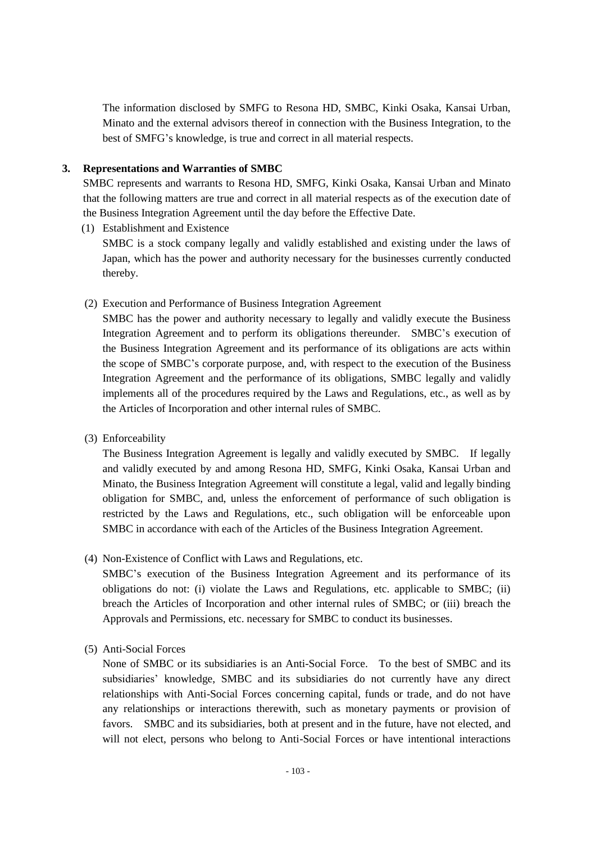The information disclosed by SMFG to Resona HD, SMBC, Kinki Osaka, Kansai Urban, Minato and the external advisors thereof in connection with the Business Integration, to the best of SMFG's knowledge, is true and correct in all material respects.

## **3. Representations and Warranties of SMBC**

SMBC represents and warrants to Resona HD, SMFG, Kinki Osaka, Kansai Urban and Minato that the following matters are true and correct in all material respects as of the execution date of the Business Integration Agreement until the day before the Effective Date.

- (1) Establishment and Existence SMBC is a stock company legally and validly established and existing under the laws of Japan, which has the power and authority necessary for the businesses currently conducted thereby.
- (2) Execution and Performance of Business Integration Agreement

SMBC has the power and authority necessary to legally and validly execute the Business Integration Agreement and to perform its obligations thereunder. SMBC's execution of the Business Integration Agreement and its performance of its obligations are acts within the scope of SMBC's corporate purpose, and, with respect to the execution of the Business Integration Agreement and the performance of its obligations, SMBC legally and validly implements all of the procedures required by the Laws and Regulations, etc., as well as by the Articles of Incorporation and other internal rules of SMBC.

(3) Enforceability

The Business Integration Agreement is legally and validly executed by SMBC. If legally and validly executed by and among Resona HD, SMFG, Kinki Osaka, Kansai Urban and Minato, the Business Integration Agreement will constitute a legal, valid and legally binding obligation for SMBC, and, unless the enforcement of performance of such obligation is restricted by the Laws and Regulations, etc., such obligation will be enforceable upon SMBC in accordance with each of the Articles of the Business Integration Agreement.

(4) Non-Existence of Conflict with Laws and Regulations, etc.

SMBC's execution of the Business Integration Agreement and its performance of its obligations do not: (i) violate the Laws and Regulations, etc. applicable to SMBC; (ii) breach the Articles of Incorporation and other internal rules of SMBC; or (iii) breach the Approvals and Permissions, etc. necessary for SMBC to conduct its businesses.

(5) Anti-Social Forces

None of SMBC or its subsidiaries is an Anti-Social Force. To the best of SMBC and its subsidiaries' knowledge, SMBC and its subsidiaries do not currently have any direct relationships with Anti-Social Forces concerning capital, funds or trade, and do not have any relationships or interactions therewith, such as monetary payments or provision of favors. SMBC and its subsidiaries, both at present and in the future, have not elected, and will not elect, persons who belong to Anti-Social Forces or have intentional interactions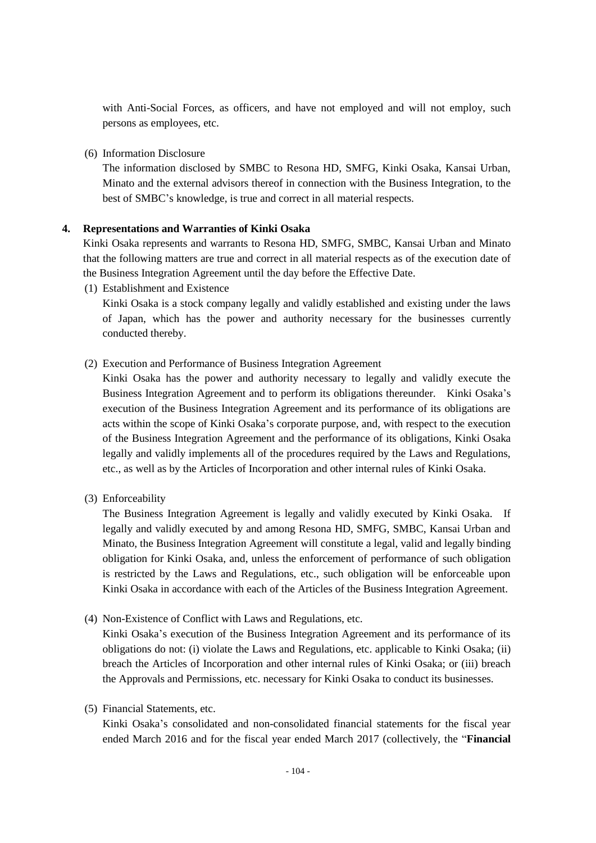with Anti-Social Forces, as officers, and have not employed and will not employ, such persons as employees, etc.

(6) Information Disclosure

The information disclosed by SMBC to Resona HD, SMFG, Kinki Osaka, Kansai Urban, Minato and the external advisors thereof in connection with the Business Integration, to the best of SMBC's knowledge, is true and correct in all material respects.

### **4. Representations and Warranties of Kinki Osaka**

Kinki Osaka represents and warrants to Resona HD, SMFG, SMBC, Kansai Urban and Minato that the following matters are true and correct in all material respects as of the execution date of the Business Integration Agreement until the day before the Effective Date.

(1) Establishment and Existence

Kinki Osaka is a stock company legally and validly established and existing under the laws of Japan, which has the power and authority necessary for the businesses currently conducted thereby.

#### (2) Execution and Performance of Business Integration Agreement

Kinki Osaka has the power and authority necessary to legally and validly execute the Business Integration Agreement and to perform its obligations thereunder. Kinki Osaka's execution of the Business Integration Agreement and its performance of its obligations are acts within the scope of Kinki Osaka's corporate purpose, and, with respect to the execution of the Business Integration Agreement and the performance of its obligations, Kinki Osaka legally and validly implements all of the procedures required by the Laws and Regulations, etc., as well as by the Articles of Incorporation and other internal rules of Kinki Osaka.

(3) Enforceability

The Business Integration Agreement is legally and validly executed by Kinki Osaka. If legally and validly executed by and among Resona HD, SMFG, SMBC, Kansai Urban and Minato, the Business Integration Agreement will constitute a legal, valid and legally binding obligation for Kinki Osaka, and, unless the enforcement of performance of such obligation is restricted by the Laws and Regulations, etc., such obligation will be enforceable upon Kinki Osaka in accordance with each of the Articles of the Business Integration Agreement.

(4) Non-Existence of Conflict with Laws and Regulations, etc.

Kinki Osaka's execution of the Business Integration Agreement and its performance of its obligations do not: (i) violate the Laws and Regulations, etc. applicable to Kinki Osaka; (ii) breach the Articles of Incorporation and other internal rules of Kinki Osaka; or (iii) breach the Approvals and Permissions, etc. necessary for Kinki Osaka to conduct its businesses.

(5) Financial Statements, etc.

Kinki Osaka's consolidated and non-consolidated financial statements for the fiscal year ended March 2016 and for the fiscal year ended March 2017 (collectively, the "**Financial**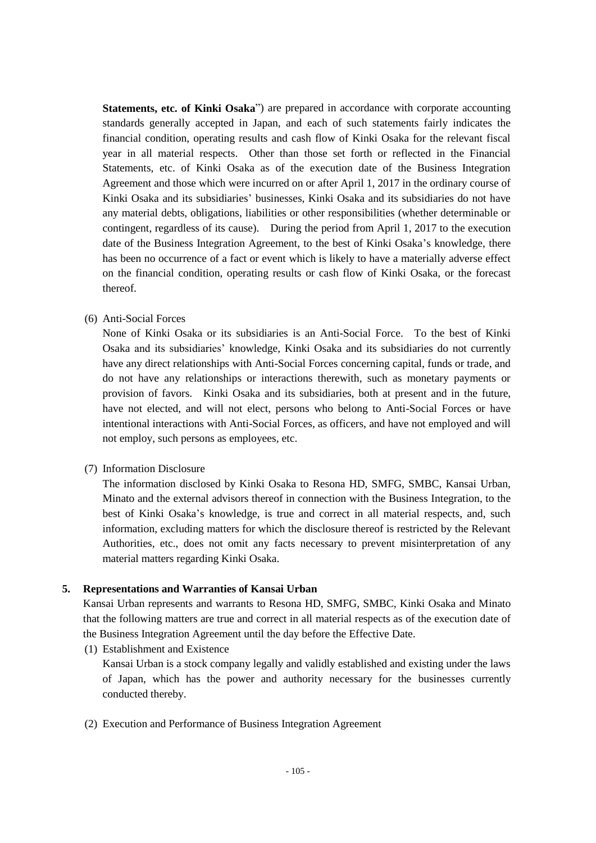**Statements, etc. of Kinki Osaka**") are prepared in accordance with corporate accounting standards generally accepted in Japan, and each of such statements fairly indicates the financial condition, operating results and cash flow of Kinki Osaka for the relevant fiscal year in all material respects. Other than those set forth or reflected in the Financial Statements, etc. of Kinki Osaka as of the execution date of the Business Integration Agreement and those which were incurred on or after April 1, 2017 in the ordinary course of Kinki Osaka and its subsidiaries' businesses, Kinki Osaka and its subsidiaries do not have any material debts, obligations, liabilities or other responsibilities (whether determinable or contingent, regardless of its cause). During the period from April 1, 2017 to the execution date of the Business Integration Agreement, to the best of Kinki Osaka's knowledge, there has been no occurrence of a fact or event which is likely to have a materially adverse effect on the financial condition, operating results or cash flow of Kinki Osaka, or the forecast thereof.

## (6) Anti-Social Forces

None of Kinki Osaka or its subsidiaries is an Anti-Social Force. To the best of Kinki Osaka and its subsidiaries' knowledge, Kinki Osaka and its subsidiaries do not currently have any direct relationships with Anti-Social Forces concerning capital, funds or trade, and do not have any relationships or interactions therewith, such as monetary payments or provision of favors. Kinki Osaka and its subsidiaries, both at present and in the future, have not elected, and will not elect, persons who belong to Anti-Social Forces or have intentional interactions with Anti-Social Forces, as officers, and have not employed and will not employ, such persons as employees, etc.

## (7) Information Disclosure

The information disclosed by Kinki Osaka to Resona HD, SMFG, SMBC, Kansai Urban, Minato and the external advisors thereof in connection with the Business Integration, to the best of Kinki Osaka's knowledge, is true and correct in all material respects, and, such information, excluding matters for which the disclosure thereof is restricted by the Relevant Authorities, etc., does not omit any facts necessary to prevent misinterpretation of any material matters regarding Kinki Osaka.

## **5. Representations and Warranties of Kansai Urban**

Kansai Urban represents and warrants to Resona HD, SMFG, SMBC, Kinki Osaka and Minato that the following matters are true and correct in all material respects as of the execution date of the Business Integration Agreement until the day before the Effective Date.

(1) Establishment and Existence

Kansai Urban is a stock company legally and validly established and existing under the laws of Japan, which has the power and authority necessary for the businesses currently conducted thereby.

(2) Execution and Performance of Business Integration Agreement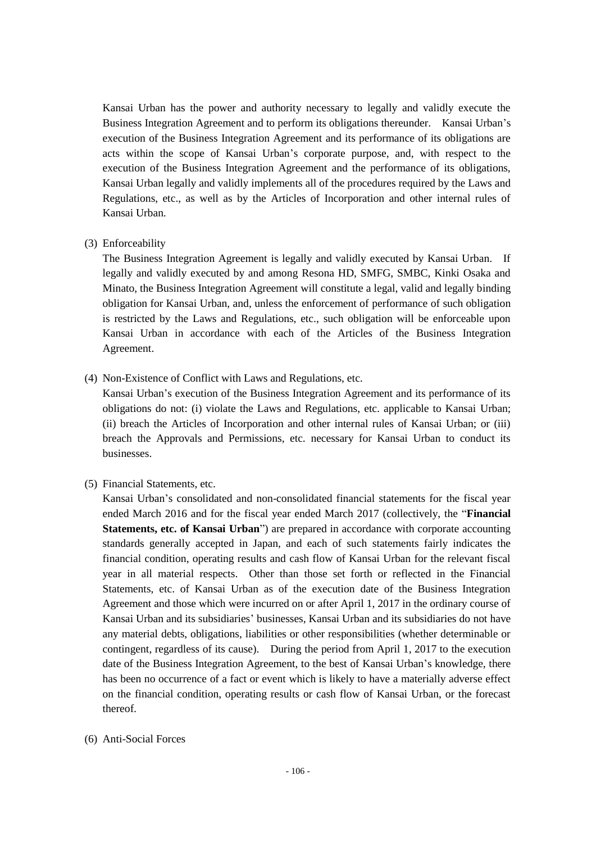Kansai Urban has the power and authority necessary to legally and validly execute the Business Integration Agreement and to perform its obligations thereunder. Kansai Urban's execution of the Business Integration Agreement and its performance of its obligations are acts within the scope of Kansai Urban's corporate purpose, and, with respect to the execution of the Business Integration Agreement and the performance of its obligations, Kansai Urban legally and validly implements all of the procedures required by the Laws and Regulations, etc., as well as by the Articles of Incorporation and other internal rules of Kansai Urban.

(3) Enforceability

The Business Integration Agreement is legally and validly executed by Kansai Urban. If legally and validly executed by and among Resona HD, SMFG, SMBC, Kinki Osaka and Minato, the Business Integration Agreement will constitute a legal, valid and legally binding obligation for Kansai Urban, and, unless the enforcement of performance of such obligation is restricted by the Laws and Regulations, etc., such obligation will be enforceable upon Kansai Urban in accordance with each of the Articles of the Business Integration Agreement.

(4) Non-Existence of Conflict with Laws and Regulations, etc.

Kansai Urban's execution of the Business Integration Agreement and its performance of its obligations do not: (i) violate the Laws and Regulations, etc. applicable to Kansai Urban; (ii) breach the Articles of Incorporation and other internal rules of Kansai Urban; or (iii) breach the Approvals and Permissions, etc. necessary for Kansai Urban to conduct its businesses.

(5) Financial Statements, etc.

Kansai Urban's consolidated and non-consolidated financial statements for the fiscal year ended March 2016 and for the fiscal year ended March 2017 (collectively, the "**Financial Statements, etc. of Kansai Urban**") are prepared in accordance with corporate accounting standards generally accepted in Japan, and each of such statements fairly indicates the financial condition, operating results and cash flow of Kansai Urban for the relevant fiscal year in all material respects. Other than those set forth or reflected in the Financial Statements, etc. of Kansai Urban as of the execution date of the Business Integration Agreement and those which were incurred on or after April 1, 2017 in the ordinary course of Kansai Urban and its subsidiaries' businesses, Kansai Urban and its subsidiaries do not have any material debts, obligations, liabilities or other responsibilities (whether determinable or contingent, regardless of its cause). During the period from April 1, 2017 to the execution date of the Business Integration Agreement, to the best of Kansai Urban's knowledge, there has been no occurrence of a fact or event which is likely to have a materially adverse effect on the financial condition, operating results or cash flow of Kansai Urban, or the forecast thereof.

(6) Anti-Social Forces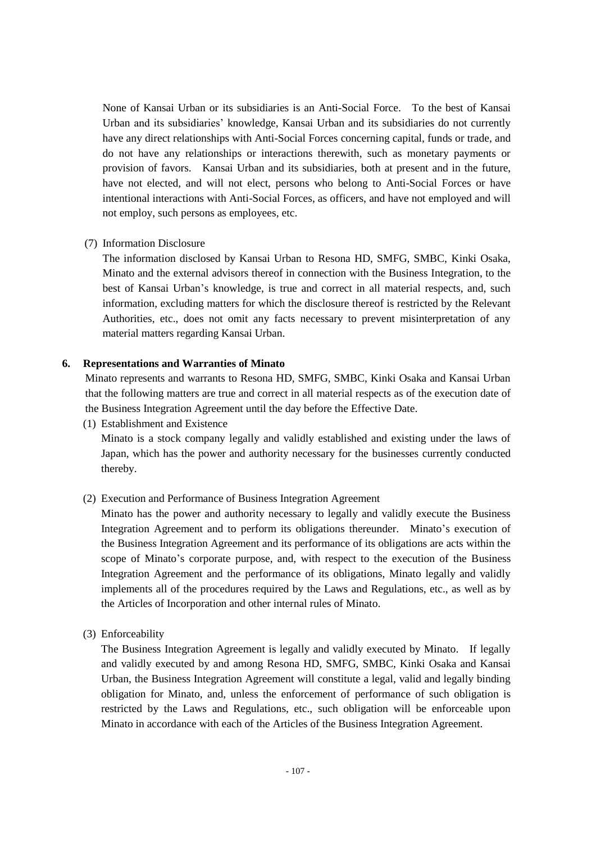None of Kansai Urban or its subsidiaries is an Anti-Social Force. To the best of Kansai Urban and its subsidiaries' knowledge, Kansai Urban and its subsidiaries do not currently have any direct relationships with Anti-Social Forces concerning capital, funds or trade, and do not have any relationships or interactions therewith, such as monetary payments or provision of favors. Kansai Urban and its subsidiaries, both at present and in the future, have not elected, and will not elect, persons who belong to Anti-Social Forces or have intentional interactions with Anti-Social Forces, as officers, and have not employed and will not employ, such persons as employees, etc.

# (7) Information Disclosure

The information disclosed by Kansai Urban to Resona HD, SMFG, SMBC, Kinki Osaka, Minato and the external advisors thereof in connection with the Business Integration, to the best of Kansai Urban's knowledge, is true and correct in all material respects, and, such information, excluding matters for which the disclosure thereof is restricted by the Relevant Authorities, etc., does not omit any facts necessary to prevent misinterpretation of any material matters regarding Kansai Urban.

# **6. Representations and Warranties of Minato**

Minato represents and warrants to Resona HD, SMFG, SMBC, Kinki Osaka and Kansai Urban that the following matters are true and correct in all material respects as of the execution date of the Business Integration Agreement until the day before the Effective Date.

(1) Establishment and Existence

Minato is a stock company legally and validly established and existing under the laws of Japan, which has the power and authority necessary for the businesses currently conducted thereby.

(2) Execution and Performance of Business Integration Agreement

Minato has the power and authority necessary to legally and validly execute the Business Integration Agreement and to perform its obligations thereunder. Minato's execution of the Business Integration Agreement and its performance of its obligations are acts within the scope of Minato's corporate purpose, and, with respect to the execution of the Business Integration Agreement and the performance of its obligations, Minato legally and validly implements all of the procedures required by the Laws and Regulations, etc., as well as by the Articles of Incorporation and other internal rules of Minato.

(3) Enforceability

The Business Integration Agreement is legally and validly executed by Minato. If legally and validly executed by and among Resona HD, SMFG, SMBC, Kinki Osaka and Kansai Urban, the Business Integration Agreement will constitute a legal, valid and legally binding obligation for Minato, and, unless the enforcement of performance of such obligation is restricted by the Laws and Regulations, etc., such obligation will be enforceable upon Minato in accordance with each of the Articles of the Business Integration Agreement.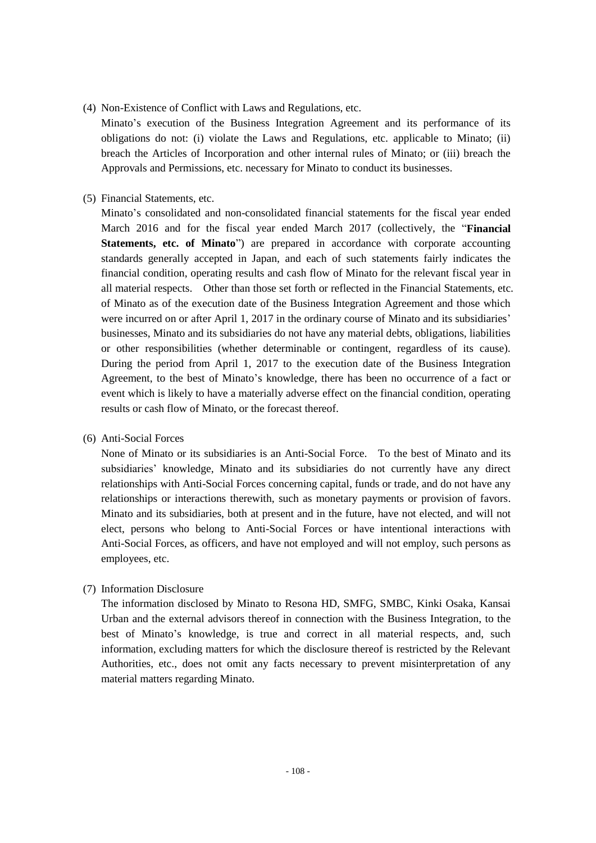## (4) Non-Existence of Conflict with Laws and Regulations, etc.

Minato's execution of the Business Integration Agreement and its performance of its obligations do not: (i) violate the Laws and Regulations, etc. applicable to Minato; (ii) breach the Articles of Incorporation and other internal rules of Minato; or (iii) breach the Approvals and Permissions, etc. necessary for Minato to conduct its businesses.

## (5) Financial Statements, etc.

Minato's consolidated and non-consolidated financial statements for the fiscal year ended March 2016 and for the fiscal year ended March 2017 (collectively, the "**Financial Statements, etc. of Minato**") are prepared in accordance with corporate accounting standards generally accepted in Japan, and each of such statements fairly indicates the financial condition, operating results and cash flow of Minato for the relevant fiscal year in all material respects. Other than those set forth or reflected in the Financial Statements, etc. of Minato as of the execution date of the Business Integration Agreement and those which were incurred on or after April 1, 2017 in the ordinary course of Minato and its subsidiaries' businesses, Minato and its subsidiaries do not have any material debts, obligations, liabilities or other responsibilities (whether determinable or contingent, regardless of its cause). During the period from April 1, 2017 to the execution date of the Business Integration Agreement, to the best of Minato's knowledge, there has been no occurrence of a fact or event which is likely to have a materially adverse effect on the financial condition, operating results or cash flow of Minato, or the forecast thereof.

## (6) Anti-Social Forces

None of Minato or its subsidiaries is an Anti-Social Force. To the best of Minato and its subsidiaries' knowledge, Minato and its subsidiaries do not currently have any direct relationships with Anti-Social Forces concerning capital, funds or trade, and do not have any relationships or interactions therewith, such as monetary payments or provision of favors. Minato and its subsidiaries, both at present and in the future, have not elected, and will not elect, persons who belong to Anti-Social Forces or have intentional interactions with Anti-Social Forces, as officers, and have not employed and will not employ, such persons as employees, etc.

# (7) Information Disclosure

The information disclosed by Minato to Resona HD, SMFG, SMBC, Kinki Osaka, Kansai Urban and the external advisors thereof in connection with the Business Integration, to the best of Minato's knowledge, is true and correct in all material respects, and, such information, excluding matters for which the disclosure thereof is restricted by the Relevant Authorities, etc., does not omit any facts necessary to prevent misinterpretation of any material matters regarding Minato.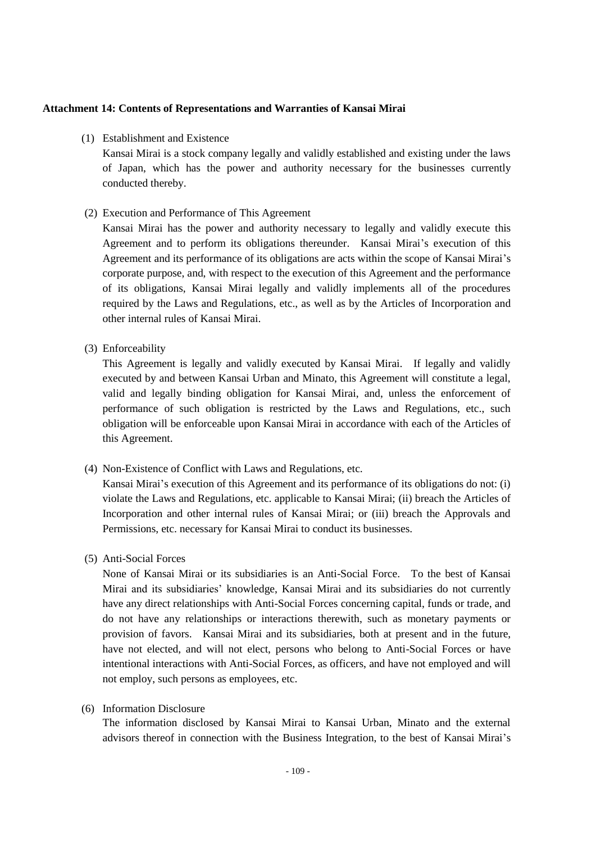## **Attachment 14: Contents of Representations and Warranties of Kansai Mirai**

(1) Establishment and Existence

Kansai Mirai is a stock company legally and validly established and existing under the laws of Japan, which has the power and authority necessary for the businesses currently conducted thereby.

(2) Execution and Performance of This Agreement

Kansai Mirai has the power and authority necessary to legally and validly execute this Agreement and to perform its obligations thereunder. Kansai Mirai's execution of this Agreement and its performance of its obligations are acts within the scope of Kansai Mirai's corporate purpose, and, with respect to the execution of this Agreement and the performance of its obligations, Kansai Mirai legally and validly implements all of the procedures required by the Laws and Regulations, etc., as well as by the Articles of Incorporation and other internal rules of Kansai Mirai.

(3) Enforceability

This Agreement is legally and validly executed by Kansai Mirai. If legally and validly executed by and between Kansai Urban and Minato, this Agreement will constitute a legal, valid and legally binding obligation for Kansai Mirai, and, unless the enforcement of performance of such obligation is restricted by the Laws and Regulations, etc., such obligation will be enforceable upon Kansai Mirai in accordance with each of the Articles of this Agreement.

(4) Non-Existence of Conflict with Laws and Regulations, etc.

Kansai Mirai's execution of this Agreement and its performance of its obligations do not: (i) violate the Laws and Regulations, etc. applicable to Kansai Mirai; (ii) breach the Articles of Incorporation and other internal rules of Kansai Mirai; or (iii) breach the Approvals and Permissions, etc. necessary for Kansai Mirai to conduct its businesses.

(5) Anti-Social Forces

None of Kansai Mirai or its subsidiaries is an Anti-Social Force. To the best of Kansai Mirai and its subsidiaries' knowledge, Kansai Mirai and its subsidiaries do not currently have any direct relationships with Anti-Social Forces concerning capital, funds or trade, and do not have any relationships or interactions therewith, such as monetary payments or provision of favors. Kansai Mirai and its subsidiaries, both at present and in the future, have not elected, and will not elect, persons who belong to Anti-Social Forces or have intentional interactions with Anti-Social Forces, as officers, and have not employed and will not employ, such persons as employees, etc.

(6) Information Disclosure

The information disclosed by Kansai Mirai to Kansai Urban, Minato and the external advisors thereof in connection with the Business Integration, to the best of Kansai Mirai's